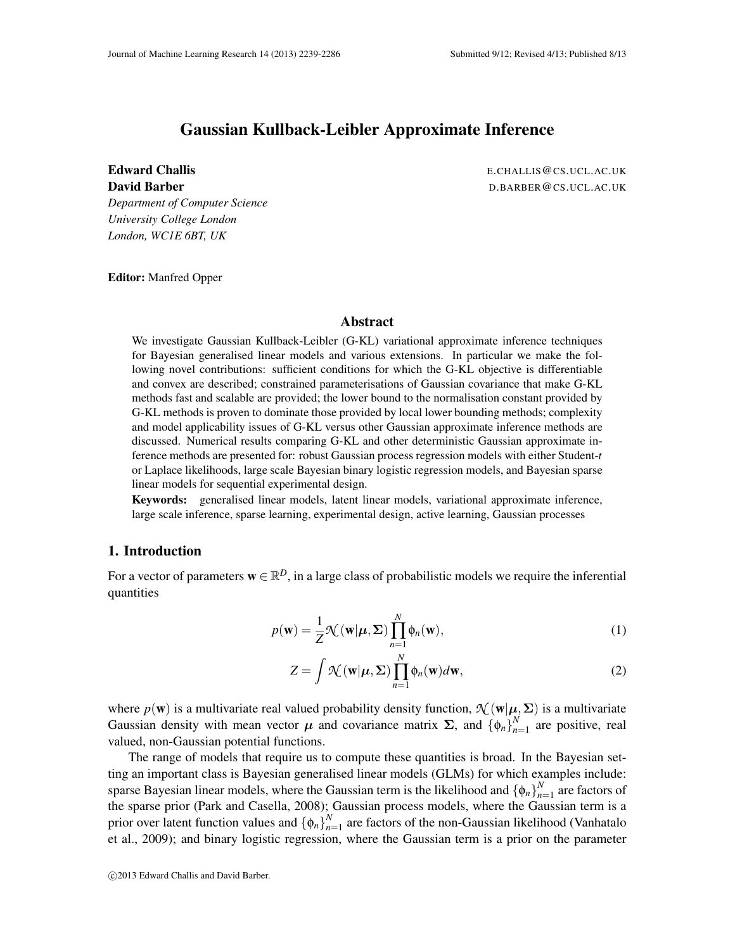# Gaussian Kullback-Leibler Approximate Inference

Edward Challis **Exercise E.CHALLIS E.CHALLIS E.CHALLIS E.CHALLIS E.CHALLIS E.CHALLIS** David Barber D.BARBER@CS.UCL.AC.UK

*Department of Computer Science University College London London, WC1E 6BT, UK*

Editor: Manfred Opper

### Abstract

We investigate Gaussian Kullback-Leibler (G-KL) variational approximate inference techniques for Bayesian generalised linear models and various extensions. In particular we make the following novel contributions: sufficient conditions for which the G-KL objective is differentiable and convex are described; constrained parameterisations of Gaussian covariance that make G-KL methods fast and scalable are provided; the lower bound to the normalisation constant provided by G-KL methods is proven to dominate those provided by local lower bounding methods; complexity and model applicability issues of G-KL versus other Gaussian approximate inference methods are discussed. Numerical results comparing G-KL and other deterministic Gaussian approximate inference methods are presented for: robust Gaussian process regression models with either Student-*t* or Laplace likelihoods, large scale Bayesian binary logistic regression models, and Bayesian sparse linear models for sequential experimental design.

Keywords: generalised linear models, latent linear models, variational approximate inference, large scale inference, sparse learning, experimental design, active learning, Gaussian processes

## 1. Introduction

For a vector of parameters  $\mathbf{w} \in \mathbb{R}^D$ , in a large class of probabilistic models we require the inferential quantities

$$
p(\mathbf{w}) = \frac{1}{Z} \mathcal{N}(\mathbf{w}|\boldsymbol{\mu}, \boldsymbol{\Sigma}) \prod_{n=1}^{N} \phi_n(\mathbf{w}),
$$
\n(1)

$$
Z = \int \mathcal{N}(\mathbf{w}|\boldsymbol{\mu}, \boldsymbol{\Sigma}) \prod_{n=1}^{N} \phi_n(\mathbf{w}) d\mathbf{w},
$$
 (2)

where  $p(\mathbf{w})$  is a multivariate real valued probability density function,  $\mathcal{N}(\mathbf{w}|\boldsymbol{\mu},\boldsymbol{\Sigma})$  is a multivariate Gaussian density with mean vector  $\mu$  and covariance matrix  $\Sigma$ , and  $\{\phi_n\}_{n=1}^N$  $n=1$  are positive, real valued, non-Gaussian potential functions.

The range of models that require us to compute these quantities is broad. In the Bayesian setting an important class is Bayesian generalised linear models (GLMs) for which examples include: sparse Bayesian linear models, where the Gaussian term is the likelihood and  $\{\phi_n\}_{n=1}^N$  $n=1$  are factors of the sparse prior (Park and Casella, 2008); Gaussian process models, where the Gaussian term is a prior over latent function values and  $\{\phi_n\}_{n=1}^N$  $n_{n=1}^{N}$  are factors of the non-Gaussian likelihood (Vanhatalo et al., 2009); and binary logistic regression, where the Gaussian term is a prior on the parameter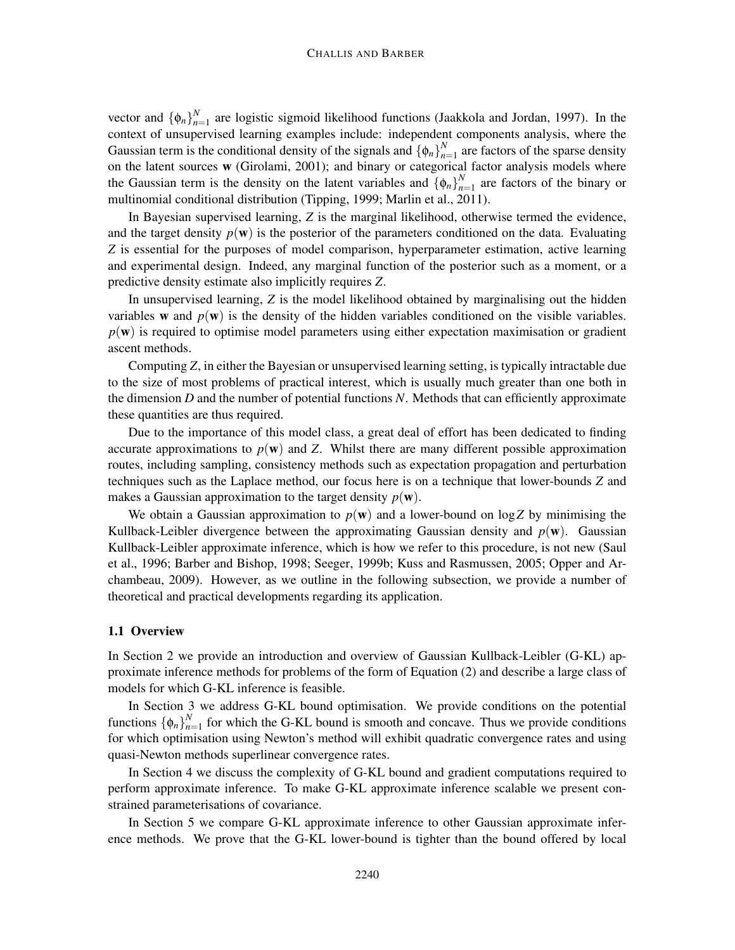vector and  $\{\phi_n\}_{n=1}^N$  $n_{n=1}^{N}$  are logistic sigmoid likelihood functions (Jaakkola and Jordan, 1997). In the context of unsupervised learning examples include: independent components analysis, where the Gaussian term is the conditional density of the signals and  $\{\phi_n\}_{n=1}^N$  $n = 1$  are factors of the sparse density on the latent sources w (Girolami, 2001); and binary or categorical factor analysis models where the Gaussian term is the density on the latent variables and  $\{\phi_n\}_{n=1}^N$  $\sum_{n=1}^{N}$  are factors of the binary or multinomial conditional distribution (Tipping, 1999; Marlin et al., 2011).

In Bayesian supervised learning, *Z* is the marginal likelihood, otherwise termed the evidence, and the target density  $p(\mathbf{w})$  is the posterior of the parameters conditioned on the data. Evaluating *Z* is essential for the purposes of model comparison, hyperparameter estimation, active learning and experimental design. Indeed, any marginal function of the posterior such as a moment, or a predictive density estimate also implicitly requires *Z*.

In unsupervised learning, *Z* is the model likelihood obtained by marginalising out the hidden variables w and  $p(w)$  is the density of the hidden variables conditioned on the visible variables.  $p(\mathbf{w})$  is required to optimise model parameters using either expectation maximisation or gradient ascent methods.

Computing *Z*, in either the Bayesian or unsupervised learning setting, is typically intractable due to the size of most problems of practical interest, which is usually much greater than one both in the dimension *D* and the number of potential functions *N*. Methods that can efficiently approximate these quantities are thus required.

Due to the importance of this model class, a great deal of effort has been dedicated to finding accurate approximations to  $p(\mathbf{w})$  and *Z*. Whilst there are many different possible approximation routes, including sampling, consistency methods such as expectation propagation and perturbation techniques such as the Laplace method, our focus here is on a technique that lower-bounds *Z* and makes a Gaussian approximation to the target density  $p(\mathbf{w})$ .

We obtain a Gaussian approximation to  $p(w)$  and a lower-bound on log Z by minimising the Kullback-Leibler divergence between the approximating Gaussian density and  $p(\mathbf{w})$ . Gaussian Kullback-Leibler approximate inference, which is how we refer to this procedure, is not new (Saul et al., 1996; Barber and Bishop, 1998; Seeger, 1999b; Kuss and Rasmussen, 2005; Opper and Archambeau, 2009). However, as we outline in the following subsection, we provide a number of theoretical and practical developments regarding its application.

### 1.1 Overview

In Section 2 we provide an introduction and overview of Gaussian Kullback-Leibler (G-KL) approximate inference methods for problems of the form of Equation (2) and describe a large class of models for which G-KL inference is feasible.

In Section 3 we address G-KL bound optimisation. We provide conditions on the potential functions  $\{\phi_n\}_{n=1}^N$  $n_{n=1}^{N}$  for which the G-KL bound is smooth and concave. Thus we provide conditions for which optimisation using Newton's method will exhibit quadratic convergence rates and using quasi-Newton methods superlinear convergence rates.

In Section 4 we discuss the complexity of G-KL bound and gradient computations required to perform approximate inference. To make G-KL approximate inference scalable we present constrained parameterisations of covariance.

In Section 5 we compare G-KL approximate inference to other Gaussian approximate inference methods. We prove that the G-KL lower-bound is tighter than the bound offered by local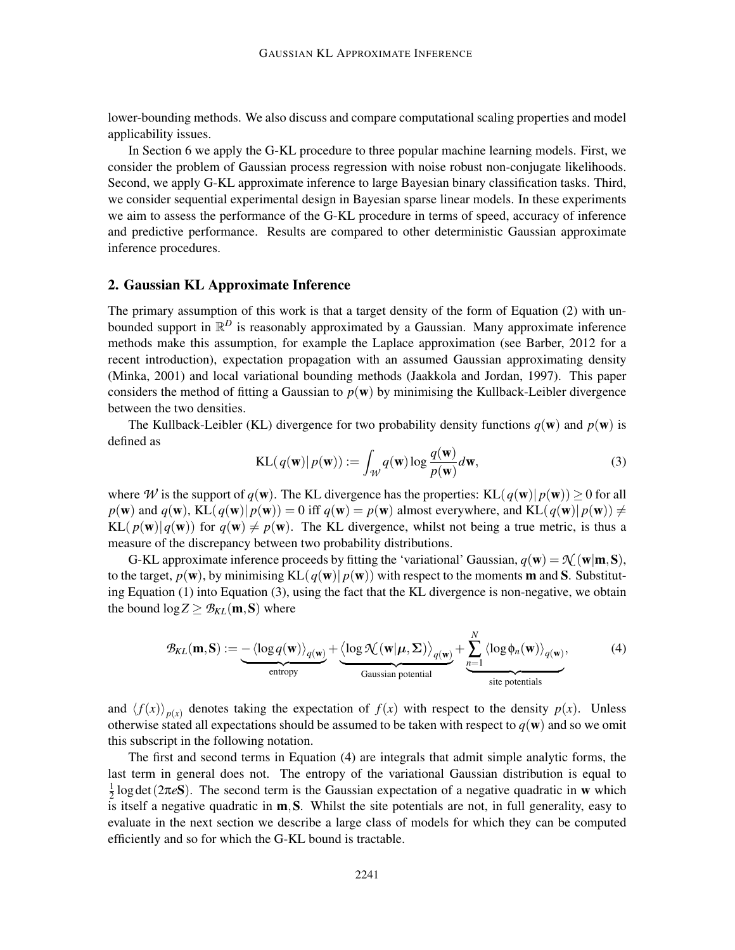lower-bounding methods. We also discuss and compare computational scaling properties and model applicability issues.

In Section 6 we apply the G-KL procedure to three popular machine learning models. First, we consider the problem of Gaussian process regression with noise robust non-conjugate likelihoods. Second, we apply G-KL approximate inference to large Bayesian binary classification tasks. Third, we consider sequential experimental design in Bayesian sparse linear models. In these experiments we aim to assess the performance of the G-KL procedure in terms of speed, accuracy of inference and predictive performance. Results are compared to other deterministic Gaussian approximate inference procedures.

### 2. Gaussian KL Approximate Inference

The primary assumption of this work is that a target density of the form of Equation (2) with unbounded support in  $\mathbb{R}^D$  is reasonably approximated by a Gaussian. Many approximate inference methods make this assumption, for example the Laplace approximation (see Barber, 2012 for a recent introduction), expectation propagation with an assumed Gaussian approximating density (Minka, 2001) and local variational bounding methods (Jaakkola and Jordan, 1997). This paper considers the method of fitting a Gaussian to  $p(w)$  by minimising the Kullback-Leibler divergence between the two densities.

The Kullback-Leibler (KL) divergence for two probability density functions  $q(\mathbf{w})$  and  $p(\mathbf{w})$  is defined as

$$
KL(q(\mathbf{w})|p(\mathbf{w})) := \int_{\mathcal{W}} q(\mathbf{w}) \log \frac{q(\mathbf{w})}{p(\mathbf{w})} d\mathbf{w},\tag{3}
$$

*N*

where *W* is the support of  $q(\mathbf{w})$ . The KL divergence has the properties: KL $(q(\mathbf{w})| p(\mathbf{w})) \ge 0$  for all  $p(\mathbf{w})$  and  $q(\mathbf{w})$ , KL( $q(\mathbf{w})|p(\mathbf{w}) = 0$  iff  $q(\mathbf{w}) = p(\mathbf{w})$  almost everywhere, and KL( $q(\mathbf{w})|p(\mathbf{w}) \neq 0$  $KL(p(\mathbf{w})|q(\mathbf{w}))$  for  $q(\mathbf{w}) \neq p(\mathbf{w})$ . The KL divergence, whilst not being a true metric, is thus a measure of the discrepancy between two probability distributions.

G-KL approximate inference proceeds by fitting the 'variational' Gaussian,  $q(\mathbf{w}) = \mathcal{N}(\mathbf{w}|\mathbf{m},\mathbf{S})$ , to the target,  $p(\mathbf{w})$ , by minimising KL( $q(\mathbf{w})| p(\mathbf{w})$ ) with respect to the moments **m** and **S**. Substituting Equation (1) into Equation (3), using the fact that the KL divergence is non-negative, we obtain the bound  $\log Z \geq \mathcal{B}_{KL}(\mathbf{m}, \mathbf{S})$  where

$$
\mathcal{B}_{KL}(\mathbf{m}, \mathbf{S}) := \underbrace{-\langle \log q(\mathbf{w}) \rangle_{q(\mathbf{w})}}_{\text{entropy}} + \underbrace{\langle \log \mathcal{K}(\mathbf{w} | \boldsymbol{\mu}, \boldsymbol{\Sigma}) \rangle_{q(\mathbf{w})}}_{\text{Gaussian potential}} + \underbrace{\sum_{n=1}^{N} \langle \log \phi_n(\mathbf{w}) \rangle_{q(\mathbf{w})}}_{\text{site potentials}},
$$
(4)

and  $\langle f(x) \rangle_{p(x)}$  denotes taking the expectation of  $f(x)$  with respect to the density  $p(x)$ . Unless otherwise stated all expectations should be assumed to be taken with respect to  $q(\mathbf{w})$  and so we omit this subscript in the following notation.

The first and second terms in Equation (4) are integrals that admit simple analytic forms, the last term in general does not. The entropy of the variational Gaussian distribution is equal to 1  $\frac{1}{2}$ log det(2 $\pi e$ S). The second term is the Gaussian expectation of a negative quadratic in w which is itself a negative quadratic in  $m$ , S. Whilst the site potentials are not, in full generality, easy to evaluate in the next section we describe a large class of models for which they can be computed efficiently and so for which the G-KL bound is tractable.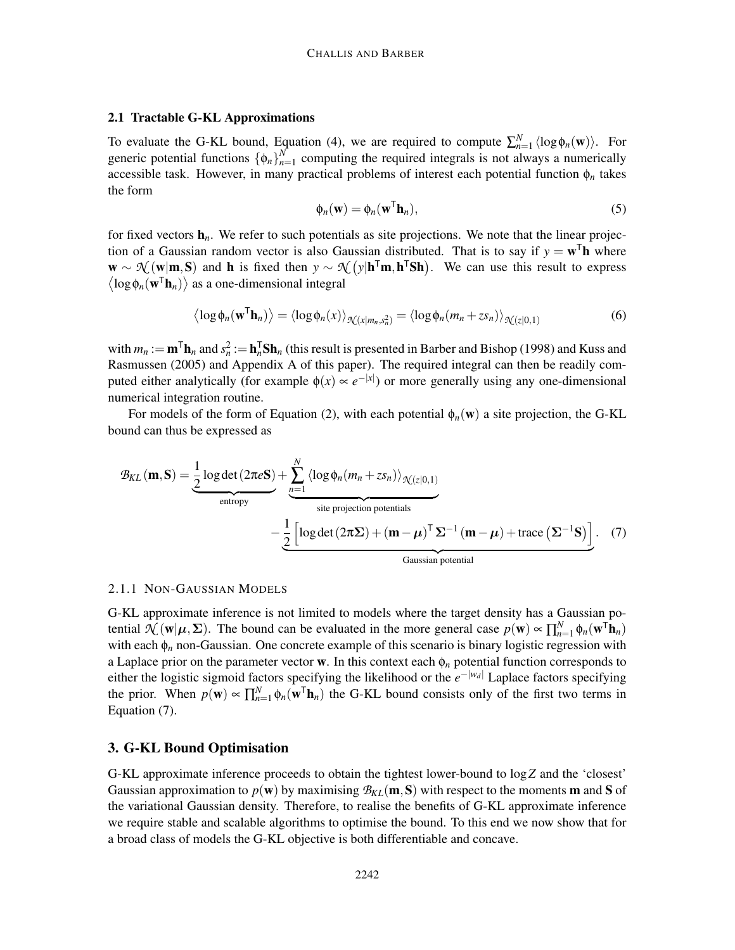#### 2.1 Tractable G-KL Approximations

To evaluate the G-KL bound, Equation (4), we are required to compute  $\sum_{n=1}^{N} \langle \log \phi_n(\mathbf{w}) \rangle$ . For generic potential functions  $\{\phi_n\}_{n=1}^N$  $n_{n=1}^{N}$  computing the required integrals is not always a numerically accessible task. However, in many practical problems of interest each potential function φ*<sup>n</sup>* takes the form

$$
\phi_n(\mathbf{w}) = \phi_n(\mathbf{w}^\mathsf{T} \mathbf{h}_n),\tag{5}
$$

for fixed vectors  $\mathbf{h}_n$ . We refer to such potentials as site projections. We note that the linear projection of a Gaussian random vector is also Gaussian distributed. That is to say if  $y = w^{\mathsf{T}}\mathbf{h}$  where  $\mathbf{w} \sim \mathcal{N}(\mathbf{w}|\mathbf{m}, \mathbf{S})$  and **h** is fixed then  $y \sim \mathcal{N}(y|\mathbf{h}^T\mathbf{m}, \mathbf{h}^T\mathbf{S}\mathbf{h})$ . We can use this result to express  $\langle \log \phi_n(\mathbf{w}^T \mathbf{h}_n) \rangle$  as a one-dimensional integral

$$
\langle \log \phi_n(\mathbf{w}^T \mathbf{h}_n) \rangle = \langle \log \phi_n(x) \rangle_{\mathcal{N}(x|m_n, s_n^2)} = \langle \log \phi_n(m_n + z s_n) \rangle_{\mathcal{N}(z|0,1)}
$$
(6)

with  $m_n := m^T \mathbf{h}_n$  and  $s_n^2 := \mathbf{h}_n^T \mathbf{Sh}_n$  (this result is presented in Barber and Bishop (1998) and Kuss and Rasmussen (2005) and Appendix A of this paper). The required integral can then be readily computed either analytically (for example  $\phi(x) \propto e^{-|x|}$ ) or more generally using any one-dimensional numerical integration routine.

For models of the form of Equation (2), with each potential  $\phi_n(\mathbf{w})$  a site projection, the G-KL bound can thus be expressed as

$$
\mathcal{B}_{KL}(\mathbf{m}, \mathbf{S}) = \underbrace{\frac{1}{2} \log \det (2\pi \mathbf{\epsilon} \mathbf{S})}_{\text{entropy}} + \underbrace{\sum_{n=1}^{N} \langle \log \phi_n (m_n + zs_n) \rangle_{\mathcal{H}(z|0,1)}}_{\text{site projection potentials}}
$$
\n
$$
-\underbrace{\frac{1}{2} \left[ \log \det (2\pi \mathbf{\Sigma}) + (\mathbf{m} - \boldsymbol{\mu})^{\top} \mathbf{\Sigma}^{-1} (\mathbf{m} - \boldsymbol{\mu}) + \text{trace} (\mathbf{\Sigma}^{-1} \mathbf{S}) \right]}_{\text{Gaussian potential}}.
$$
\n(7)

#### 2.1.1 NON-GAUSSIAN MODELS

G-KL approximate inference is not limited to models where the target density has a Gaussian potential  $\mathcal{N}(\mathbf{w}|\boldsymbol{\mu}, \boldsymbol{\Sigma})$ . The bound can be evaluated in the more general case  $p(\mathbf{w}) \propto \prod_{n=1}^{N} \phi_n(\mathbf{w}^T \mathbf{h}_n)$ with each φ*<sup>n</sup>* non-Gaussian. One concrete example of this scenario is binary logistic regression with a Laplace prior on the parameter vector w. In this context each  $\phi_n$  potential function corresponds to either the logistic sigmoid factors specifying the likelihood or the *e* −|*w<sup>d</sup>* <sup>|</sup> Laplace factors specifying the prior. When  $p(\mathbf{w}) \propto \prod_{n=1}^{N} \phi_n(\mathbf{w}^T \mathbf{h}_n)$  the G-KL bound consists only of the first two terms in Equation (7).

## 3. G-KL Bound Optimisation

G-KL approximate inference proceeds to obtain the tightest lower-bound to log*Z* and the 'closest' Gaussian approximation to  $p(\mathbf{w})$  by maximising  $B_{KL}(\mathbf{m},\mathbf{S})$  with respect to the moments **m** and **S** of the variational Gaussian density. Therefore, to realise the benefits of G-KL approximate inference we require stable and scalable algorithms to optimise the bound. To this end we now show that for a broad class of models the G-KL objective is both differentiable and concave.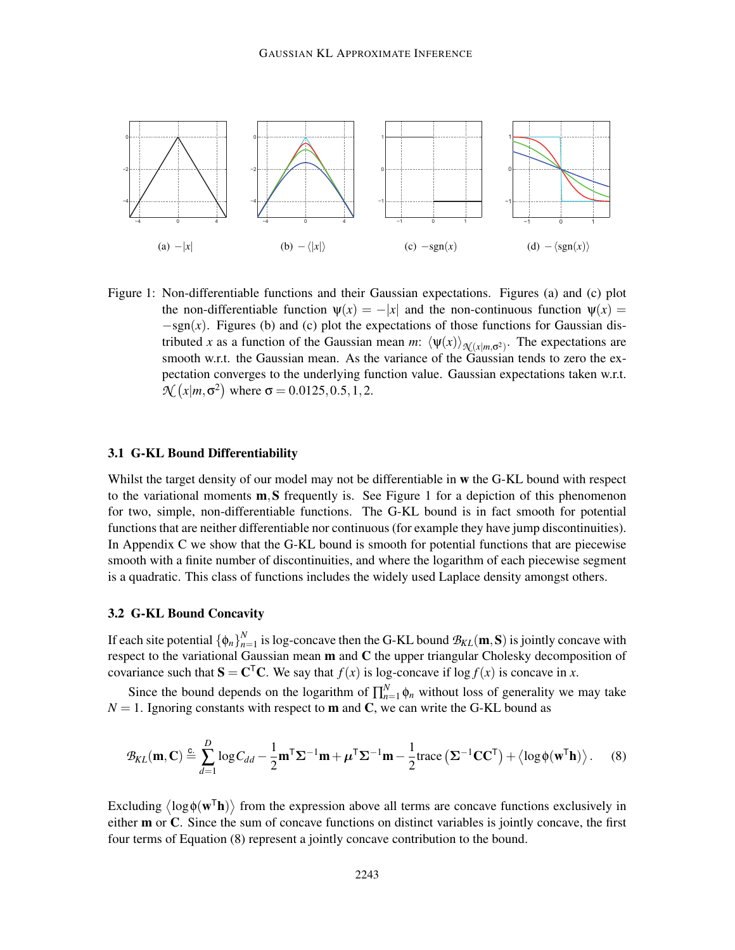

Figure 1: Non-differentiable functions and their Gaussian expectations. Figures (a) and (c) plot the non-differentiable function  $\psi(x) = -|x|$  and the non-continuous function  $\psi(x) =$ −sgn(*x*). Figures (b) and (c) plot the expectations of those functions for Gaussian distributed *x* as a function of the Gaussian mean *m*:  $\langle \psi(x) \rangle_{\mathcal{X}(\chi|m,\sigma^2)}$ . The expectations are smooth w.r.t. the Gaussian mean. As the variance of the Gaussian tends to zero the expectation converges to the underlying function value. Gaussian expectations taken w.r.t.  $\mathcal{N}(x|m, \sigma^2)$  where  $\sigma = 0.0125, 0.5, 1, 2$ .

#### 3.1 G-KL Bound Differentiability

Whilst the target density of our model may not be differentiable in w the G-KL bound with respect to the variational moments  $\mathbf{m},\mathbf{S}$  frequently is. See Figure 1 for a depiction of this phenomenon for two, simple, non-differentiable functions. The G-KL bound is in fact smooth for potential functions that are neither differentiable nor continuous (for example they have jump discontinuities). In Appendix C we show that the G-KL bound is smooth for potential functions that are piecewise smooth with a finite number of discontinuities, and where the logarithm of each piecewise segment is a quadratic. This class of functions includes the widely used Laplace density amongst others.

## 3.2 G-KL Bound Concavity

If each site potential  $\{\phi_n\}_{n=1}^N$  $_{n=1}^N$  is log-concave then the G-KL bound  $\mathcal{B}_{KL}(\mathbf{m},\mathbf{S})$  is jointly concave with respect to the variational Gaussian mean  $m$  and  $C$  the upper triangular Cholesky decomposition of covariance such that  $S = C<sup>T</sup>C$ . We say that  $f(x)$  is log-concave if log  $f(x)$  is concave in *x*.

Since the bound depends on the logarithm of  $\prod_{n=1}^{N} \phi_n$  without loss of generality we may take  $N = 1$ . Ignoring constants with respect to **m** and **C**, we can write the G-KL bound as

$$
\mathcal{B}_{KL}(\mathbf{m}, \mathbf{C}) \stackrel{c}{=} \sum_{d=1}^{D} \log C_{dd} - \frac{1}{2} \mathbf{m}^{\mathsf{T}} \Sigma^{-1} \mathbf{m} + \boldsymbol{\mu}^{\mathsf{T}} \Sigma^{-1} \mathbf{m} - \frac{1}{2} \text{trace} \left( \Sigma^{-1} \mathbf{C} \mathbf{C}^{\mathsf{T}} \right) + \left\langle \log \phi(\mathbf{w}^{\mathsf{T}} \mathbf{h}) \right\rangle. \tag{8}
$$

Excluding  $\langle \log \phi(w^{\mathsf{T}} \mathbf{h}) \rangle$  from the expression above all terms are concave functions exclusively in either **m** or **C**. Since the sum of concave functions on distinct variables is jointly concave, the first four terms of Equation (8) represent a jointly concave contribution to the bound.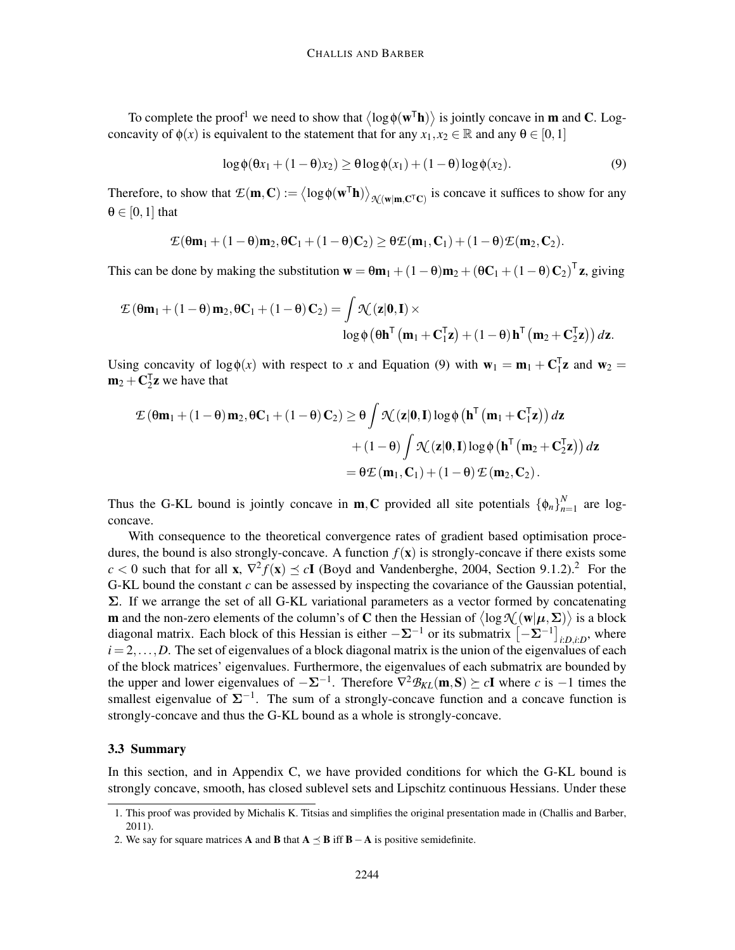To complete the proof<sup>1</sup> we need to show that  $\langle \log \phi(w^{\mathsf{T}} \mathbf{h}) \rangle$  is jointly concave in **m** and **C**. Logconcavity of  $\phi(x)$  is equivalent to the statement that for any  $x_1, x_2 \in \mathbb{R}$  and any  $\theta \in [0,1]$ 

$$
\log \phi(\theta x_1 + (1 - \theta)x_2) \ge \theta \log \phi(x_1) + (1 - \theta) \log \phi(x_2).
$$
 (9)

Therefore, to show that  $\mathcal{E}(\mathbf{m}, \mathbf{C}) := \langle \log \phi(\mathbf{w}^T \mathbf{h}) \rangle_{\mathcal{N}(\mathbf{w}|\mathbf{m}, \mathbf{C}^T \mathbf{C})}$  is concave it suffices to show for any  $\theta \in [0,1]$  that

$$
\mathcal{L}(\theta\textbf{m}_1+(1-\theta)\textbf{m}_2, \theta\textbf{C}_1+(1-\theta)\textbf{C}_2)\geq \theta\mathcal{L}(\textbf{m}_1,\textbf{C}_1)+(1-\theta)\mathcal{L}(\textbf{m}_2,\textbf{C}_2).
$$

This can be done by making the substitution  $\mathbf{w} = \theta \mathbf{m}_1 + (1 - \theta) \mathbf{m}_2 + (\theta \mathbf{C}_1 + (1 - \theta) \mathbf{C}_2)^T \mathbf{z}$ , giving

$$
\mathcal{L}(\theta \mathbf{m}_1 + (1 - \theta) \mathbf{m}_2, \theta \mathbf{C}_1 + (1 - \theta) \mathbf{C}_2) = \int \mathcal{N}(\mathbf{z}|\mathbf{0}, \mathbf{I}) \times
$$
  

$$
\log \phi (\theta \mathbf{h}^{\mathsf{T}}(\mathbf{m}_1 + \mathbf{C}_1^{\mathsf{T}} \mathbf{z}) + (1 - \theta) \mathbf{h}^{\mathsf{T}}(\mathbf{m}_2 + \mathbf{C}_2^{\mathsf{T}} \mathbf{z})) d\mathbf{z}.
$$

Using concavity of  $\log \phi(x)$  with respect to *x* and Equation (9) with  $\mathbf{w}_1 = \mathbf{m}_1 + \mathbf{C}_1^T \mathbf{z}$  and  $\mathbf{w}_2 =$  $m_2 + C_2^T z$  we have that

$$
\mathcal{L}(\theta\mathbf{m}_1 + (1-\theta)\mathbf{m}_2, \theta\mathbf{C}_1 + (1-\theta)\mathbf{C}_2) \ge \theta \int \mathcal{N}(\mathbf{z}|\mathbf{0}, \mathbf{I}) \log \phi \left(\mathbf{h}^\mathsf{T}(\mathbf{m}_1 + \mathbf{C}_1^\mathsf{T}\mathbf{z})\right) d\mathbf{z}
$$

$$
+ (1-\theta) \int \mathcal{N}(\mathbf{z}|\mathbf{0}, \mathbf{I}) \log \phi \left(\mathbf{h}^\mathsf{T}(\mathbf{m}_2 + \mathbf{C}_2^\mathsf{T}\mathbf{z})\right) d\mathbf{z}
$$

$$
= \theta \mathcal{L}(\mathbf{m}_1, \mathbf{C}_1) + (1-\theta) \mathcal{L}(\mathbf{m}_2, \mathbf{C}_2).
$$

Thus the G-KL bound is jointly concave in **m**, **C** provided all site potentials  $\{\phi_n\}_{n=1}^N$  $n=1$  are logconcave.

With consequence to the theoretical convergence rates of gradient based optimisation procedures, the bound is also strongly-concave. A function  $f(\mathbf{x})$  is strongly-concave if there exists some  $c < 0$  such that for all **x**,  $\nabla^2 f(\mathbf{x}) \preceq c\mathbf{I}$  (Boyd and Vandenberghe, 2004, Section 9.1.2).<sup>2</sup> For the G-KL bound the constant *c* can be assessed by inspecting the covariance of the Gaussian potential,  $\Sigma$ . If we arrange the set of all G-KL variational parameters as a vector formed by concatenating **m** and the non-zero elements of the column's of **C** then the Hessian of  $\langle \log \mathcal{N}(\mathbf{w}|\boldsymbol{\mu}, \boldsymbol{\Sigma}) \rangle$  is a block diagonal matrix. Each block of this Hessian is either  $-\Sigma^{-1}$  or its submatrix  $\left[-\Sigma^{-1}\right]_{i:D,i:D}$ , where  $i = 2, \ldots, D$ . The set of eigenvalues of a block diagonal matrix is the union of the eigenvalues of each of the block matrices' eigenvalues. Furthermore, the eigenvalues of each submatrix are bounded by the upper and lower eigenvalues of  $-\Sigma^{-1}$ . Therefore  $\nabla^2 \mathcal{B}_{KL}(\mathbf{m}, \mathbf{S}) \succeq c\mathbf{I}$  where *c* is  $-1$  times the smallest eigenvalue of  $\Sigma^{-1}$ . The sum of a strongly-concave function and a concave function is strongly-concave and thus the G-KL bound as a whole is strongly-concave.

### 3.3 Summary

In this section, and in Appendix C, we have provided conditions for which the G-KL bound is strongly concave, smooth, has closed sublevel sets and Lipschitz continuous Hessians. Under these

<sup>1.</sup> This proof was provided by Michalis K. Titsias and simplifies the original presentation made in (Challis and Barber, 2011).

<sup>2.</sup> We say for square matrices **A** and **B** that  $A \prec B$  iff  $B - A$  is positive semidefinite.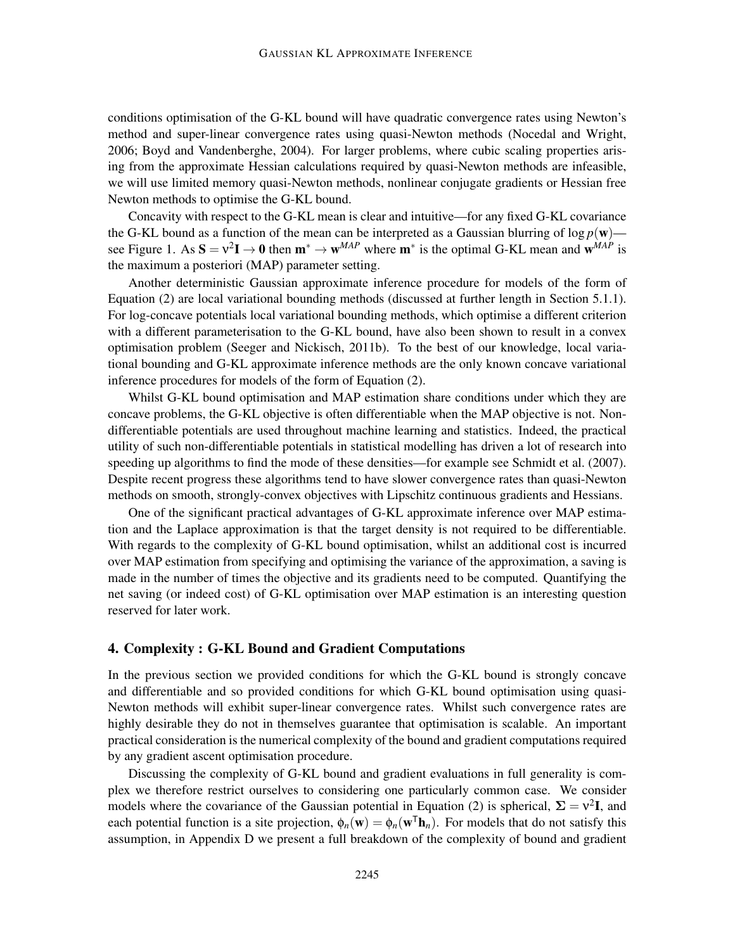conditions optimisation of the G-KL bound will have quadratic convergence rates using Newton's method and super-linear convergence rates using quasi-Newton methods (Nocedal and Wright, 2006; Boyd and Vandenberghe, 2004). For larger problems, where cubic scaling properties arising from the approximate Hessian calculations required by quasi-Newton methods are infeasible, we will use limited memory quasi-Newton methods, nonlinear conjugate gradients or Hessian free Newton methods to optimise the G-KL bound.

Concavity with respect to the G-KL mean is clear and intuitive—for any fixed G-KL covariance the G-KL bound as a function of the mean can be interpreted as a Gaussian blurring of  $\log p(\mathbf{w})$  see Figure 1. As  $S = v^2 I \rightarrow 0$  then  $m^* \rightarrow w^{MAP}$  where  $m^*$  is the optimal G-KL mean and  $w^{MAP}$  is the maximum a posteriori (MAP) parameter setting.

Another deterministic Gaussian approximate inference procedure for models of the form of Equation (2) are local variational bounding methods (discussed at further length in Section 5.1.1). For log-concave potentials local variational bounding methods, which optimise a different criterion with a different parameterisation to the G-KL bound, have also been shown to result in a convex optimisation problem (Seeger and Nickisch, 2011b). To the best of our knowledge, local variational bounding and G-KL approximate inference methods are the only known concave variational inference procedures for models of the form of Equation (2).

Whilst G-KL bound optimisation and MAP estimation share conditions under which they are concave problems, the G-KL objective is often differentiable when the MAP objective is not. Nondifferentiable potentials are used throughout machine learning and statistics. Indeed, the practical utility of such non-differentiable potentials in statistical modelling has driven a lot of research into speeding up algorithms to find the mode of these densities—for example see Schmidt et al. (2007). Despite recent progress these algorithms tend to have slower convergence rates than quasi-Newton methods on smooth, strongly-convex objectives with Lipschitz continuous gradients and Hessians.

One of the significant practical advantages of G-KL approximate inference over MAP estimation and the Laplace approximation is that the target density is not required to be differentiable. With regards to the complexity of G-KL bound optimisation, whilst an additional cost is incurred over MAP estimation from specifying and optimising the variance of the approximation, a saving is made in the number of times the objective and its gradients need to be computed. Quantifying the net saving (or indeed cost) of G-KL optimisation over MAP estimation is an interesting question reserved for later work.

### 4. Complexity : G-KL Bound and Gradient Computations

In the previous section we provided conditions for which the G-KL bound is strongly concave and differentiable and so provided conditions for which G-KL bound optimisation using quasi-Newton methods will exhibit super-linear convergence rates. Whilst such convergence rates are highly desirable they do not in themselves guarantee that optimisation is scalable. An important practical consideration is the numerical complexity of the bound and gradient computations required by any gradient ascent optimisation procedure.

Discussing the complexity of G-KL bound and gradient evaluations in full generality is complex we therefore restrict ourselves to considering one particularly common case. We consider models where the covariance of the Gaussian potential in Equation (2) is spherical,  $\Sigma = v^2 I$ , and each potential function is a site projection,  $\phi_n(\mathbf{w}) = \phi_n(\mathbf{w}^T \mathbf{h}_n)$ . For models that do not satisfy this assumption, in Appendix D we present a full breakdown of the complexity of bound and gradient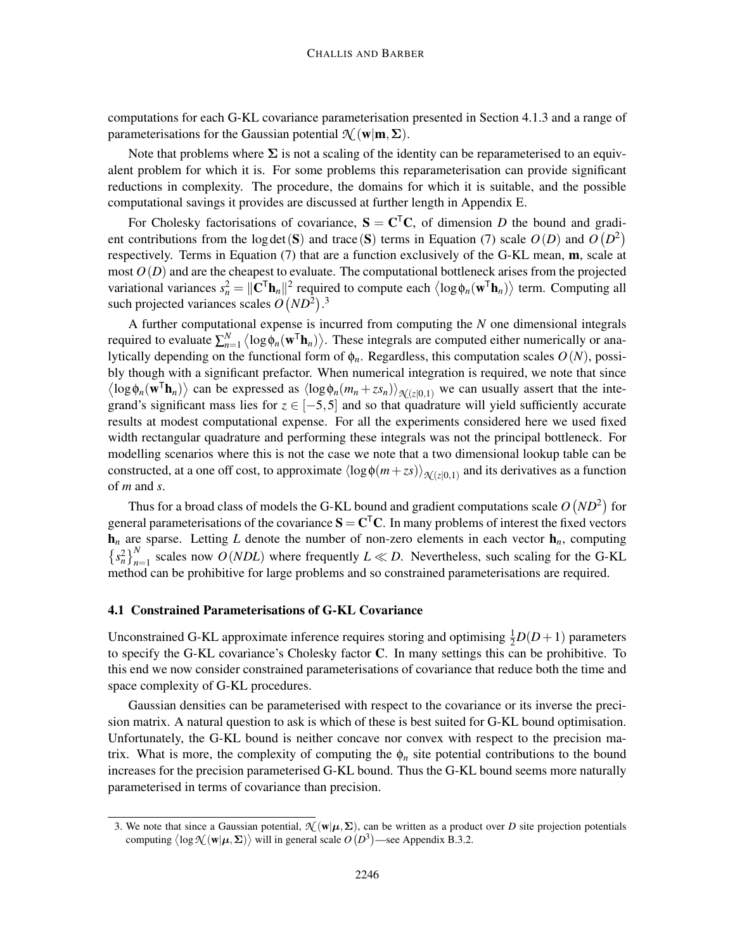computations for each G-KL covariance parameterisation presented in Section 4.1.3 and a range of parameterisations for the Gaussian potential  $\mathcal{N}$  (w|m,  $\Sigma$ ).

Note that problems where  $\Sigma$  is not a scaling of the identity can be reparameterised to an equivalent problem for which it is. For some problems this reparameterisation can provide significant reductions in complexity. The procedure, the domains for which it is suitable, and the possible computational savings it provides are discussed at further length in Appendix E.

For Cholesky factorisations of covariance,  $S = C<sup>T</sup>C$ , of dimension *D* the bound and gradient contributions from the log det (S) and trace (S) terms in Equation (7) scale  $O(D)$  and  $O(D^2)$ respectively. Terms in Equation (7) that are a function exclusively of the G-KL mean, m, scale at most  $O(D)$  and are the cheapest to evaluate. The computational bottleneck arises from the projected variational variances  $s_n^2 = ||\mathbf{C}^\top \mathbf{h}_n||^2$  required to compute each  $\langle \log \phi_n(\mathbf{w}^\top \mathbf{h}_n) \rangle$  term. Computing all such projected variances scales  $O(ND^2)$ .<sup>3</sup>

A further computational expense is incurred from computing the *N* one dimensional integrals required to evaluate  $\sum_{n=1}^{N} \langle \log \phi_n(w^{\mathsf{T}} \mathbf{h}_n) \rangle$ . These integrals are computed either numerically or analytically depending on the functional form of  $\phi_n$ . Regardless, this computation scales  $O(N)$ , possibly though with a significant prefactor. When numerical integration is required, we note that since  $\langle \log \phi_n(\mathbf{w}^T \mathbf{h}_n) \rangle$  can be expressed as  $\langle \log \phi_n(m_n + z s_n) \rangle_{\mathcal{N}(z|0,1)}$  we can usually assert that the integrand's significant mass lies for  $z \in [-5, 5]$  and so that quadrature will yield sufficiently accurate results at modest computational expense. For all the experiments considered here we used fixed width rectangular quadrature and performing these integrals was not the principal bottleneck. For modelling scenarios where this is not the case we note that a two dimensional lookup table can be constructed, at a one off cost, to approximate  $\langle \log \phi(m+zs) \rangle_{\mathcal{N}(z|0,1)}$  and its derivatives as a function of *m* and *s*.

Thus for a broad class of models the G-KL bound and gradient computations scale  $O(ND^2)$  for general parameterisations of the covariance  $S = C<sup>T</sup>C$ . In many problems of interest the fixed vectors  $h_n$  are sparse. Letting *L* denote the number of non-zero elements in each vector  $h_n$ , computing  $\left\{ s_n^2 \right\}_{n=1}^N$  scales now *O*(*NDL*) where frequently *L* ≪ *D*. Nevertheless, such scaling for the G-KL method can be prohibitive for large problems and so constrained parameterisations are required.

## 4.1 Constrained Parameterisations of G-KL Covariance

Unconstrained G-KL approximate inference requires storing and optimising  $\frac{1}{2}D(D+1)$  parameters to specify the G-KL covariance's Cholesky factor C. In many settings this can be prohibitive. To this end we now consider constrained parameterisations of covariance that reduce both the time and space complexity of G-KL procedures.

Gaussian densities can be parameterised with respect to the covariance or its inverse the precision matrix. A natural question to ask is which of these is best suited for G-KL bound optimisation. Unfortunately, the G-KL bound is neither concave nor convex with respect to the precision matrix. What is more, the complexity of computing the  $\phi_n$  site potential contributions to the bound increases for the precision parameterised G-KL bound. Thus the G-KL bound seems more naturally parameterised in terms of covariance than precision.

<sup>3.</sup> We note that since a Gaussian potential,  $\mathcal{N}(\mathbf{w}|\boldsymbol{\mu}, \boldsymbol{\Sigma})$ , can be written as a product over *D* site projection potentials computing  $\langle \log \mathcal{N}(\mathbf{w}|\boldsymbol{\mu}, \boldsymbol{\Sigma}) \rangle$  will in general scale  $O(D^3)$ —see Appendix B.3.2.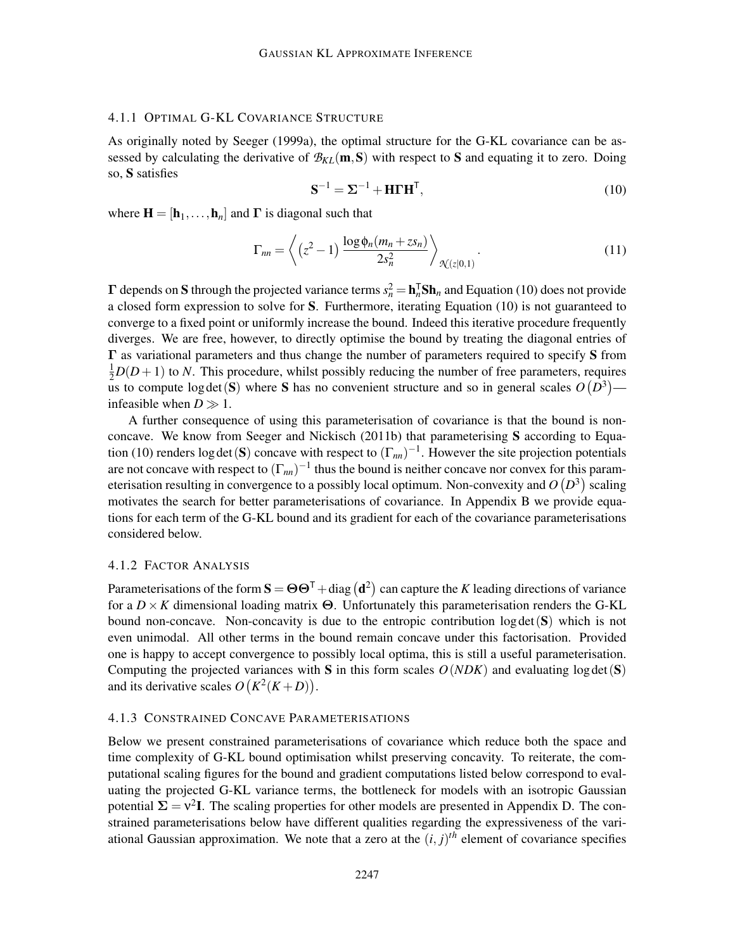### 4.1.1 OPTIMAL G-KL COVARIANCE STRUCTURE

As originally noted by Seeger (1999a), the optimal structure for the G-KL covariance can be assessed by calculating the derivative of  $\mathcal{B}_{KL}(m, S)$  with respect to S and equating it to zero. Doing so, S satisfies

$$
\mathbf{S}^{-1} = \mathbf{\Sigma}^{-1} + \mathbf{H} \mathbf{\Gamma} \mathbf{H}^{\mathsf{T}},\tag{10}
$$

where  $\mathbf{H} = [\mathbf{h}_1, \dots, \mathbf{h}_n]$  and  $\Gamma$  is diagonal such that

$$
\Gamma_{nn} = \left\langle (z^2 - 1) \frac{\log \phi_n(m_n + z s_n)}{2s_n^2} \right\rangle_{\mathcal{N}(z|0,1)}.
$$
\n(11)

 $\Gamma$  depends on S through the projected variance terms  $s_n^2 = \mathbf{h}_n^T \mathbf{Sh}_n$  and Equation (10) does not provide a closed form expression to solve for S. Furthermore, iterating Equation (10) is not guaranteed to converge to a fixed point or uniformly increase the bound. Indeed this iterative procedure frequently diverges. We are free, however, to directly optimise the bound by treating the diagonal entries of  $\Gamma$  as variational parameters and thus change the number of parameters required to specify S from  $\frac{1}{2}D(D+1)$  to *N*. This procedure, whilst possibly reducing the number of free parameters, requires us to compute  $log \det(S)$  where S has no convenient structure and so in general scales  $O(D^3)$  infeasible when  $D \gg 1$ .

A further consequence of using this parameterisation of covariance is that the bound is nonconcave. We know from Seeger and Nickisch (2011b) that parameterising S according to Equation (10) renders log det(S) concave with respect to  $(\Gamma_{nn})^{-1}$ . However the site projection potentials are not concave with respect to  $(\Gamma_{nn})^{-1}$  thus the bound is neither concave nor convex for this parameterisation resulting in convergence to a possibly local optimum. Non-convexity and  $O(D^3)$  scaling motivates the search for better parameterisations of covariance. In Appendix B we provide equations for each term of the G-KL bound and its gradient for each of the covariance parameterisations considered below.

#### 4.1.2 FACTOR ANALYSIS

Parameterisations of the form  $S = \Theta \Theta^{\mathsf{T}} + \text{diag}(\mathbf{d}^2)$  can capture the *K* leading directions of variance for a  $D \times K$  dimensional loading matrix  $\Theta$ . Unfortunately this parameterisation renders the G-KL bound non-concave. Non-concavity is due to the entropic contribution  $log \det(S)$  which is not even unimodal. All other terms in the bound remain concave under this factorisation. Provided one is happy to accept convergence to possibly local optima, this is still a useful parameterisation. Computing the projected variances with S in this form scales  $O(NDK)$  and evaluating log det(S) and its derivative scales  $O(K^2(K+D))$ .

## 4.1.3 CONSTRAINED CONCAVE PARAMETERISATIONS

Below we present constrained parameterisations of covariance which reduce both the space and time complexity of G-KL bound optimisation whilst preserving concavity. To reiterate, the computational scaling figures for the bound and gradient computations listed below correspond to evaluating the projected G-KL variance terms, the bottleneck for models with an isotropic Gaussian potential  $\Sigma = v^2 I$ . The scaling properties for other models are presented in Appendix D. The constrained parameterisations below have different qualities regarding the expressiveness of the variational Gaussian approximation. We note that a zero at the  $(i, j)$ <sup>th</sup> element of covariance specifies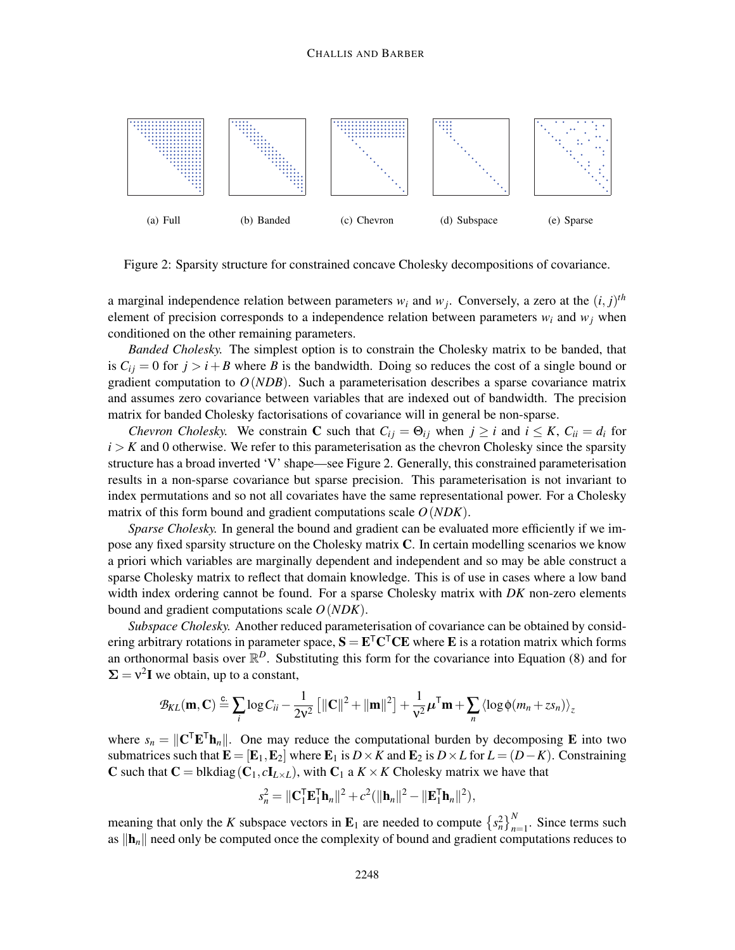

Figure 2: Sparsity structure for constrained concave Cholesky decompositions of covariance.

a marginal independence relation between parameters  $w_i$  and  $w_j$ . Conversely, a zero at the  $(i, j)$ <sup>th</sup> element of precision corresponds to a independence relation between parameters  $w_i$  and  $w_j$  when conditioned on the other remaining parameters.

*Banded Cholesky.* The simplest option is to constrain the Cholesky matrix to be banded, that is  $C_{ij} = 0$  for  $j > i + B$  where *B* is the bandwidth. Doing so reduces the cost of a single bound or gradient computation to  $O(NDB)$ . Such a parameterisation describes a sparse covariance matrix and assumes zero covariance between variables that are indexed out of bandwidth. The precision matrix for banded Cholesky factorisations of covariance will in general be non-sparse.

*Chevron Cholesky.* We constrain **C** such that  $C_{ij} = \Theta_{ij}$  when  $j \ge i$  and  $i \le K$ ,  $C_{ii} = d_i$  for  $i > K$  and 0 otherwise. We refer to this parameterisation as the chevron Cholesky since the sparsity structure has a broad inverted 'V' shape—see Figure 2. Generally, this constrained parameterisation results in a non-sparse covariance but sparse precision. This parameterisation is not invariant to index permutations and so not all covariates have the same representational power. For a Cholesky matrix of this form bound and gradient computations scale *O*(*NDK*).

*Sparse Cholesky.* In general the bound and gradient can be evaluated more efficiently if we impose any fixed sparsity structure on the Cholesky matrix C. In certain modelling scenarios we know a priori which variables are marginally dependent and independent and so may be able construct a sparse Cholesky matrix to reflect that domain knowledge. This is of use in cases where a low band width index ordering cannot be found. For a sparse Cholesky matrix with *DK* non-zero elements bound and gradient computations scale *O*(*NDK*).

*Subspace Cholesky.* Another reduced parameterisation of covariance can be obtained by considering arbitrary rotations in parameter space,  $S = E<sup>T</sup>C<sup>T</sup>CE$  where E is a rotation matrix which forms an orthonormal basis over  $\mathbb{R}^D$ . Substituting this form for the covariance into Equation (8) and for  $\Sigma = v^2 I$  we obtain, up to a constant,

$$
\mathcal{B}_{KL}(\mathbf{m}, \mathbf{C}) \stackrel{c}{=} \sum_{i} \log C_{ii} - \frac{1}{2v^2} \left[ ||\mathbf{C}||^2 + ||\mathbf{m}||^2 \right] + \frac{1}{v^2} \boldsymbol{\mu}^{\mathsf{T}} \mathbf{m} + \sum_{n} \left\langle \log \phi(m_n + z s_n) \right\rangle_z
$$

where  $s_n = ||\mathbf{C}^\top \mathbf{E}^\top \mathbf{h}_n||$ . One may reduce the computational burden by decomposing **E** into two submatrices such that  $\mathbf{E} = [\mathbf{E}_1, \mathbf{E}_2]$  where  $\mathbf{E}_1$  is  $D \times K$  and  $\mathbf{E}_2$  is  $D \times L$  for  $L = (D - K)$ . Constraining C such that  $C = \text{blkdiag}(C_1, cI_{L \times L})$ , with  $C_1$  a  $K \times K$  Cholesky matrix we have that

$$
s_n^2 = \|\mathbf{C}_1^{\mathsf{T}} \mathbf{E}_1^{\mathsf{T}} \mathbf{h}_n\|^2 + c^2 (\|\mathbf{h}_n\|^2 - \|\mathbf{E}_1^{\mathsf{T}} \mathbf{h}_n\|^2),
$$

meaning that only the *K* subspace vectors in  $\mathbf{E}_1$  are needed to compute  $\left\{ s_n^2 \right\}_{n=1}^N$ . Since terms such as  $\|\mathbf{h}_n\|$  need only be computed once the complexity of bound and gradient computations reduces to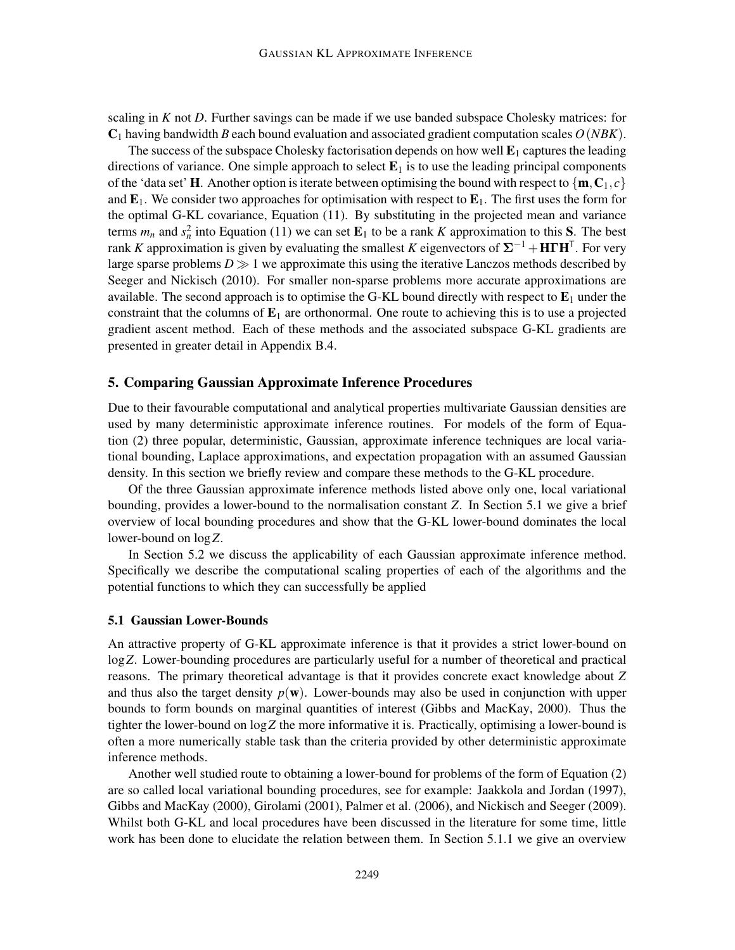scaling in *K* not *D*. Further savings can be made if we use banded subspace Cholesky matrices: for  $C_1$  having bandwidth *B* each bound evaluation and associated gradient computation scales  $O(NBK)$ .

The success of the subspace Cholesky factorisation depends on how well  $E_1$  captures the leading directions of variance. One simple approach to select  $E_1$  is to use the leading principal components of the 'data set' **H**. Another option is iterate between optimising the bound with respect to  $\{m, C_1, c\}$ and  $\mathbf{E}_1$ . We consider two approaches for optimisation with respect to  $\mathbf{E}_1$ . The first uses the form for the optimal G-KL covariance, Equation (11). By substituting in the projected mean and variance terms  $m_n$  and  $s_n^2$  into Equation (11) we can set  $\mathbf{E}_1$  to be a rank *K* approximation to this **S**. The best rank *K* approximation is given by evaluating the smallest *K* eigenvectors of  $\Sigma^{-1} + H\Gamma H^{\top}$ . For very large sparse problems  $D \gg 1$  we approximate this using the iterative Lanczos methods described by Seeger and Nickisch (2010). For smaller non-sparse problems more accurate approximations are available. The second approach is to optimise the G-KL bound directly with respect to  $E_1$  under the constraint that the columns of  $E_1$  are orthonormal. One route to achieving this is to use a projected gradient ascent method. Each of these methods and the associated subspace G-KL gradients are presented in greater detail in Appendix B.4.

## 5. Comparing Gaussian Approximate Inference Procedures

Due to their favourable computational and analytical properties multivariate Gaussian densities are used by many deterministic approximate inference routines. For models of the form of Equation (2) three popular, deterministic, Gaussian, approximate inference techniques are local variational bounding, Laplace approximations, and expectation propagation with an assumed Gaussian density. In this section we briefly review and compare these methods to the G-KL procedure.

Of the three Gaussian approximate inference methods listed above only one, local variational bounding, provides a lower-bound to the normalisation constant *Z*. In Section 5.1 we give a brief overview of local bounding procedures and show that the G-KL lower-bound dominates the local lower-bound on log*Z*.

In Section 5.2 we discuss the applicability of each Gaussian approximate inference method. Specifically we describe the computational scaling properties of each of the algorithms and the potential functions to which they can successfully be applied

## 5.1 Gaussian Lower-Bounds

An attractive property of G-KL approximate inference is that it provides a strict lower-bound on log*Z*. Lower-bounding procedures are particularly useful for a number of theoretical and practical reasons. The primary theoretical advantage is that it provides concrete exact knowledge about *Z* and thus also the target density  $p(\mathbf{w})$ . Lower-bounds may also be used in conjunction with upper bounds to form bounds on marginal quantities of interest (Gibbs and MacKay, 2000). Thus the tighter the lower-bound on log*Z* the more informative it is. Practically, optimising a lower-bound is often a more numerically stable task than the criteria provided by other deterministic approximate inference methods.

Another well studied route to obtaining a lower-bound for problems of the form of Equation (2) are so called local variational bounding procedures, see for example: Jaakkola and Jordan (1997), Gibbs and MacKay (2000), Girolami (2001), Palmer et al. (2006), and Nickisch and Seeger (2009). Whilst both G-KL and local procedures have been discussed in the literature for some time, little work has been done to elucidate the relation between them. In Section 5.1.1 we give an overview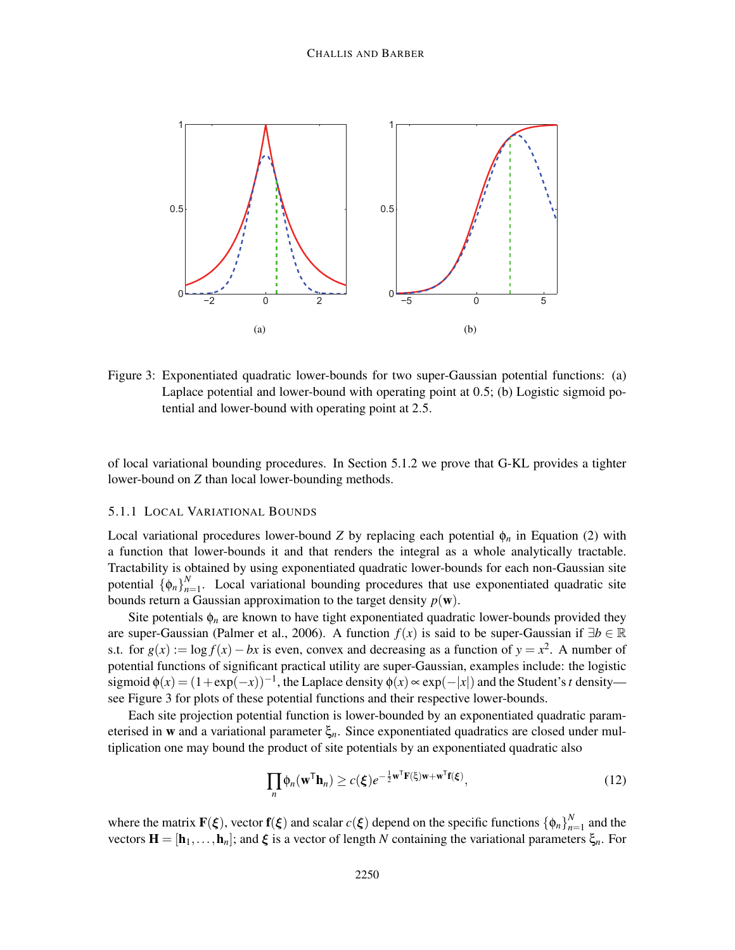

Figure 3: Exponentiated quadratic lower-bounds for two super-Gaussian potential functions: (a) Laplace potential and lower-bound with operating point at 0.5; (b) Logistic sigmoid potential and lower-bound with operating point at 2.5.

of local variational bounding procedures. In Section 5.1.2 we prove that G-KL provides a tighter lower-bound on *Z* than local lower-bounding methods.

### 5.1.1 LOCAL VARIATIONAL BOUNDS

Local variational procedures lower-bound *Z* by replacing each potential  $\phi_n$  in Equation (2) with a function that lower-bounds it and that renders the integral as a whole analytically tractable. Tractability is obtained by using exponentiated quadratic lower-bounds for each non-Gaussian site potential  $\{\phi_n\}_{n=1}^N$  $n_{n=1}^{N}$ . Local variational bounding procedures that use exponentiated quadratic site bounds return a Gaussian approximation to the target density  $p(\mathbf{w})$ .

Site potentials  $\phi_n$  are known to have tight exponentiated quadratic lower-bounds provided they are super-Gaussian (Palmer et al., 2006). A function  $f(x)$  is said to be super-Gaussian if  $\exists b \in \mathbb{R}$ s.t. for  $g(x) := \log f(x) - bx$  is even, convex and decreasing as a function of  $y = x^2$ . A number of potential functions of significant practical utility are super-Gaussian, examples include: the logistic sigmoid  $\phi(x) = (1 + \exp(-x))^{-1}$ , the Laplace density  $\phi(x) \propto \exp(-|x|)$  and the Student's *t* density see Figure 3 for plots of these potential functions and their respective lower-bounds.

Each site projection potential function is lower-bounded by an exponentiated quadratic parameterised in w and a variational parameter ξ*n*. Since exponentiated quadratics are closed under multiplication one may bound the product of site potentials by an exponentiated quadratic also

$$
\prod_{n} \phi_n(\mathbf{w}^{\mathsf{T}} \mathbf{h}_n) \ge c(\boldsymbol{\xi}) e^{-\frac{1}{2} \mathbf{w}^{\mathsf{T}} \mathbf{F}(\boldsymbol{\xi}) \mathbf{w} + \mathbf{w}^{\mathsf{T}} \mathbf{f}(\boldsymbol{\xi})},\tag{12}
$$

where the matrix  $\mathbf{F}(\xi)$ , vector  $\mathbf{f}(\xi)$  and scalar  $c(\xi)$  depend on the specific functions  $\{\phi_n\}_{n=1}^N$  $n=1$  and the vectors  $\mathbf{H} = [\mathbf{h}_1,\ldots,\mathbf{h}_n]$ ; and  $\xi$  is a vector of length *N* containing the variational parameters  $\xi_n$ . For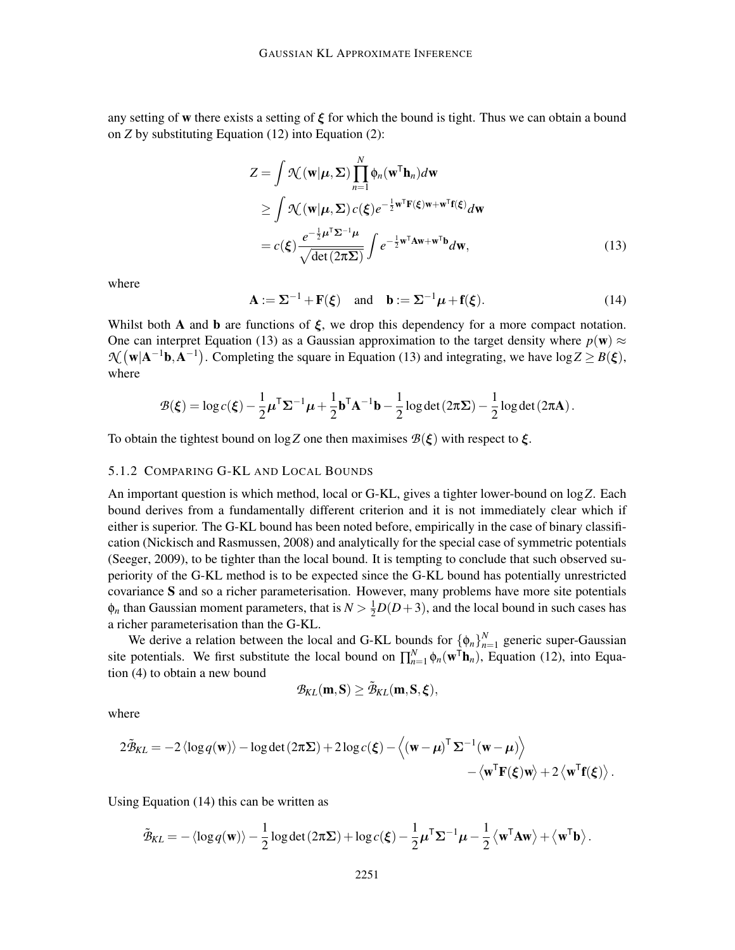any setting of w there exists a setting of  $\xi$  for which the bound is tight. Thus we can obtain a bound on *Z* by substituting Equation (12) into Equation (2):

$$
Z = \int \mathcal{N}(\mathbf{w}|\boldsymbol{\mu}, \boldsymbol{\Sigma}) \prod_{n=1}^{N} \phi_n(\mathbf{w}^{\mathsf{T}} \mathbf{h}_n) d\mathbf{w}
$$
  
\n
$$
\geq \int \mathcal{N}(\mathbf{w}|\boldsymbol{\mu}, \boldsymbol{\Sigma}) c(\boldsymbol{\xi}) e^{-\frac{1}{2}\mathbf{w}^{\mathsf{T}} \mathbf{F}(\boldsymbol{\xi})\mathbf{w} + \mathbf{w}^{\mathsf{T}} \mathbf{f}(\boldsymbol{\xi})} d\mathbf{w}
$$
  
\n
$$
= c(\boldsymbol{\xi}) \frac{e^{-\frac{1}{2}\boldsymbol{\mu}^{\mathsf{T}} \boldsymbol{\Sigma}^{-1} \boldsymbol{\mu}}}{\sqrt{\det(2\pi \boldsymbol{\Sigma})}} \int e^{-\frac{1}{2}\mathbf{w}^{\mathsf{T}} \mathbf{A}\mathbf{w} + \mathbf{w}^{\mathsf{T}} \mathbf{b}} d\mathbf{w},
$$
\n(13)

where

$$
\mathbf{A} := \Sigma^{-1} + \mathbf{F}(\xi) \quad \text{and} \quad \mathbf{b} := \Sigma^{-1} \boldsymbol{\mu} + \mathbf{f}(\xi). \tag{14}
$$

Whilst both A and b are functions of  $\xi$ , we drop this dependency for a more compact notation. One can interpret Equation (13) as a Gaussian approximation to the target density where  $p(\mathbf{w}) \approx$  $\mathcal{N}(\mathbf{w}|\mathbf{A}^{-1}\mathbf{b},\mathbf{A}^{-1})$ . Completing the square in Equation (13) and integrating, we have  $\log Z \ge B(\xi)$ , where

$$
\mathcal{B}(\xi) = \log c(\xi) - \frac{1}{2}\mu^{\mathsf{T}}\Sigma^{-1}\mu + \frac{1}{2}\mathbf{b}^{\mathsf{T}}\mathbf{A}^{-1}\mathbf{b} - \frac{1}{2}\log \det(2\pi\Sigma) - \frac{1}{2}\log \det(2\pi\mathbf{A}).
$$

To obtain the tightest bound on log Z one then maximises  $B(\xi)$  with respect to  $\xi$ .

#### 5.1.2 COMPARING G-KL AND LOCAL BOUNDS

An important question is which method, local or G-KL, gives a tighter lower-bound on log*Z*. Each bound derives from a fundamentally different criterion and it is not immediately clear which if either is superior. The G-KL bound has been noted before, empirically in the case of binary classification (Nickisch and Rasmussen, 2008) and analytically for the special case of symmetric potentials (Seeger, 2009), to be tighter than the local bound. It is tempting to conclude that such observed superiority of the G-KL method is to be expected since the G-KL bound has potentially unrestricted covariance S and so a richer parameterisation. However, many problems have more site potentials  $\phi_n$  than Gaussian moment parameters, that is  $N > \frac{1}{2}D(D+3)$ , and the local bound in such cases has a richer parameterisation than the G-KL.

We derive a relation between the local and G-KL bounds for  $\{\phi_n\}_{n=1}^N$  $\sum_{n=1}^{N}$  generic super-Gaussian site potentials. We first substitute the local bound on  $\prod_{n=1}^{N} \phi_n(\mathbf{w}^T \mathbf{h}_n)$ , Equation (12), into Equation (4) to obtain a new bound

$$
\mathcal{B}_{\text{KL}}(m,S) \geq \tilde{\mathcal{B}}_{\text{KL}}(m,S,\xi),
$$

where

$$
2\tilde{\mathcal{B}}_{KL} = -2 \langle \log q(\mathbf{w}) \rangle - \log \det (2\pi \Sigma) + 2 \log c(\boldsymbol{\xi}) - \langle (\mathbf{w} - \boldsymbol{\mu})^{\mathsf{T}} \Sigma^{-1} (\mathbf{w} - \boldsymbol{\mu}) \rangle - \langle \mathbf{w}^{\mathsf{T}} \mathbf{F}(\boldsymbol{\xi}) \mathbf{w} \rangle + 2 \langle \mathbf{w}^{\mathsf{T}} \mathbf{f}(\boldsymbol{\xi}) \rangle.
$$

Using Equation (14) this can be written as

$$
\tilde{\mathcal{B}}_{KL} = -\langle \log q(\mathbf{w}) \rangle - \frac{1}{2} \log \det (2\pi \Sigma) + \log c(\boldsymbol{\xi}) - \frac{1}{2} \boldsymbol{\mu}^{\mathsf{T}} \Sigma^{-1} \boldsymbol{\mu} - \frac{1}{2} \langle \mathbf{w}^{\mathsf{T}} \mathbf{A} \mathbf{w} \rangle + \langle \mathbf{w}^{\mathsf{T}} \mathbf{b} \rangle.
$$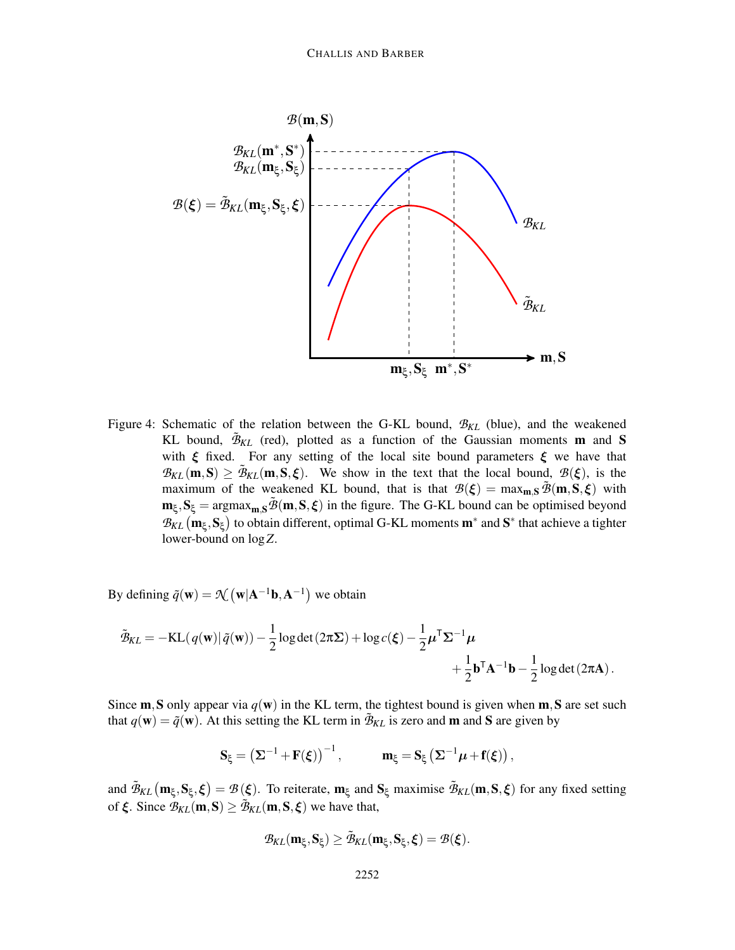

Figure 4: Schematic of the relation between the G-KL bound, *BKL* (blue), and the weakened KL bound,  $\tilde{\mathcal{B}}_{KL}$  (red), plotted as a function of the Gaussian moments **m** and **S** with  $\xi$  fixed. For any setting of the local site bound parameters  $\xi$  we have that  $B_{KL}$  (m, S)  $\geq \tilde{B}_{KL}$  (m, S,  $\xi$ ). We show in the text that the local bound,  $B(\xi)$ , is the maximum of the weakened KL bound, that is that  $\mathcal{B}(\xi) = \max_{\mathbf{m},\mathbf{S}} \tilde{\mathcal{B}}(\mathbf{m},\mathbf{S},\xi)$  with  $m_{\xi}$ ,  $S_{\xi}$  = argmax<sub>m,S</sub> $\tilde{\mathcal{B}}(m, S, \xi)$  in the figure. The G-KL bound can be optimised beyond  $\mathcal{B}_{KL}$  ( $\mathbf{m}_{\xi}, \mathbf{S}_{\xi}$ ) to obtain different, optimal G-KL moments  $\mathbf{m}^*$  and  $\mathbf{S}^*$  that achieve a tighter lower-bound on log*Z*.

By defining  $\tilde{q}(\mathbf{w}) = \mathcal{N}(\mathbf{w}|\mathbf{A}^{-1}\mathbf{b}, \mathbf{A}^{-1})$  we obtain

$$
\tilde{\mathcal{B}}_{KL} = -KL(q(\mathbf{w})|\tilde{q}(\mathbf{w})) - \frac{1}{2}\log \det(2\pi\Sigma) + \log c(\boldsymbol{\xi}) - \frac{1}{2}\boldsymbol{\mu}^{\mathsf{T}}\boldsymbol{\Sigma}^{-1}\boldsymbol{\mu} + \frac{1}{2}\mathbf{b}^{\mathsf{T}}\mathbf{A}^{-1}\mathbf{b} - \frac{1}{2}\log \det(2\pi\mathbf{A}).
$$

Since **m**, S only appear via  $q(\mathbf{w})$  in the KL term, the tightest bound is given when **m**, S are set such that  $q(\mathbf{w}) = \tilde{q}(\mathbf{w})$ . At this setting the KL term in  $\tilde{\mathcal{B}}_{KL}$  is zero and **m** and **S** are given by

$$
S_{\xi}=\left(\Sigma^{-1}+F(\xi)\right)^{-1}, \qquad \quad m_{\xi}=S_{\xi}\left(\Sigma^{-1}\mu+f(\xi)\right),
$$

and  $\tilde{\mathcal{B}}_{KL}(\mathbf{m}_{\xi}, \mathbf{S}_{\xi}, \xi) = \mathcal{B}(\xi)$ . To reiterate,  $\mathbf{m}_{\xi}$  and  $\mathbf{S}_{\xi}$  maximise  $\tilde{\mathcal{B}}_{KL}(\mathbf{m}, \mathbf{S}, \xi)$  for any fixed setting of  $\xi$ . Since  $\mathcal{B}_{KL}(\mathbf{m}, \mathbf{S}) \ge \tilde{\mathcal{B}}_{KL}(\mathbf{m}, \mathbf{S}, \xi)$  we have that,

$$
\mathcal{B}_{\text{KL}}(m_\xi,S_\xi)\geq \tilde{\mathcal{B}}_{\text{KL}}(m_\xi,S_\xi,\xi)=\mathcal{B}(\xi).
$$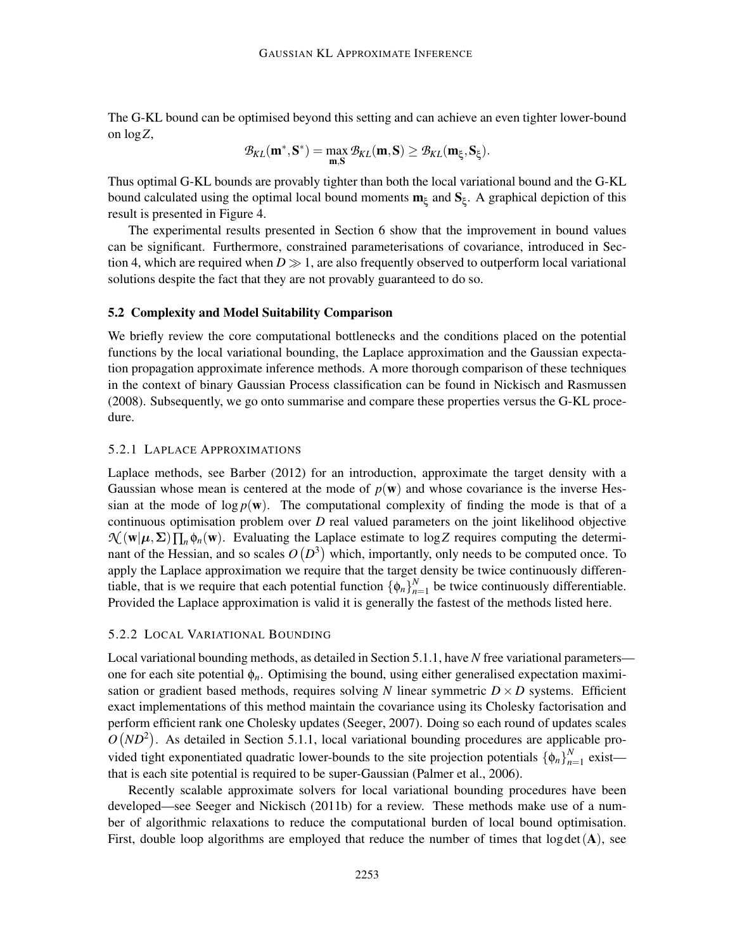The G-KL bound can be optimised beyond this setting and can achieve an even tighter lower-bound on log*Z*,

$$
\mathcal{B}_{\text{KL}}(m^*,S^*) = \max_{m,S} \mathcal{B}_{\text{KL}}(m,S) \geq \mathcal{B}_{\text{KL}}(m_\xi,S_\xi).
$$

Thus optimal G-KL bounds are provably tighter than both the local variational bound and the G-KL bound calculated using the optimal local bound moments  $m_{\xi}$  and  $S_{\xi}$ . A graphical depiction of this result is presented in Figure 4.

The experimental results presented in Section 6 show that the improvement in bound values can be significant. Furthermore, constrained parameterisations of covariance, introduced in Section 4, which are required when  $D \gg 1$ , are also frequently observed to outperform local variational solutions despite the fact that they are not provably guaranteed to do so.

### 5.2 Complexity and Model Suitability Comparison

We briefly review the core computational bottlenecks and the conditions placed on the potential functions by the local variational bounding, the Laplace approximation and the Gaussian expectation propagation approximate inference methods. A more thorough comparison of these techniques in the context of binary Gaussian Process classification can be found in Nickisch and Rasmussen (2008). Subsequently, we go onto summarise and compare these properties versus the G-KL procedure.

### 5.2.1 LAPLACE APPROXIMATIONS

Laplace methods, see Barber (2012) for an introduction, approximate the target density with a Gaussian whose mean is centered at the mode of  $p(w)$  and whose covariance is the inverse Hessian at the mode of  $\log p(\mathbf{w})$ . The computational complexity of finding the mode is that of a continuous optimisation problem over *D* real valued parameters on the joint likelihood objective  $\mathcal{N}(\mathbf{w}|\boldsymbol{\mu}, \boldsymbol{\Sigma}) \prod_{n} \phi_n(\mathbf{w})$ . Evaluating the Laplace estimate to log*Z* requires computing the determinant of the Hessian, and so scales  $O(D^3)$  which, importantly, only needs to be computed once. To apply the Laplace approximation we require that the target density be twice continuously differentiable, that is we require that each potential function  $\{\phi_n\}_{n=1}^N$  $\sum_{n=1}^{N}$  be twice continuously differentiable. Provided the Laplace approximation is valid it is generally the fastest of the methods listed here.

### 5.2.2 LOCAL VARIATIONAL BOUNDING

Local variational bounding methods, as detailed in Section 5.1.1, have *N* free variational parameters one for each site potential  $\phi_n$ . Optimising the bound, using either generalised expectation maximisation or gradient based methods, requires solving *N* linear symmetric  $D \times D$  systems. Efficient exact implementations of this method maintain the covariance using its Cholesky factorisation and perform efficient rank one Cholesky updates (Seeger, 2007). Doing so each round of updates scales  $O(ND^2)$ . As detailed in Section 5.1.1, local variational bounding procedures are applicable provided tight exponentiated quadratic lower-bounds to the site projection potentials  $\{\phi_n\}_{n=1}^N$  $n=1$  exist that is each site potential is required to be super-Gaussian (Palmer et al., 2006).

Recently scalable approximate solvers for local variational bounding procedures have been developed—see Seeger and Nickisch (2011b) for a review. These methods make use of a number of algorithmic relaxations to reduce the computational burden of local bound optimisation. First, double loop algorithms are employed that reduce the number of times that  $log \det(A)$ , see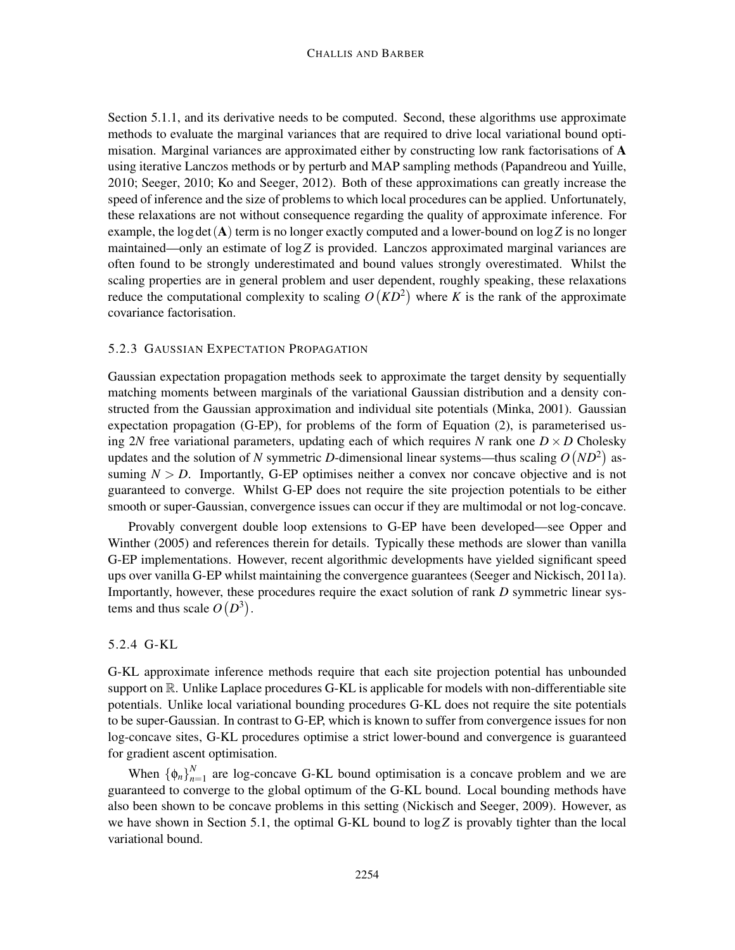Section 5.1.1, and its derivative needs to be computed. Second, these algorithms use approximate methods to evaluate the marginal variances that are required to drive local variational bound optimisation. Marginal variances are approximated either by constructing low rank factorisations of A using iterative Lanczos methods or by perturb and MAP sampling methods (Papandreou and Yuille, 2010; Seeger, 2010; Ko and Seeger, 2012). Both of these approximations can greatly increase the speed of inference and the size of problems to which local procedures can be applied. Unfortunately, these relaxations are not without consequence regarding the quality of approximate inference. For example, the log det  $(A)$  term is no longer exactly computed and a lower-bound on  $\log Z$  is no longer maintained—only an estimate of log*Z* is provided. Lanczos approximated marginal variances are often found to be strongly underestimated and bound values strongly overestimated. Whilst the scaling properties are in general problem and user dependent, roughly speaking, these relaxations reduce the computational complexity to scaling  $O(KD^2)$  where *K* is the rank of the approximate covariance factorisation.

## 5.2.3 GAUSSIAN EXPECTATION PROPAGATION

Gaussian expectation propagation methods seek to approximate the target density by sequentially matching moments between marginals of the variational Gaussian distribution and a density constructed from the Gaussian approximation and individual site potentials (Minka, 2001). Gaussian expectation propagation (G-EP), for problems of the form of Equation (2), is parameterised using 2*N* free variational parameters, updating each of which requires *N* rank one  $D \times D$  Cholesky updates and the solution of *N* symmetric *D*-dimensional linear systems—thus scaling  $O(ND^2)$  assuming  $N > D$ . Importantly, G-EP optimises neither a convex nor concave objective and is not guaranteed to converge. Whilst G-EP does not require the site projection potentials to be either smooth or super-Gaussian, convergence issues can occur if they are multimodal or not log-concave.

Provably convergent double loop extensions to G-EP have been developed—see Opper and Winther (2005) and references therein for details. Typically these methods are slower than vanilla G-EP implementations. However, recent algorithmic developments have yielded significant speed ups over vanilla G-EP whilst maintaining the convergence guarantees (Seeger and Nickisch, 2011a). Importantly, however, these procedures require the exact solution of rank *D* symmetric linear systems and thus scale  $O(D^3)$ .

## 5.2.4 G-KL

G-KL approximate inference methods require that each site projection potential has unbounded support on  $\mathbb{R}$ . Unlike Laplace procedures G-KL is applicable for models with non-differentiable site potentials. Unlike local variational bounding procedures G-KL does not require the site potentials to be super-Gaussian. In contrast to G-EP, which is known to suffer from convergence issues for non log-concave sites, G-KL procedures optimise a strict lower-bound and convergence is guaranteed for gradient ascent optimisation.

When  $\{\phi_n\}_{n=1}^N$  $n_{n=1}^{N}$  are log-concave G-KL bound optimisation is a concave problem and we are guaranteed to converge to the global optimum of the G-KL bound. Local bounding methods have also been shown to be concave problems in this setting (Nickisch and Seeger, 2009). However, as we have shown in Section 5.1, the optimal G-KL bound to log*Z* is provably tighter than the local variational bound.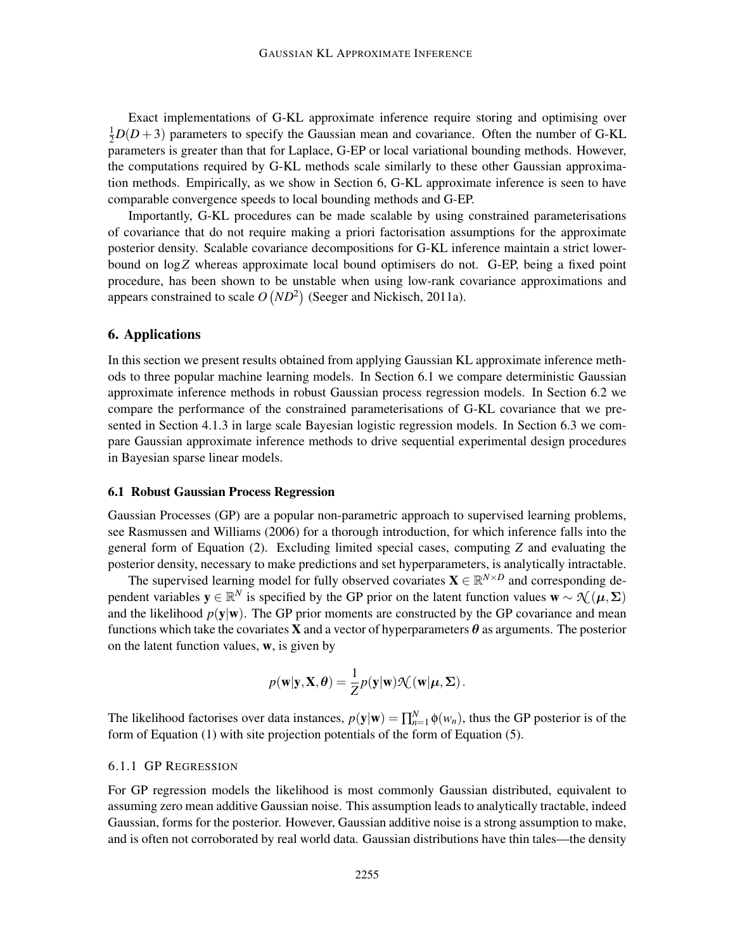Exact implementations of G-KL approximate inference require storing and optimising over  $\frac{1}{2}D(D+3)$  parameters to specify the Gaussian mean and covariance. Often the number of G-KL parameters is greater than that for Laplace, G-EP or local variational bounding methods. However, the computations required by G-KL methods scale similarly to these other Gaussian approximation methods. Empirically, as we show in Section 6, G-KL approximate inference is seen to have comparable convergence speeds to local bounding methods and G-EP.

Importantly, G-KL procedures can be made scalable by using constrained parameterisations of covariance that do not require making a priori factorisation assumptions for the approximate posterior density. Scalable covariance decompositions for G-KL inference maintain a strict lowerbound on log*Z* whereas approximate local bound optimisers do not. G-EP, being a fixed point procedure, has been shown to be unstable when using low-rank covariance approximations and appears constrained to scale  $O(ND^2)$  (Seeger and Nickisch, 2011a).

## 6. Applications

In this section we present results obtained from applying Gaussian KL approximate inference methods to three popular machine learning models. In Section 6.1 we compare deterministic Gaussian approximate inference methods in robust Gaussian process regression models. In Section 6.2 we compare the performance of the constrained parameterisations of G-KL covariance that we presented in Section 4.1.3 in large scale Bayesian logistic regression models. In Section 6.3 we compare Gaussian approximate inference methods to drive sequential experimental design procedures in Bayesian sparse linear models.

## 6.1 Robust Gaussian Process Regression

Gaussian Processes (GP) are a popular non-parametric approach to supervised learning problems, see Rasmussen and Williams (2006) for a thorough introduction, for which inference falls into the general form of Equation (2). Excluding limited special cases, computing *Z* and evaluating the posterior density, necessary to make predictions and set hyperparameters, is analytically intractable.

The supervised learning model for fully observed covariates  $\mathbf{X} \in \mathbb{R}^{N \times D}$  and corresponding dependent variables  $y \in \mathbb{R}^N$  is specified by the GP prior on the latent function values  $w \sim \mathcal{N}(\mu, \Sigma)$ and the likelihood  $p(y|w)$ . The GP prior moments are constructed by the GP covariance and mean functions which take the covariates **X** and a vector of hyperparameters  $\theta$  as arguments. The posterior on the latent function values, w, is given by

$$
p(\mathbf{w}|\mathbf{y}, \mathbf{X}, \boldsymbol{\theta}) = \frac{1}{Z} p(\mathbf{y}|\mathbf{w}) \mathcal{K}(\mathbf{w}|\boldsymbol{\mu}, \boldsymbol{\Sigma}).
$$

The likelihood factorises over data instances,  $p(y|w) = \prod_{n=1}^{N} \phi(w_n)$ , thus the GP posterior is of the form of Equation (1) with site projection potentials of the form of Equation (5).

### 6.1.1 GP REGRESSION

For GP regression models the likelihood is most commonly Gaussian distributed, equivalent to assuming zero mean additive Gaussian noise. This assumption leads to analytically tractable, indeed Gaussian, forms for the posterior. However, Gaussian additive noise is a strong assumption to make, and is often not corroborated by real world data. Gaussian distributions have thin tales—the density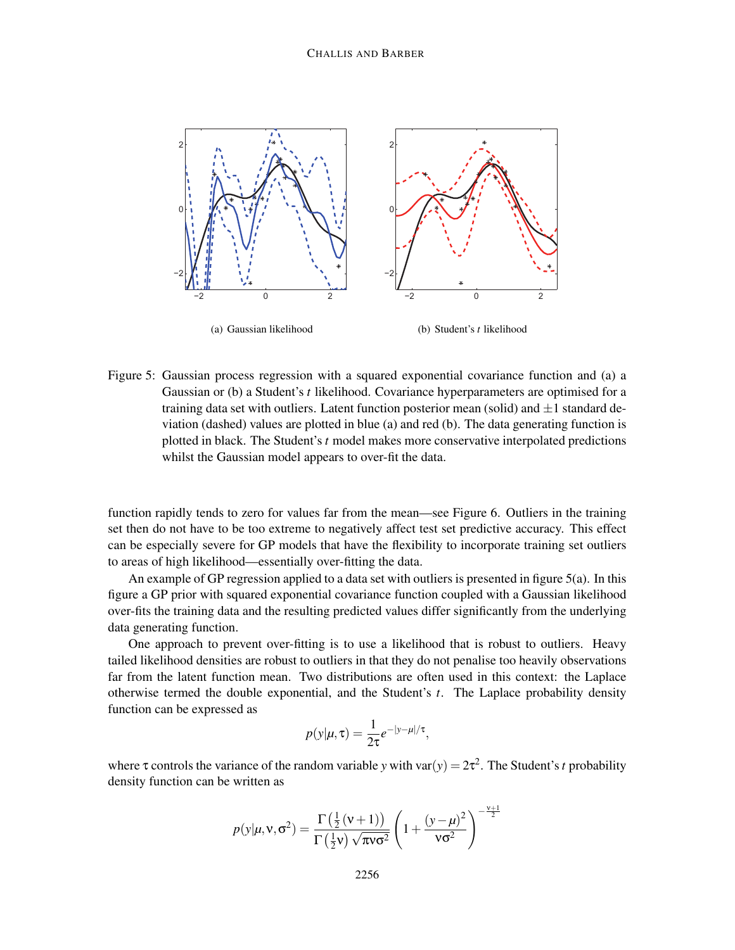

Figure 5: Gaussian process regression with a squared exponential covariance function and (a) a Gaussian or (b) a Student's *t* likelihood. Covariance hyperparameters are optimised for a training data set with outliers. Latent function posterior mean (solid) and  $\pm 1$  standard deviation (dashed) values are plotted in blue (a) and red (b). The data generating function is plotted in black. The Student's *t* model makes more conservative interpolated predictions whilst the Gaussian model appears to over-fit the data.

function rapidly tends to zero for values far from the mean—see Figure 6. Outliers in the training set then do not have to be too extreme to negatively affect test set predictive accuracy. This effect can be especially severe for GP models that have the flexibility to incorporate training set outliers to areas of high likelihood—essentially over-fitting the data.

An example of GP regression applied to a data set with outliers is presented in figure  $5(a)$ . In this figure a GP prior with squared exponential covariance function coupled with a Gaussian likelihood over-fits the training data and the resulting predicted values differ significantly from the underlying data generating function.

One approach to prevent over-fitting is to use a likelihood that is robust to outliers. Heavy tailed likelihood densities are robust to outliers in that they do not penalise too heavily observations far from the latent function mean. Two distributions are often used in this context: the Laplace otherwise termed the double exponential, and the Student's *t*. The Laplace probability density function can be expressed as

$$
p(y|\mu, \tau) = \frac{1}{2\tau} e^{-|y-\mu|/\tau},
$$

where  $\tau$  controls the variance of the random variable *y* with var $(y) = 2\tau^2$ . The Student's *t* probability density function can be written as

$$
p(y|\mu, \mathbf{v}, \sigma^2) = \frac{\Gamma(\frac{1}{2}(\mathbf{v}+1))}{\Gamma(\frac{1}{2}\mathbf{v})\sqrt{\pi \mathbf{v} \sigma^2}} \left(1 + \frac{(y-\mu)^2}{\mathbf{v} \sigma^2}\right)^{-\frac{\mathbf{v}+1}{2}}
$$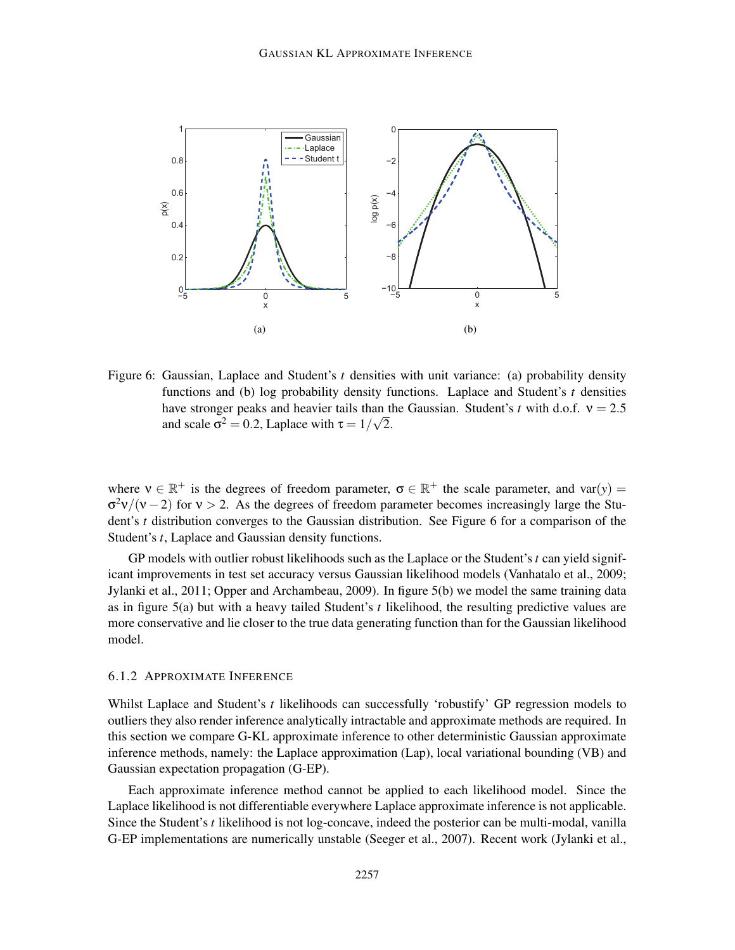

Figure 6: Gaussian, Laplace and Student's *t* densities with unit variance: (a) probability density functions and (b) log probability density functions. Laplace and Student's *t* densities have stronger peaks and heavier tails than the Gaussian. Student's *t* with d.o.f.  $v = 2.5$ and scale  $\sigma^2 = 0.2$ , Laplace with  $\tau = 1/\sqrt{2}$ .

where  $v \in \mathbb{R}^+$  is the degrees of freedom parameter,  $\sigma \in \mathbb{R}^+$  the scale parameter, and var $(y)$  =  $\sigma^2 v/(v-2)$  for  $v > 2$ . As the degrees of freedom parameter becomes increasingly large the Student's *t* distribution converges to the Gaussian distribution. See Figure 6 for a comparison of the Student's *t*, Laplace and Gaussian density functions.

GP models with outlier robust likelihoods such as the Laplace or the Student's*t* can yield significant improvements in test set accuracy versus Gaussian likelihood models (Vanhatalo et al., 2009; Jylanki et al., 2011; Opper and Archambeau, 2009). In figure 5(b) we model the same training data as in figure 5(a) but with a heavy tailed Student's *t* likelihood, the resulting predictive values are more conservative and lie closer to the true data generating function than for the Gaussian likelihood model.

### 6.1.2 APPROXIMATE INFERENCE

Whilst Laplace and Student's *t* likelihoods can successfully 'robustify' GP regression models to outliers they also render inference analytically intractable and approximate methods are required. In this section we compare G-KL approximate inference to other deterministic Gaussian approximate inference methods, namely: the Laplace approximation (Lap), local variational bounding (VB) and Gaussian expectation propagation (G-EP).

Each approximate inference method cannot be applied to each likelihood model. Since the Laplace likelihood is not differentiable everywhere Laplace approximate inference is not applicable. Since the Student's *t* likelihood is not log-concave, indeed the posterior can be multi-modal, vanilla G-EP implementations are numerically unstable (Seeger et al., 2007). Recent work (Jylanki et al.,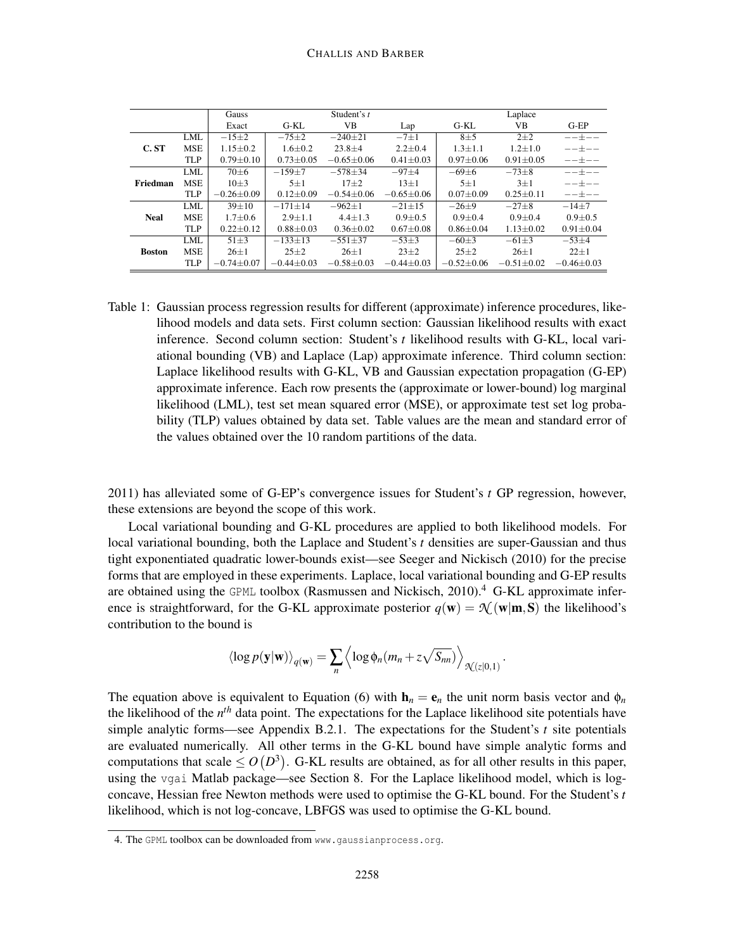|               |            | Gauss            | Student's t      |                  |                 | Laplace          |                  |                 |
|---------------|------------|------------------|------------------|------------------|-----------------|------------------|------------------|-----------------|
|               |            |                  | G-KL             | VВ               | Lap             | $G-KL$           | VB               | $G-EP$          |
|               | <b>LML</b> | $-15\pm 2$       | $-75\pm 2$       | $-240+21$        | $-7\pm1$        | $8\pm5$          | $2\pm2$          | ——+——           |
| C. ST         | <b>MSE</b> | $1.15 \pm 0.2$   | $1.6 \pm 0.2$    | $23.8 \pm 4$     | $2.2 \pm 0.4$   | $1.3 \pm 1.1$    | $1.2 \pm 1.0$    |                 |
|               | <b>TLP</b> | $0.79 \pm 0.10$  | $0.73 \pm 0.05$  | $-0.65 + 0.06$   | $0.41 \pm 0.03$ | $0.97 \pm 0.06$  | $0.91 \pm 0.05$  | ——+——           |
|               | <b>LML</b> | $70\pm 6$        | $-159+7$         | $-578 + 34$      | $-97+4$         | $-69\pm 6$       | $-73\pm8$        | ——+——           |
| Friedman      | <b>MSE</b> | $10\pm3$         | $5 + 1$          | $17 + 2$         | $13+1$          | $5 + 1$          | $3+1$            | $---+---$       |
|               | <b>TLP</b> | $-0.26 + 0.09$   | $0.12 + 0.09$    | $-0.54 + 0.06$   | $-0.65 + 0.06$  | $0.07 \pm 0.09$  | $0.25 + 0.11$    | ——+——           |
|               | <b>LML</b> | $39 \pm 10$      | $-171 + 14$      | $-962+1$         | $-21+15$        | $-26+9$          | $-27+8$          | $-14+7$         |
| <b>Neal</b>   | <b>MSE</b> | $1.7 \pm 0.6$    | $2.9 + 1.1$      | $4.4 + 1.3$      | $0.9 + 0.5$     | $0.9 + 0.4$      | $0.9 + 0.4$      | $0.9 + 0.5$     |
|               | <b>TLP</b> | $0.22 \pm 0.12$  | $0.88 \pm 0.03$  | $0.36 \pm 0.02$  | $0.67 \pm 0.08$ | $0.86 \pm 0.04$  | $1.13 \pm 0.02$  | $0.91 \pm 0.04$ |
| <b>Boston</b> | LML        | $51 + 3$         | $-133+13$        | $-551 + 37$      | $-53+3$         | $-60+3$          | $-61+3$          | $-53+4$         |
|               | <b>MSE</b> | $26 \pm 1$       | $25 \pm 2$       | $26 \pm 1$       | $23 \pm 2$      | $25+2$           | $26 \pm 1$       | $22+1$          |
|               | <b>TLP</b> | $-0.74 \pm 0.07$ | $-0.44 \pm 0.03$ | $-0.58 \pm 0.03$ | $-0.44\pm0.03$  | $-0.52 \pm 0.06$ | $-0.51 \pm 0.02$ | $-0.46\pm0.03$  |

Table 1: Gaussian process regression results for different (approximate) inference procedures, likelihood models and data sets. First column section: Gaussian likelihood results with exact inference. Second column section: Student's *t* likelihood results with G-KL, local variational bounding (VB) and Laplace (Lap) approximate inference. Third column section: Laplace likelihood results with G-KL, VB and Gaussian expectation propagation (G-EP) approximate inference. Each row presents the (approximate or lower-bound) log marginal likelihood (LML), test set mean squared error (MSE), or approximate test set log probability (TLP) values obtained by data set. Table values are the mean and standard error of the values obtained over the 10 random partitions of the data.

2011) has alleviated some of G-EP's convergence issues for Student's *t* GP regression, however, these extensions are beyond the scope of this work.

Local variational bounding and G-KL procedures are applied to both likelihood models. For local variational bounding, both the Laplace and Student's *t* densities are super-Gaussian and thus tight exponentiated quadratic lower-bounds exist—see Seeger and Nickisch (2010) for the precise forms that are employed in these experiments. Laplace, local variational bounding and G-EP results are obtained using the GPML toolbox (Rasmussen and Nickisch,  $2010$ ).<sup>4</sup> G-KL approximate inference is straightforward, for the G-KL approximate posterior  $q(\mathbf{w}) = \mathcal{N}(\mathbf{w}|\mathbf{m}, \mathbf{S})$  the likelihood's contribution to the bound is

$$
\langle \log p(\mathbf{y}|\mathbf{w}) \rangle_{q(\mathbf{w})} = \sum_{n} \left\langle \log \phi_n(m_n + z\sqrt{S_{nn}}) \right\rangle_{\mathcal{N}(z|0,1)}.
$$

The equation above is equivalent to Equation (6) with  $h_n = e_n$  the unit norm basis vector and  $\phi_n$ the likelihood of the *n th* data point. The expectations for the Laplace likelihood site potentials have simple analytic forms—see Appendix B.2.1. The expectations for the Student's *t* site potentials are evaluated numerically. All other terms in the G-KL bound have simple analytic forms and computations that scale  $\leq O(D^3)$ . G-KL results are obtained, as for all other results in this paper, using the vgai Matlab package—see Section 8. For the Laplace likelihood model, which is logconcave, Hessian free Newton methods were used to optimise the G-KL bound. For the Student's *t* likelihood, which is not log-concave, LBFGS was used to optimise the G-KL bound.

<sup>4.</sup> The GPML toolbox can be downloaded from www.gaussianprocess.org.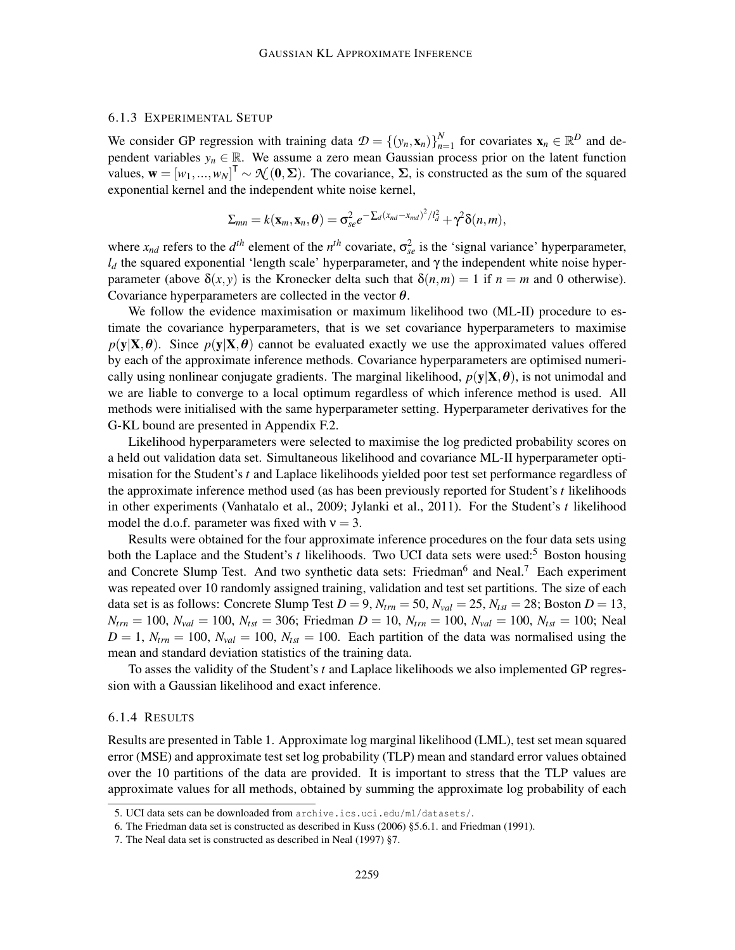### 6.1.3 EXPERIMENTAL SETUP

We consider GP regression with training data  $\mathcal{D} = \{(\mathbf{y}_n, \mathbf{x}_n)\}_{n=1}^N$  $_{n=1}^N$  for covariates  $\mathbf{x}_n \in \mathbb{R}^D$  and dependent variables  $y_n \in \mathbb{R}$ . We assume a zero mean Gaussian process prior on the latent function values,  $\mathbf{w} = [w_1, ..., w_N]^\mathsf{T} \sim \mathcal{N}(\mathbf{0}, \Sigma)$ . The covariance,  $\Sigma$ , is constructed as the sum of the squared exponential kernel and the independent white noise kernel,

$$
\Sigma_{mn} = k(\mathbf{x}_m, \mathbf{x}_n, \boldsymbol{\theta}) = \sigma_{se}^2 e^{-\sum_d (x_{nd} - x_{md})^2/l_d^2} + \gamma^2 \delta(n, m),
$$

where  $x_{nd}$  refers to the  $d^{th}$  element of the  $n^{th}$  covariate,  $\sigma_{se}^2$  is the 'signal variance' hyperparameter, *l<sup>d</sup>* the squared exponential 'length scale' hyperparameter, and γ the independent white noise hyperparameter (above  $\delta(x, y)$  is the Kronecker delta such that  $\delta(n,m) = 1$  if  $n = m$  and 0 otherwise). Covariance hyperparameters are collected in the vector  $\theta$ .

We follow the evidence maximisation or maximum likelihood two (ML-II) procedure to estimate the covariance hyperparameters, that is we set covariance hyperparameters to maximise  $p(y|X, \theta)$ . Since  $p(y|X, \theta)$  cannot be evaluated exactly we use the approximated values offered by each of the approximate inference methods. Covariance hyperparameters are optimised numerically using nonlinear conjugate gradients. The marginal likelihood,  $p(y|X, \theta)$ , is not unimodal and we are liable to converge to a local optimum regardless of which inference method is used. All methods were initialised with the same hyperparameter setting. Hyperparameter derivatives for the G-KL bound are presented in Appendix F.2.

Likelihood hyperparameters were selected to maximise the log predicted probability scores on a held out validation data set. Simultaneous likelihood and covariance ML-II hyperparameter optimisation for the Student's *t* and Laplace likelihoods yielded poor test set performance regardless of the approximate inference method used (as has been previously reported for Student's *t* likelihoods in other experiments (Vanhatalo et al., 2009; Jylanki et al., 2011). For the Student's *t* likelihood model the d.o.f. parameter was fixed with  $v = 3$ .

Results were obtained for the four approximate inference procedures on the four data sets using both the Laplace and the Student's *t* likelihoods. Two UCI data sets were used:<sup>5</sup> Boston housing and Concrete Slump Test. And two synthetic data sets: Friedman<sup>6</sup> and Neal.<sup>7</sup> Each experiment was repeated over 10 randomly assigned training, validation and test set partitions. The size of each data set is as follows: Concrete Slump Test  $D = 9$ ,  $N_{trn} = 50$ ,  $N_{val} = 25$ ,  $N_{tst} = 28$ ; Boston  $D = 13$ ,  $N_{trn} = 100$ ,  $N_{val} = 100$ ,  $N_{tst} = 306$ ; Friedman  $D = 10$ ,  $N_{trn} = 100$ ,  $N_{val} = 100$ ,  $N_{tst} = 100$ ; Neal  $D = 1$ ,  $N_{trn} = 100$ ,  $N_{val} = 100$ ,  $N_{tst} = 100$ . Each partition of the data was normalised using the mean and standard deviation statistics of the training data.

To asses the validity of the Student's *t* and Laplace likelihoods we also implemented GP regression with a Gaussian likelihood and exact inference.

#### 6.1.4 RESULTS

Results are presented in Table 1. Approximate log marginal likelihood (LML), test set mean squared error (MSE) and approximate test set log probability (TLP) mean and standard error values obtained over the 10 partitions of the data are provided. It is important to stress that the TLP values are approximate values for all methods, obtained by summing the approximate log probability of each

<sup>5.</sup> UCI data sets can be downloaded from archive.ics.uci.edu/ml/datasets/.

<sup>6.</sup> The Friedman data set is constructed as described in Kuss (2006) §5.6.1. and Friedman (1991).

<sup>7.</sup> The Neal data set is constructed as described in Neal (1997) §7.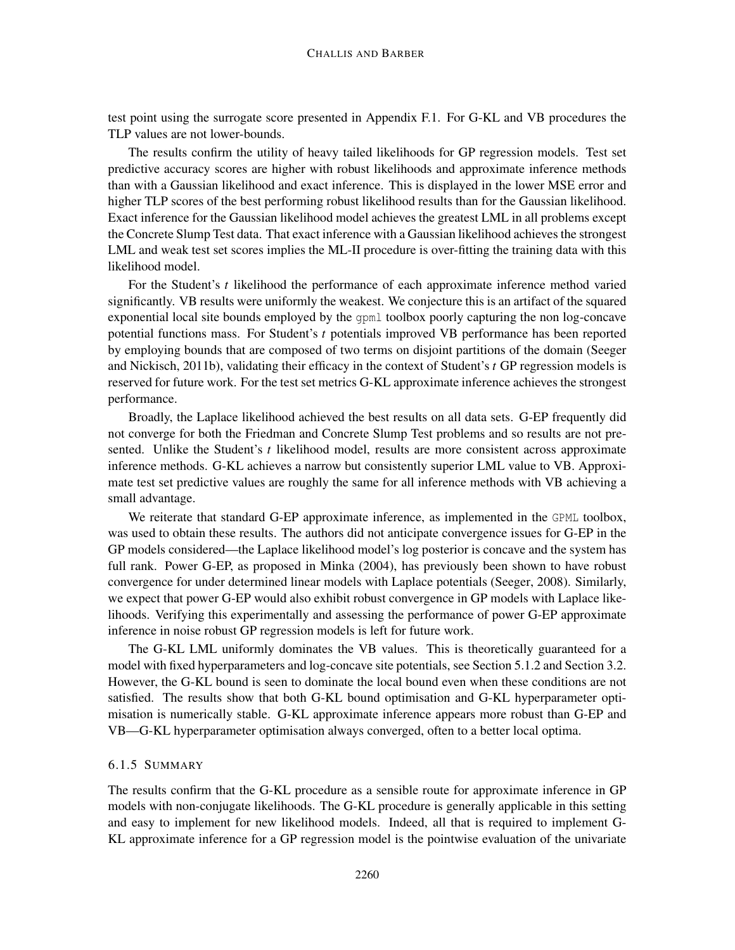test point using the surrogate score presented in Appendix F.1. For G-KL and VB procedures the TLP values are not lower-bounds.

The results confirm the utility of heavy tailed likelihoods for GP regression models. Test set predictive accuracy scores are higher with robust likelihoods and approximate inference methods than with a Gaussian likelihood and exact inference. This is displayed in the lower MSE error and higher TLP scores of the best performing robust likelihood results than for the Gaussian likelihood. Exact inference for the Gaussian likelihood model achieves the greatest LML in all problems except the Concrete Slump Test data. That exact inference with a Gaussian likelihood achieves the strongest LML and weak test set scores implies the ML-II procedure is over-fitting the training data with this likelihood model.

For the Student's *t* likelihood the performance of each approximate inference method varied significantly. VB results were uniformly the weakest. We conjecture this is an artifact of the squared exponential local site bounds employed by the gpml toolbox poorly capturing the non log-concave potential functions mass. For Student's *t* potentials improved VB performance has been reported by employing bounds that are composed of two terms on disjoint partitions of the domain (Seeger and Nickisch, 2011b), validating their efficacy in the context of Student's *t* GP regression models is reserved for future work. For the test set metrics G-KL approximate inference achieves the strongest performance.

Broadly, the Laplace likelihood achieved the best results on all data sets. G-EP frequently did not converge for both the Friedman and Concrete Slump Test problems and so results are not presented. Unlike the Student's *t* likelihood model, results are more consistent across approximate inference methods. G-KL achieves a narrow but consistently superior LML value to VB. Approximate test set predictive values are roughly the same for all inference methods with VB achieving a small advantage.

We reiterate that standard G-EP approximate inference, as implemented in the GPML toolbox, was used to obtain these results. The authors did not anticipate convergence issues for G-EP in the GP models considered—the Laplace likelihood model's log posterior is concave and the system has full rank. Power G-EP, as proposed in Minka (2004), has previously been shown to have robust convergence for under determined linear models with Laplace potentials (Seeger, 2008). Similarly, we expect that power G-EP would also exhibit robust convergence in GP models with Laplace likelihoods. Verifying this experimentally and assessing the performance of power G-EP approximate inference in noise robust GP regression models is left for future work.

The G-KL LML uniformly dominates the VB values. This is theoretically guaranteed for a model with fixed hyperparameters and log-concave site potentials, see Section 5.1.2 and Section 3.2. However, the G-KL bound is seen to dominate the local bound even when these conditions are not satisfied. The results show that both G-KL bound optimisation and G-KL hyperparameter optimisation is numerically stable. G-KL approximate inference appears more robust than G-EP and VB—G-KL hyperparameter optimisation always converged, often to a better local optima.

# 6.1.5 SUMMARY

The results confirm that the G-KL procedure as a sensible route for approximate inference in GP models with non-conjugate likelihoods. The G-KL procedure is generally applicable in this setting and easy to implement for new likelihood models. Indeed, all that is required to implement G-KL approximate inference for a GP regression model is the pointwise evaluation of the univariate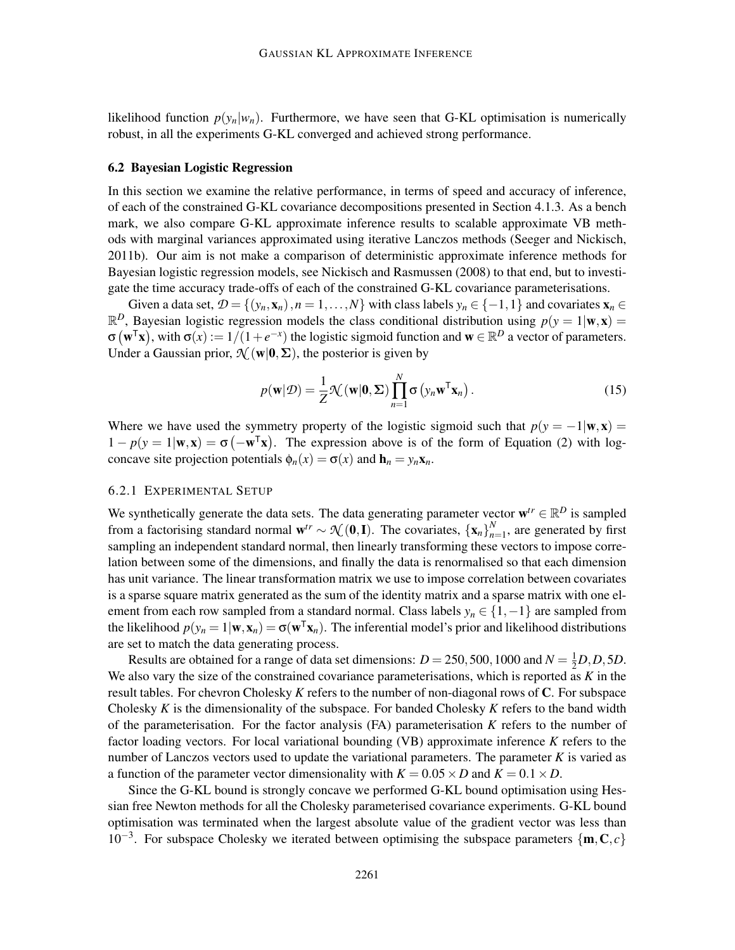likelihood function  $p(y_n|w_n)$ . Furthermore, we have seen that G-KL optimisation is numerically robust, in all the experiments G-KL converged and achieved strong performance.

#### 6.2 Bayesian Logistic Regression

In this section we examine the relative performance, in terms of speed and accuracy of inference, of each of the constrained G-KL covariance decompositions presented in Section 4.1.3. As a bench mark, we also compare G-KL approximate inference results to scalable approximate VB methods with marginal variances approximated using iterative Lanczos methods (Seeger and Nickisch, 2011b). Our aim is not make a comparison of deterministic approximate inference methods for Bayesian logistic regression models, see Nickisch and Rasmussen (2008) to that end, but to investigate the time accuracy trade-offs of each of the constrained G-KL covariance parameterisations.

Given a data set,  $\mathcal{D} = \{(y_n, \mathbf{x}_n), n = 1, \ldots, N\}$  with class labels  $y_n \in \{-1, 1\}$  and covariates  $\mathbf{x}_n \in$  $\mathbb{R}^D$ , Bayesian logistic regression models the class conditional distribution using  $p(y = 1 | \mathbf{w}, \mathbf{x}) =$  $\sigma(\mathbf{w}^T\mathbf{x})$ , with  $\sigma(x) := 1/(1+e^{-x})$  the logistic sigmoid function and  $\mathbf{w} \in \mathbb{R}^D$  a vector of parameters. Under a Gaussian prior,  $\mathcal{N}(\mathbf{w}|\mathbf{0}, \Sigma)$ , the posterior is given by

$$
p(\mathbf{w}|\mathcal{D}) = \frac{1}{Z} \mathcal{N}(\mathbf{w}|\mathbf{0}, \Sigma) \prod_{n=1}^{N} \sigma\left(y_n \mathbf{w}^{\mathsf{T}} \mathbf{x}_n\right).
$$
 (15)

Where we have used the symmetry property of the logistic sigmoid such that  $p(y = -1|\mathbf{w}, \mathbf{x}) =$  $1 - p(y = 1 | \mathbf{w}, \mathbf{x}) = \sigma(-\mathbf{w}^T \mathbf{x})$ . The expression above is of the form of Equation (2) with logconcave site projection potentials  $\phi_n(x) = \sigma(x)$  and  $\mathbf{h}_n = y_n \mathbf{x}_n$ .

#### 6.2.1 EXPERIMENTAL SETUP

We synthetically generate the data sets. The data generating parameter vector  $\mathbf{w}^{tr} \in \mathbb{R}^D$  is sampled from a factorising standard normal  $w^{tr} \sim \mathcal{N}(0, I)$ . The covariates,  $\{x_n\}_{n=1}^N$  $\sum_{n=1}^{N}$ , are generated by first sampling an independent standard normal, then linearly transforming these vectors to impose correlation between some of the dimensions, and finally the data is renormalised so that each dimension has unit variance. The linear transformation matrix we use to impose correlation between covariates is a sparse square matrix generated as the sum of the identity matrix and a sparse matrix with one element from each row sampled from a standard normal. Class labels *y<sup>n</sup>* ∈ {1,−1} are sampled from the likelihood  $p(y_n = 1 | \mathbf{w}, \mathbf{x}_n) = \sigma(\mathbf{w}^T \mathbf{x}_n)$ . The inferential model's prior and likelihood distributions are set to match the data generating process.

Results are obtained for a range of data set dimensions:  $D = 250, 500, 1000$  and  $N = \frac{1}{2}D, D, 5D$ . We also vary the size of the constrained covariance parameterisations, which is reported as *K* in the result tables. For chevron Cholesky *K* refers to the number of non-diagonal rows of C. For subspace Cholesky *K* is the dimensionality of the subspace. For banded Cholesky *K* refers to the band width of the parameterisation. For the factor analysis (FA) parameterisation *K* refers to the number of factor loading vectors. For local variational bounding (VB) approximate inference *K* refers to the number of Lanczos vectors used to update the variational parameters. The parameter *K* is varied as a function of the parameter vector dimensionality with  $K = 0.05 \times D$  and  $K = 0.1 \times D$ .

Since the G-KL bound is strongly concave we performed G-KL bound optimisation using Hessian free Newton methods for all the Cholesky parameterised covariance experiments. G-KL bound optimisation was terminated when the largest absolute value of the gradient vector was less than 10<sup>-3</sup>. For subspace Cholesky we iterated between optimising the subspace parameters  ${**m**,**C**,*c*}$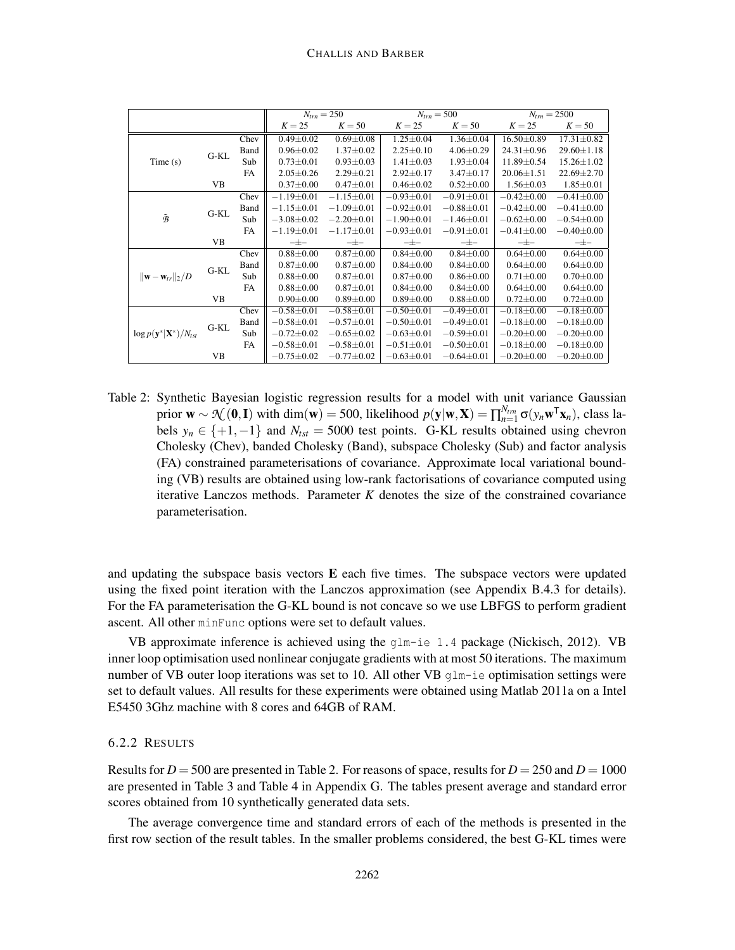|                                             |        |           | $N_{trn} = 250$  |                  | $N_{trn} = 500$  |                  | $N_{trn} = 2500$ |                  |
|---------------------------------------------|--------|-----------|------------------|------------------|------------------|------------------|------------------|------------------|
|                                             |        |           | $K = 25$         | $K = 50$         | $K = 25$         | $K = 50$         | $K = 25$         | $K = 50$         |
|                                             | $G-KL$ | Chev      | $0.49 \pm 0.02$  | $0.69 \pm 0.08$  | $1.25 \pm 0.04$  | $1.36 \pm 0.04$  | $16.50 \pm 0.89$ | $17.31 \pm 0.82$ |
|                                             |        | Band      | $0.96 \pm 0.02$  | $1.37 \pm 0.02$  | $2.25 \pm 0.10$  | $4.06 \pm 0.29$  | $24.31 \pm 0.96$ | $29.60 \pm 1.18$ |
| Time(s)                                     |        | Sub       | $0.73 \pm 0.01$  | $0.93 \pm 0.03$  | $1.41 \pm 0.03$  | $1.93 \pm 0.04$  | 11.89±0.54       | $15.26 \pm 1.02$ |
|                                             |        | FA        | $2.05 \pm 0.26$  | $2.29 \pm 0.21$  | $2.92 \pm 0.17$  | $3.47 \pm 0.17$  | $20.06 \pm 1.51$ | $22.69 \pm 2.70$ |
|                                             | VB     |           | $0.37 \pm 0.00$  | $0.47 \pm 0.01$  | $0.46 \pm 0.02$  | $0.52 \pm 0.00$  | $1.56 \pm 0.03$  | $1.85 \pm 0.01$  |
|                                             |        | Chev      | $-1.19\pm0.01$   | $-1.15 \pm 0.01$ | $-0.93 \pm 0.01$ | $-0.91 \pm 0.01$ | $-0.42\pm0.00$   | $-0.41 \pm 0.00$ |
|                                             | $G-KL$ | Band      | $-1.15\pm0.01$   | $-1.09 \pm 0.01$ | $-0.92 \pm 0.01$ | $-0.88 \pm 0.01$ | $-0.42 \pm 0.00$ | $-0.41 \pm 0.00$ |
| $\tilde{\mathcal{B}}$                       |        | Sub       | $-3.08 \pm 0.02$ | $-2.20 \pm 0.01$ | $-1.90 \pm 0.01$ | $-1.46 \pm 0.01$ | $-0.62 \pm 0.00$ | $-0.54 \pm 0.00$ |
|                                             |        | FA        | $-1.19 \pm 0.01$ | $-1.17 \pm 0.01$ | $-0.93 \pm 0.01$ | $-0.91 \pm 0.01$ | $-0.41 \pm 0.00$ | $-0.40\pm0.00$   |
|                                             | VB     |           | $-\pm -$         | $-\pm -$         | $-\pm -$         | $-\pm -$         | $-\pm -$         | $-\pm -$         |
|                                             | G-KL   | Chev      | $0.88 + 0.00$    | $0.87 + 0.00$    | $0.84 \pm 0.00$  | $0.84 \pm 0.00$  | $0.64 \pm 0.00$  | $0.64 \pm 0.00$  |
|                                             |        | Band      | $0.87 \pm 0.00$  | $0.87 + 0.00$    | $0.84 \pm 0.00$  | $0.84 \pm 0.00$  | $0.64 \pm 0.00$  | $0.64 \pm 0.00$  |
| $\ \mathbf{w}-\mathbf{w}_{tr}\ _2/D$        |        | Sub       | $0.88 + 0.00$    | $0.87 + 0.01$    | $0.87 + 0.00$    | $0.86 \pm 0.00$  | $0.71 \pm 0.00$  | $0.70 \pm 0.00$  |
|                                             |        | <b>FA</b> | $0.88 + 0.00$    | $0.87 + 0.01$    | $0.84 \pm 0.00$  | $0.84 \pm 0.00$  | $0.64 \pm 0.00$  | $0.64 \pm 0.00$  |
|                                             | VB     |           | $0.90 \pm 0.00$  | $0.89 + 0.00$    | $0.89 + 0.00$    | $0.88 + 0.00$    | $0.72 \pm 0.00$  | $0.72 \pm 0.00$  |
|                                             | G-KL   | Chev      | $-0.58 + 0.01$   | $-0.58 \pm 0.01$ | $-0.50 \pm 0.01$ | $-0.49 \pm 0.01$ | $-0.18 + 0.00$   | $-0.18 + 0.00$   |
|                                             |        | Band      | $-0.58 \pm 0.01$ | $-0.57 \pm 0.01$ | $-0.50 \pm 0.01$ | $-0.49 \pm 0.01$ | $-0.18 + 0.00$   | $-0.18 \pm 0.00$ |
| $\log p(\mathbf{y}^* \mathbf{X}^*)/N_{tst}$ |        | Sub       | $-0.72 \pm 0.02$ | $-0.65 \pm 0.02$ | $-0.63 \pm 0.01$ | $-0.59 \pm 0.01$ | $-0.20 \pm 0.00$ | $-0.20 \pm 0.00$ |
|                                             |        | FA        | $-0.58 \pm 0.01$ | $-0.58 \pm 0.01$ | $-0.51 \pm 0.01$ | $-0.50 \pm 0.01$ | $-0.18 \pm 0.00$ | $-0.18 \pm 0.00$ |
|                                             | VB     |           | $-0.75 \pm 0.02$ | $-0.77 \pm 0.02$ | $-0.63 \pm 0.01$ | $-0.64 \pm 0.01$ | $-0.20 \pm 0.00$ | $-0.20 \pm 0.00$ |

Table 2: Synthetic Bayesian logistic regression results for a model with unit variance Gaussian prior  $\mathbf{w} \sim \mathcal{N}(\mathbf{0}, \mathbf{I})$  with dim $(\mathbf{w}) = 500$ , likelihood  $p(\mathbf{y}|\mathbf{w}, \mathbf{X}) = \prod_{n=1}^{N_{trn}} \sigma(y_n \mathbf{w}^\mathsf{T} \mathbf{x}_n)$ , class labels  $y_n \in \{+1, -1\}$  and  $N_{tst} = 5000$  test points. G-KL results obtained using chevron Cholesky (Chev), banded Cholesky (Band), subspace Cholesky (Sub) and factor analysis (FA) constrained parameterisations of covariance. Approximate local variational bounding (VB) results are obtained using low-rank factorisations of covariance computed using iterative Lanczos methods. Parameter *K* denotes the size of the constrained covariance parameterisation.

and updating the subspace basis vectors  $E$  each five times. The subspace vectors were updated using the fixed point iteration with the Lanczos approximation (see Appendix B.4.3 for details). For the FA parameterisation the G-KL bound is not concave so we use LBFGS to perform gradient ascent. All other minFunc options were set to default values.

VB approximate inference is achieved using the glm-ie 1.4 package (Nickisch, 2012). VB inner loop optimisation used nonlinear conjugate gradients with at most 50 iterations. The maximum number of VB outer loop iterations was set to 10. All other VB  $qlm$ –ie optimisation settings were set to default values. All results for these experiments were obtained using Matlab 2011a on a Intel E5450 3Ghz machine with 8 cores and 64GB of RAM.

#### 6.2.2 RESULTS

Results for  $D = 500$  are presented in Table 2. For reasons of space, results for  $D = 250$  and  $D = 1000$ are presented in Table 3 and Table 4 in Appendix G. The tables present average and standard error scores obtained from 10 synthetically generated data sets.

The average convergence time and standard errors of each of the methods is presented in the first row section of the result tables. In the smaller problems considered, the best G-KL times were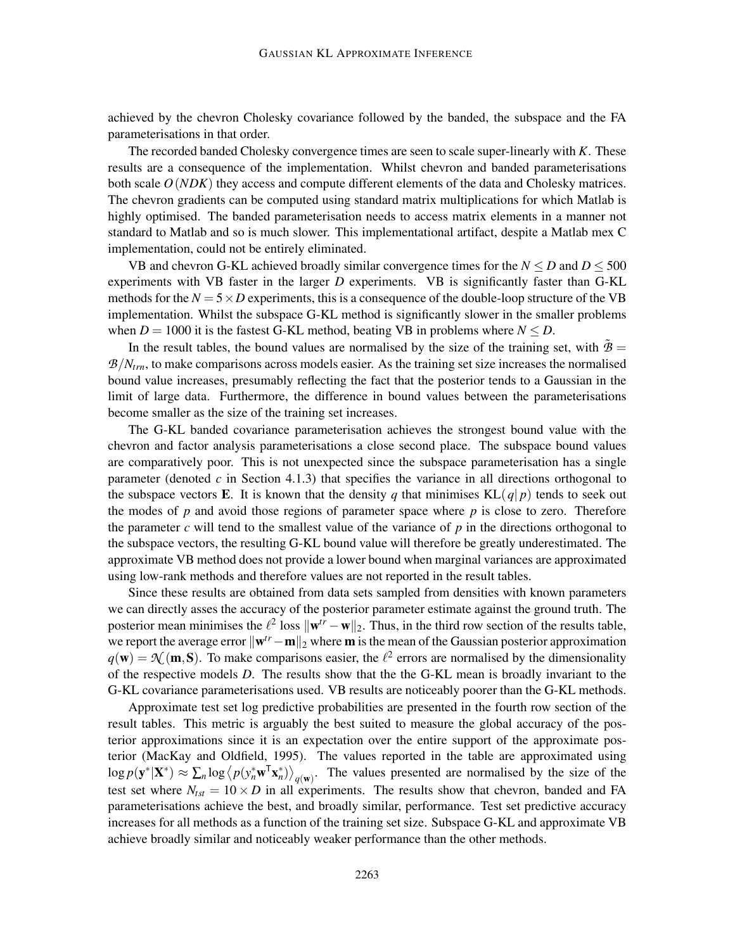achieved by the chevron Cholesky covariance followed by the banded, the subspace and the FA parameterisations in that order.

The recorded banded Cholesky convergence times are seen to scale super-linearly with *K*. These results are a consequence of the implementation. Whilst chevron and banded parameterisations both scale *O*(*NDK*) they access and compute different elements of the data and Cholesky matrices. The chevron gradients can be computed using standard matrix multiplications for which Matlab is highly optimised. The banded parameterisation needs to access matrix elements in a manner not standard to Matlab and so is much slower. This implementational artifact, despite a Matlab mex C implementation, could not be entirely eliminated.

VB and chevron G-KL achieved broadly similar convergence times for the  $N \le D$  and  $D \le 500$ experiments with VB faster in the larger *D* experiments. VB is significantly faster than G-KL methods for the  $N = 5 \times D$  experiments, this is a consequence of the double-loop structure of the VB implementation. Whilst the subspace G-KL method is significantly slower in the smaller problems when  $D = 1000$  it is the fastest G-KL method, beating VB in problems where  $N \le D$ .

In the result tables, the bound values are normalised by the size of the training set, with  $\hat{B}$  =  $B/N_{trn}$ , to make comparisons across models easier. As the training set size increases the normalised bound value increases, presumably reflecting the fact that the posterior tends to a Gaussian in the limit of large data. Furthermore, the difference in bound values between the parameterisations become smaller as the size of the training set increases.

The G-KL banded covariance parameterisation achieves the strongest bound value with the chevron and factor analysis parameterisations a close second place. The subspace bound values are comparatively poor. This is not unexpected since the subspace parameterisation has a single parameter (denoted  $c$  in Section 4.1.3) that specifies the variance in all directions orthogonal to the subspace vectors **E**. It is known that the density q that minimises  $KL(q|p)$  tends to seek out the modes of  $p$  and avoid those regions of parameter space where  $p$  is close to zero. Therefore the parameter  $c$  will tend to the smallest value of the variance of  $p$  in the directions orthogonal to the subspace vectors, the resulting G-KL bound value will therefore be greatly underestimated. The approximate VB method does not provide a lower bound when marginal variances are approximated using low-rank methods and therefore values are not reported in the result tables.

Since these results are obtained from data sets sampled from densities with known parameters we can directly asses the accuracy of the posterior parameter estimate against the ground truth. The posterior mean minimises the  $\ell^2$  loss  $\|\mathbf{w}^{tr} - \mathbf{w}\|_2$ . Thus, in the third row section of the results table, we report the average error  $\|\mathbf{w}^{tr} - \mathbf{m}\|_2$  where **m** is the mean of the Gaussian posterior approximation  $q(\mathbf{w}) = \mathcal{N}(\mathbf{m}, \mathbf{S})$ . To make comparisons easier, the  $l^2$  errors are normalised by the dimensionality of the respective models *D*. The results show that the the G-KL mean is broadly invariant to the G-KL covariance parameterisations used. VB results are noticeably poorer than the G-KL methods.

Approximate test set log predictive probabilities are presented in the fourth row section of the result tables. This metric is arguably the best suited to measure the global accuracy of the posterior approximations since it is an expectation over the entire support of the approximate posterior (MacKay and Oldfield, 1995). The values reported in the table are approximated using  $\log p(\mathbf{y}^*|\mathbf{X}^*) \approx \sum_n \log \left\langle p(\mathbf{y}_n^* \mathbf{w}^T \mathbf{x}_n^*) \right\rangle_{q(\mathbf{w})}$ . The values presented are normalised by the size of the test set where  $N_{\text{tst}} = 10 \times D$  in all experiments. The results show that chevron, banded and FA parameterisations achieve the best, and broadly similar, performance. Test set predictive accuracy increases for all methods as a function of the training set size. Subspace G-KL and approximate VB achieve broadly similar and noticeably weaker performance than the other methods.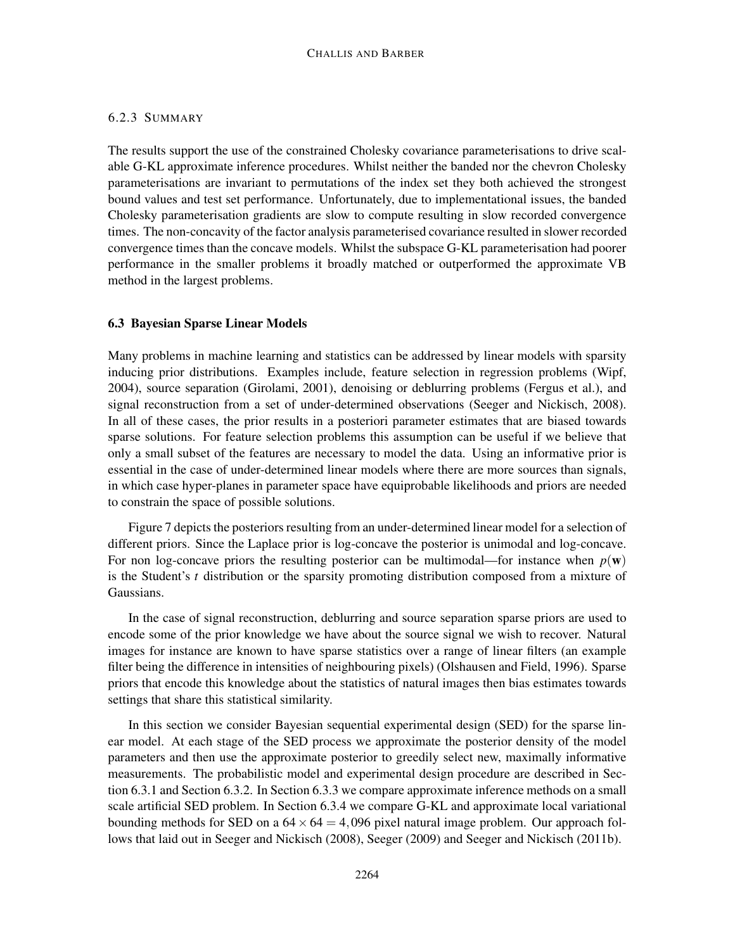## 6.2.3 SUMMARY

The results support the use of the constrained Cholesky covariance parameterisations to drive scalable G-KL approximate inference procedures. Whilst neither the banded nor the chevron Cholesky parameterisations are invariant to permutations of the index set they both achieved the strongest bound values and test set performance. Unfortunately, due to implementational issues, the banded Cholesky parameterisation gradients are slow to compute resulting in slow recorded convergence times. The non-concavity of the factor analysis parameterised covariance resulted in slower recorded convergence times than the concave models. Whilst the subspace G-KL parameterisation had poorer performance in the smaller problems it broadly matched or outperformed the approximate VB method in the largest problems.

## 6.3 Bayesian Sparse Linear Models

Many problems in machine learning and statistics can be addressed by linear models with sparsity inducing prior distributions. Examples include, feature selection in regression problems (Wipf, 2004), source separation (Girolami, 2001), denoising or deblurring problems (Fergus et al.), and signal reconstruction from a set of under-determined observations (Seeger and Nickisch, 2008). In all of these cases, the prior results in a posteriori parameter estimates that are biased towards sparse solutions. For feature selection problems this assumption can be useful if we believe that only a small subset of the features are necessary to model the data. Using an informative prior is essential in the case of under-determined linear models where there are more sources than signals, in which case hyper-planes in parameter space have equiprobable likelihoods and priors are needed to constrain the space of possible solutions.

Figure 7 depicts the posteriors resulting from an under-determined linear model for a selection of different priors. Since the Laplace prior is log-concave the posterior is unimodal and log-concave. For non log-concave priors the resulting posterior can be multimodal—for instance when  $p(\mathbf{w})$ is the Student's *t* distribution or the sparsity promoting distribution composed from a mixture of Gaussians.

In the case of signal reconstruction, deblurring and source separation sparse priors are used to encode some of the prior knowledge we have about the source signal we wish to recover. Natural images for instance are known to have sparse statistics over a range of linear filters (an example filter being the difference in intensities of neighbouring pixels) (Olshausen and Field, 1996). Sparse priors that encode this knowledge about the statistics of natural images then bias estimates towards settings that share this statistical similarity.

In this section we consider Bayesian sequential experimental design (SED) for the sparse linear model. At each stage of the SED process we approximate the posterior density of the model parameters and then use the approximate posterior to greedily select new, maximally informative measurements. The probabilistic model and experimental design procedure are described in Section 6.3.1 and Section 6.3.2. In Section 6.3.3 we compare approximate inference methods on a small scale artificial SED problem. In Section 6.3.4 we compare G-KL and approximate local variational bounding methods for SED on a  $64 \times 64 = 4,096$  pixel natural image problem. Our approach follows that laid out in Seeger and Nickisch (2008), Seeger (2009) and Seeger and Nickisch (2011b).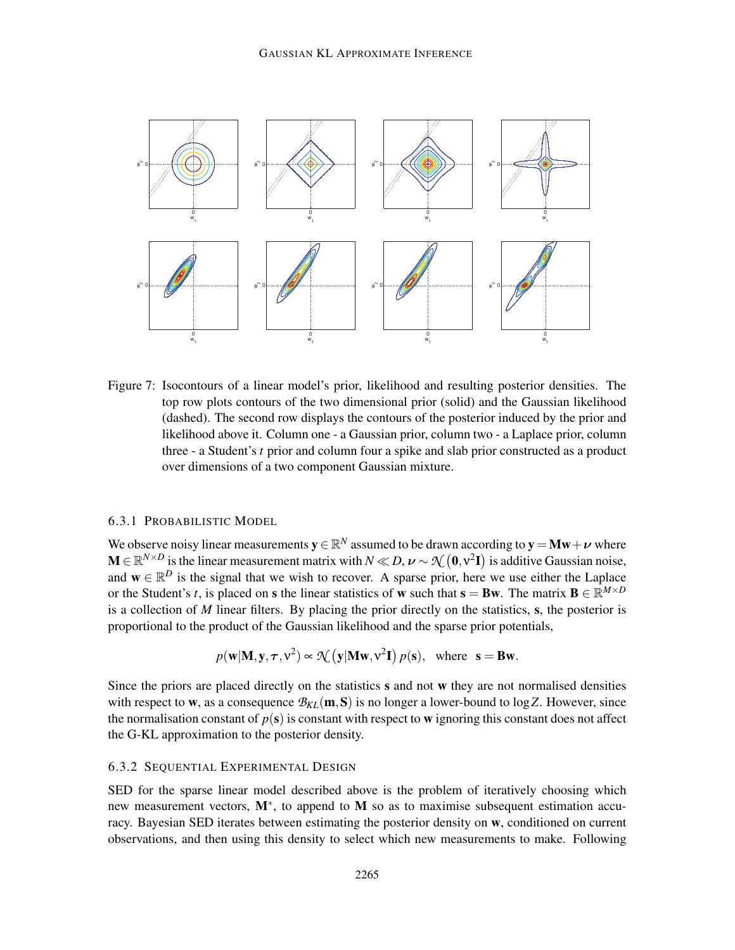

Figure 7: Isocontours of a linear model's prior, likelihood and resulting posterior densities. The top row plots contours of the two dimensional prior (solid) and the Gaussian likelihood (dashed). The second row displays the contours of the posterior induced by the prior and likelihood above it. Column one - a Gaussian prior, column two - a Laplace prior, column three - a Student's *t* prior and column four a spike and slab prior constructed as a product over dimensions of a two component Gaussian mixture.

## 6.3.1 PROBABILISTIC MODEL

We observe noisy linear measurements  $y \in \mathbb{R}^N$  assumed to be drawn according to  $y = Mw + \nu$  where  $\mathbf{M} \in \mathbb{R}^{N \times D}$  is the linear measurement matrix with  $N \ll D$ ,  $\nu \sim \mathcal{N}(\mathbf{0}, \mathbf{v}^2 \mathbf{I})$  is additive Gaussian noise, and  $\mathbf{w} \in \mathbb{R}^D$  is the signal that we wish to recover. A sparse prior, here we use either the Laplace or the Student's *t*, is placed on **s** the linear statistics of **w** such that **s** = **Bw**. The matrix **B**  $\in \mathbb{R}^{M \times D}$ is a collection of *M* linear filters. By placing the prior directly on the statistics, s, the posterior is proportional to the product of the Gaussian likelihood and the sparse prior potentials,

$$
p(\mathbf{w}|\mathbf{M}, \mathbf{y}, \tau, \mathbf{v}^2) \propto \mathcal{N}(\mathbf{y}|\mathbf{M}\mathbf{w}, \mathbf{v}^2\mathbf{I}) p(\mathbf{s}), \text{ where } \mathbf{s} = \mathbf{B}\mathbf{w}.
$$

Since the priors are placed directly on the statistics s and not w they are not normalised densities with respect to w, as a consequence  $\mathcal{B}_{KL}(m, S)$  is no longer a lower-bound to log Z. However, since the normalisation constant of  $p(s)$  is constant with respect to w ignoring this constant does not affect the G-KL approximation to the posterior density.

## 6.3.2 SEQUENTIAL EXPERIMENTAL DESIGN

SED for the sparse linear model described above is the problem of iteratively choosing which new measurement vectors, M<sup>\*</sup>, to append to M so as to maximise subsequent estimation accuracy. Bayesian SED iterates between estimating the posterior density on w, conditioned on current observations, and then using this density to select which new measurements to make. Following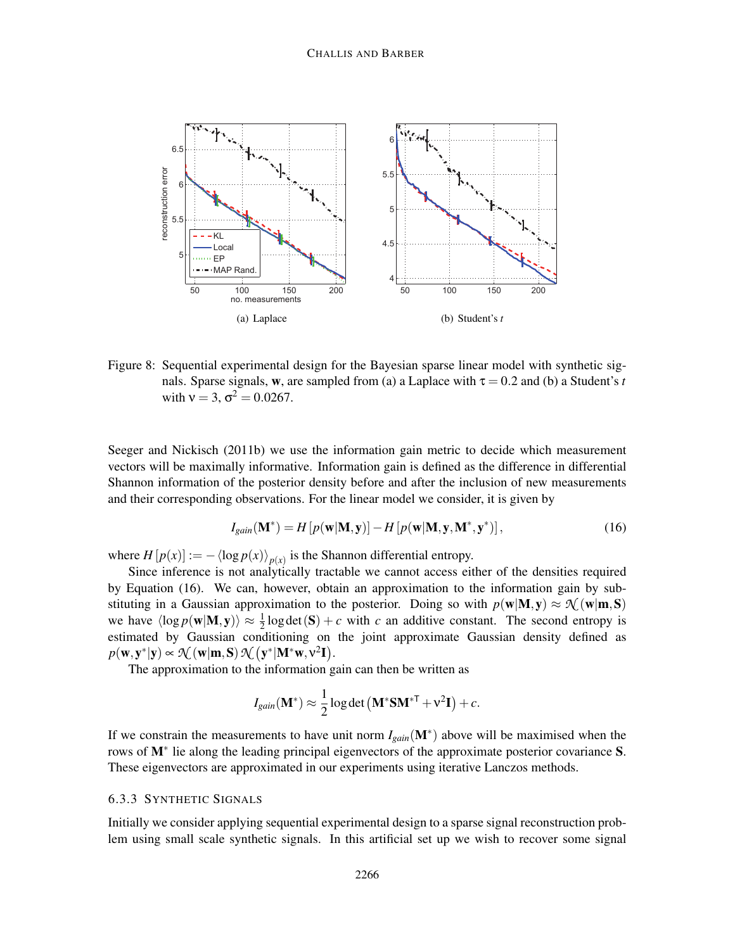

Figure 8: Sequential experimental design for the Bayesian sparse linear model with synthetic signals. Sparse signals, w, are sampled from (a) a Laplace with  $\tau = 0.2$  and (b) a Student's *t* with  $v = 3$ ,  $\sigma^2 = 0.0267$ .

Seeger and Nickisch (2011b) we use the information gain metric to decide which measurement vectors will be maximally informative. Information gain is defined as the difference in differential Shannon information of the posterior density before and after the inclusion of new measurements and their corresponding observations. For the linear model we consider, it is given by

$$
I_{gain}(\mathbf{M}^*) = H\left[p(\mathbf{w}|\mathbf{M}, \mathbf{y})\right] - H\left[p(\mathbf{w}|\mathbf{M}, \mathbf{y}, \mathbf{M}^*, \mathbf{y}^*)\right],\tag{16}
$$

where  $H[p(x)] := -\langle \log p(x) \rangle_{p(x)}$  is the Shannon differential entropy.

Since inference is not analytically tractable we cannot access either of the densities required by Equation (16). We can, however, obtain an approximation to the information gain by substituting in a Gaussian approximation to the posterior. Doing so with  $p(w|M, y) \approx \mathcal{N}(w|m, S)$ we have  $\langle \log p(\mathbf{w}|\mathbf{M}, \mathbf{y}) \rangle \approx \frac{1}{2}$  $\frac{1}{2}$  log det (S) + *c* with *c* an additive constant. The second entropy is estimated by Gaussian conditioning on the joint approximate Gaussian density defined as  $p(\mathbf{w}, \mathbf{y}^*|\mathbf{y}) \propto \mathcal{N}(\mathbf{w}|\mathbf{m}, \mathbf{S}) \, \mathcal{N}(\mathbf{y}^*|\mathbf{M}^*\mathbf{w}, \mathbf{v}^2 \mathbf{I}).$ 

The approximation to the information gain can then be written as

$$
I_{gain}(\mathbf{M}^*) \approx \frac{1}{2} \log \det (\mathbf{M}^* \mathbf{S} \mathbf{M}^{*T} + \mathbf{v}^2 \mathbf{I}) + c.
$$

If we constrain the measurements to have unit norm *Igain*(M<sup>∗</sup> ) above will be maximised when the rows of M∗ lie along the leading principal eigenvectors of the approximate posterior covariance S. These eigenvectors are approximated in our experiments using iterative Lanczos methods.

# 6.3.3 SYNTHETIC SIGNALS

Initially we consider applying sequential experimental design to a sparse signal reconstruction problem using small scale synthetic signals. In this artificial set up we wish to recover some signal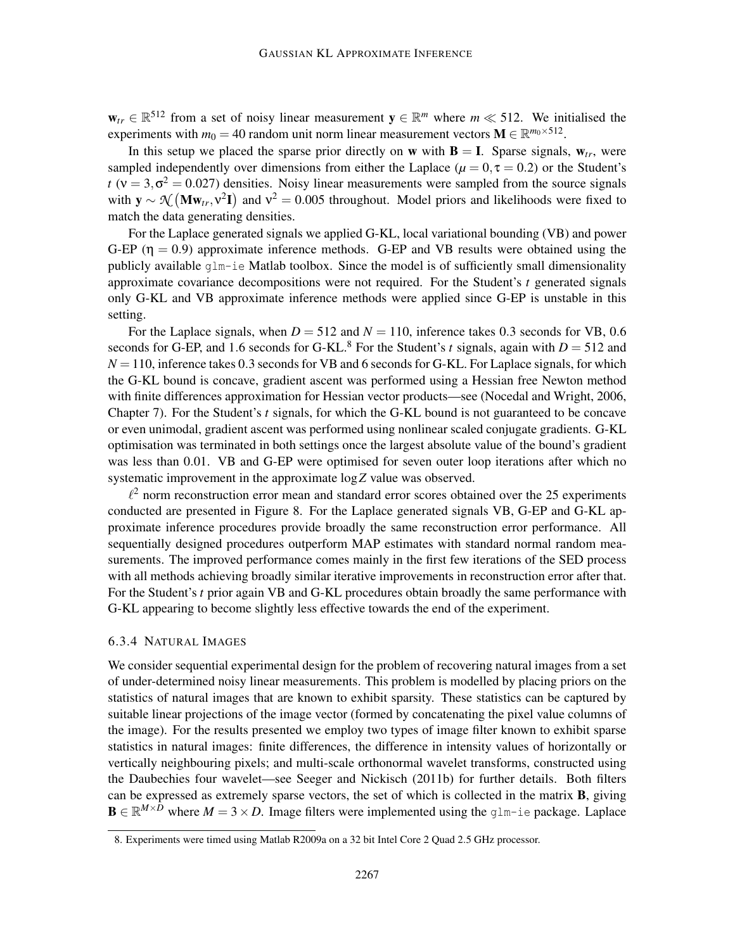$w_{tr} \in \mathbb{R}^{512}$  from a set of noisy linear measurement  $y \in \mathbb{R}^m$  where  $m \ll 512$ . We initialised the experiments with  $m_0 = 40$  random unit norm linear measurement vectors  $\mathbf{M} \in \mathbb{R}^{m_0 \times 512}$ .

In this setup we placed the sparse prior directly on w with  $B = I$ . Sparse signals,  $w_{tr}$ , were sampled independently over dimensions from either the Laplace ( $\mu = 0, \tau = 0.2$ ) or the Student's *t* ( $v = 3, \sigma^2 = 0.027$ ) densities. Noisy linear measurements were sampled from the source signals with  $y \sim \mathcal{N}(\mathbf{M} \mathbf{w}_{tr}, v^2 \mathbf{I})$  and  $v^2 = 0.005$  throughout. Model priors and likelihoods were fixed to match the data generating densities.

For the Laplace generated signals we applied G-KL, local variational bounding (VB) and power G-EP ( $\eta = 0.9$ ) approximate inference methods. G-EP and VB results were obtained using the publicly available glm-ie Matlab toolbox. Since the model is of sufficiently small dimensionality approximate covariance decompositions were not required. For the Student's *t* generated signals only G-KL and VB approximate inference methods were applied since G-EP is unstable in this setting.

For the Laplace signals, when  $D = 512$  and  $N = 110$ , inference takes 0.3 seconds for VB, 0.6 seconds for G-EP, and 1.6 seconds for G-KL.<sup>8</sup> For the Student's *t* signals, again with  $D = 512$  and  $N = 110$ , inference takes 0.3 seconds for VB and 6 seconds for G-KL. For Laplace signals, for which the G-KL bound is concave, gradient ascent was performed using a Hessian free Newton method with finite differences approximation for Hessian vector products—see (Nocedal and Wright, 2006, Chapter 7). For the Student's *t* signals, for which the G-KL bound is not guaranteed to be concave or even unimodal, gradient ascent was performed using nonlinear scaled conjugate gradients. G-KL optimisation was terminated in both settings once the largest absolute value of the bound's gradient was less than 0.01. VB and G-EP were optimised for seven outer loop iterations after which no systematic improvement in the approximate log*Z* value was observed.

 $l^2$  norm reconstruction error mean and standard error scores obtained over the 25 experiments conducted are presented in Figure 8. For the Laplace generated signals VB, G-EP and G-KL approximate inference procedures provide broadly the same reconstruction error performance. All sequentially designed procedures outperform MAP estimates with standard normal random measurements. The improved performance comes mainly in the first few iterations of the SED process with all methods achieving broadly similar iterative improvements in reconstruction error after that. For the Student's *t* prior again VB and G-KL procedures obtain broadly the same performance with G-KL appearing to become slightly less effective towards the end of the experiment.

### 6.3.4 NATURAL IMAGES

We consider sequential experimental design for the problem of recovering natural images from a set of under-determined noisy linear measurements. This problem is modelled by placing priors on the statistics of natural images that are known to exhibit sparsity. These statistics can be captured by suitable linear projections of the image vector (formed by concatenating the pixel value columns of the image). For the results presented we employ two types of image filter known to exhibit sparse statistics in natural images: finite differences, the difference in intensity values of horizontally or vertically neighbouring pixels; and multi-scale orthonormal wavelet transforms, constructed using the Daubechies four wavelet—see Seeger and Nickisch (2011b) for further details. Both filters can be expressed as extremely sparse vectors, the set of which is collected in the matrix B, giving  $\mathbf{B} \in \mathbb{R}^{M \times D}$  where  $M = 3 \times D$ . Image filters were implemented using the glm-ie package. Laplace

<sup>8.</sup> Experiments were timed using Matlab R2009a on a 32 bit Intel Core 2 Quad 2.5 GHz processor.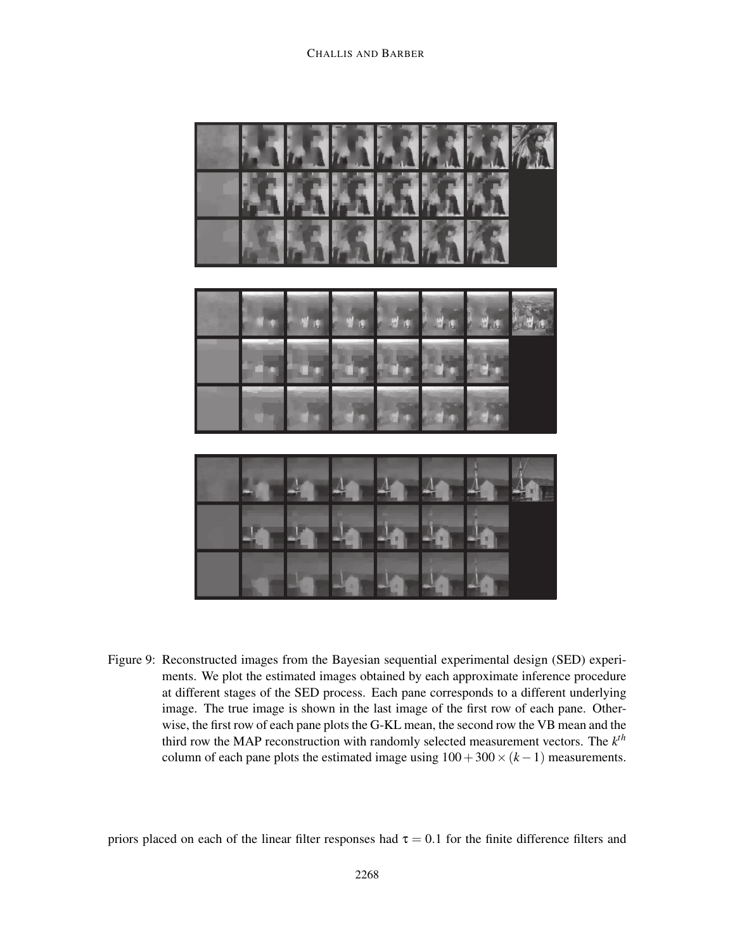

Figure 9: Reconstructed images from the Bayesian sequential experimental design (SED) experiments. We plot the estimated images obtained by each approximate inference procedure at different stages of the SED process. Each pane corresponds to a different underlying image. The true image is shown in the last image of the first row of each pane. Otherwise, the first row of each pane plots the G-KL mean, the second row the VB mean and the third row the MAP reconstruction with randomly selected measurement vectors. The *k th* column of each pane plots the estimated image using  $100+300\times(k-1)$  measurements.

priors placed on each of the linear filter responses had  $\tau = 0.1$  for the finite difference filters and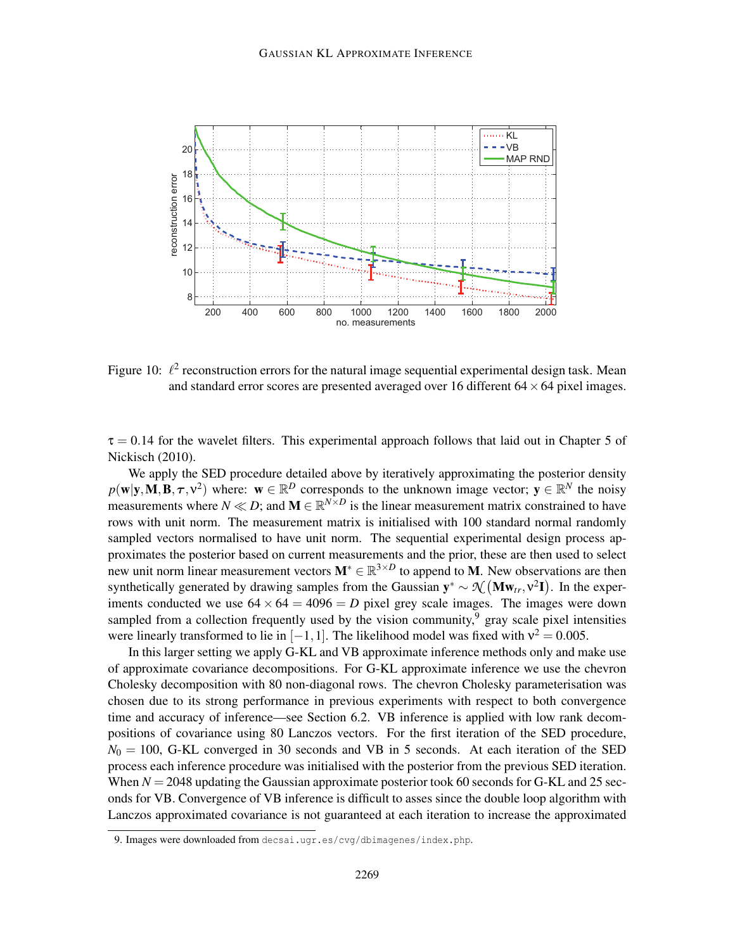

Figure 10:  $\ell^2$  reconstruction errors for the natural image sequential experimental design task. Mean and standard error scores are presented averaged over 16 different  $64 \times 64$  pixel images.

 $\tau = 0.14$  for the wavelet filters. This experimental approach follows that laid out in Chapter 5 of Nickisch (2010).

We apply the SED procedure detailed above by iteratively approximating the posterior density  $p(\mathbf{w}|\mathbf{y}, \mathbf{M}, \mathbf{B}, \tau, \mathbf{v}^2)$  where:  $\mathbf{w} \in \mathbb{R}^D$  corresponds to the unknown image vector;  $\mathbf{y} \in \mathbb{R}^N$  the noisy measurements where  $N \ll D$ ; and  $M \in \mathbb{R}^{N \times D}$  is the linear measurement matrix constrained to have rows with unit norm. The measurement matrix is initialised with 100 standard normal randomly sampled vectors normalised to have unit norm. The sequential experimental design process approximates the posterior based on current measurements and the prior, these are then used to select new unit norm linear measurement vectors  $M^* \in \mathbb{R}^{3 \times D}$  to append to M. New observations are then synthetically generated by drawing samples from the Gaussian  $y^* \sim \mathcal{N}(\mathbf{M} \mathbf{w}_{tr}, v^2 \mathbf{I})$ . In the experiments conducted we use  $64 \times 64 = 4096 = D$  pixel grey scale images. The images were down sampled from a collection frequently used by the vision community,  $9$  gray scale pixel intensities were linearly transformed to lie in  $[-1, 1]$ . The likelihood model was fixed with  $v^2 = 0.005$ .

In this larger setting we apply G-KL and VB approximate inference methods only and make use of approximate covariance decompositions. For G-KL approximate inference we use the chevron Cholesky decomposition with 80 non-diagonal rows. The chevron Cholesky parameterisation was chosen due to its strong performance in previous experiments with respect to both convergence time and accuracy of inference—see Section 6.2. VB inference is applied with low rank decompositions of covariance using 80 Lanczos vectors. For the first iteration of the SED procedure,  $N_0 = 100$ , G-KL converged in 30 seconds and VB in 5 seconds. At each iteration of the SED process each inference procedure was initialised with the posterior from the previous SED iteration. When  $N = 2048$  updating the Gaussian approximate posterior took 60 seconds for G-KL and 25 seconds for VB. Convergence of VB inference is difficult to asses since the double loop algorithm with Lanczos approximated covariance is not guaranteed at each iteration to increase the approximated

<sup>9.</sup> Images were downloaded from decsai.ugr.es/cvg/dbimagenes/index.php.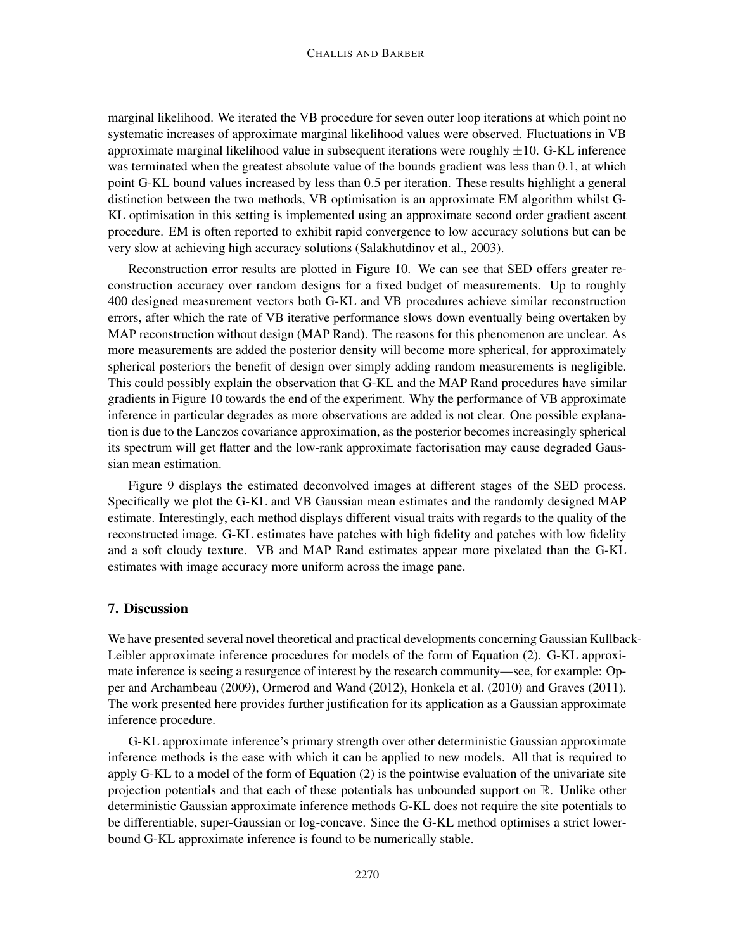### CHALLIS AND BARBER

marginal likelihood. We iterated the VB procedure for seven outer loop iterations at which point no systematic increases of approximate marginal likelihood values were observed. Fluctuations in VB approximate marginal likelihood value in subsequent iterations were roughly  $\pm 10$ . G-KL inference was terminated when the greatest absolute value of the bounds gradient was less than 0.1, at which point G-KL bound values increased by less than 0.5 per iteration. These results highlight a general distinction between the two methods, VB optimisation is an approximate EM algorithm whilst G-KL optimisation in this setting is implemented using an approximate second order gradient ascent procedure. EM is often reported to exhibit rapid convergence to low accuracy solutions but can be very slow at achieving high accuracy solutions (Salakhutdinov et al., 2003).

Reconstruction error results are plotted in Figure 10. We can see that SED offers greater reconstruction accuracy over random designs for a fixed budget of measurements. Up to roughly 400 designed measurement vectors both G-KL and VB procedures achieve similar reconstruction errors, after which the rate of VB iterative performance slows down eventually being overtaken by MAP reconstruction without design (MAP Rand). The reasons for this phenomenon are unclear. As more measurements are added the posterior density will become more spherical, for approximately spherical posteriors the benefit of design over simply adding random measurements is negligible. This could possibly explain the observation that G-KL and the MAP Rand procedures have similar gradients in Figure 10 towards the end of the experiment. Why the performance of VB approximate inference in particular degrades as more observations are added is not clear. One possible explanation is due to the Lanczos covariance approximation, as the posterior becomes increasingly spherical its spectrum will get flatter and the low-rank approximate factorisation may cause degraded Gaussian mean estimation.

Figure 9 displays the estimated deconvolved images at different stages of the SED process. Specifically we plot the G-KL and VB Gaussian mean estimates and the randomly designed MAP estimate. Interestingly, each method displays different visual traits with regards to the quality of the reconstructed image. G-KL estimates have patches with high fidelity and patches with low fidelity and a soft cloudy texture. VB and MAP Rand estimates appear more pixelated than the G-KL estimates with image accuracy more uniform across the image pane.

## 7. Discussion

We have presented several novel theoretical and practical developments concerning Gaussian Kullback-Leibler approximate inference procedures for models of the form of Equation (2). G-KL approximate inference is seeing a resurgence of interest by the research community—see, for example: Opper and Archambeau (2009), Ormerod and Wand (2012), Honkela et al. (2010) and Graves (2011). The work presented here provides further justification for its application as a Gaussian approximate inference procedure.

G-KL approximate inference's primary strength over other deterministic Gaussian approximate inference methods is the ease with which it can be applied to new models. All that is required to apply G-KL to a model of the form of Equation (2) is the pointwise evaluation of the univariate site projection potentials and that each of these potentials has unbounded support on R. Unlike other deterministic Gaussian approximate inference methods G-KL does not require the site potentials to be differentiable, super-Gaussian or log-concave. Since the G-KL method optimises a strict lowerbound G-KL approximate inference is found to be numerically stable.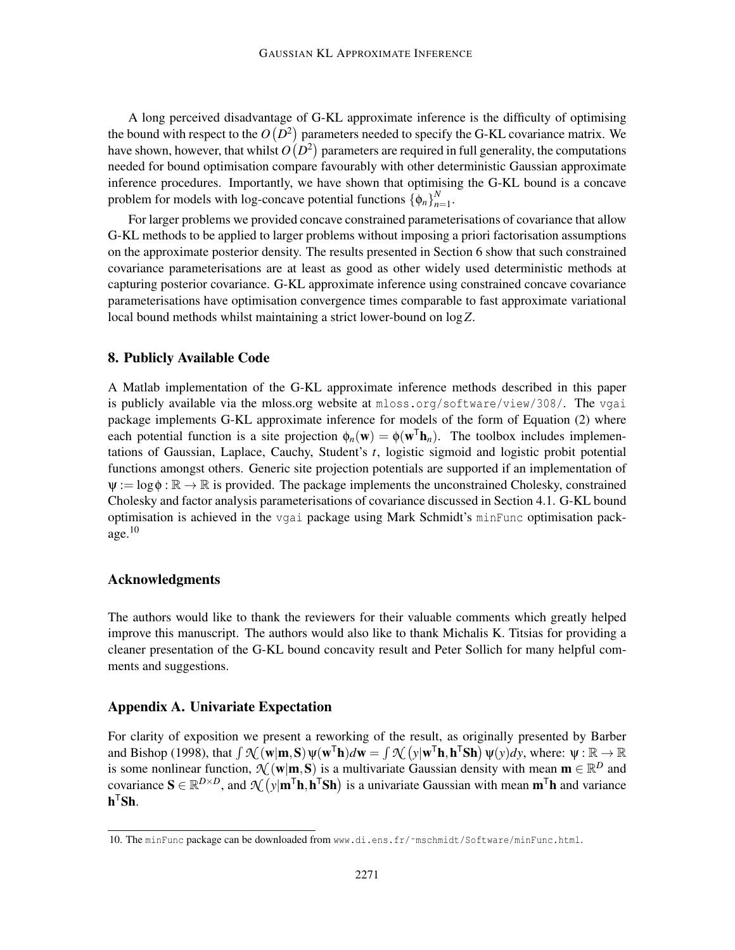A long perceived disadvantage of G-KL approximate inference is the difficulty of optimising the bound with respect to the  $O(D^2)$  parameters needed to specify the G-KL covariance matrix. We have shown, however, that whilst  $O(D^2)$  parameters are required in full generality, the computations needed for bound optimisation compare favourably with other deterministic Gaussian approximate inference procedures. Importantly, we have shown that optimising the G-KL bound is a concave problem for models with log-concave potential functions  $\{\phi_n\}_{n=1}^N$ *n*=1.

For larger problems we provided concave constrained parameterisations of covariance that allow G-KL methods to be applied to larger problems without imposing a priori factorisation assumptions on the approximate posterior density. The results presented in Section 6 show that such constrained covariance parameterisations are at least as good as other widely used deterministic methods at capturing posterior covariance. G-KL approximate inference using constrained concave covariance parameterisations have optimisation convergence times comparable to fast approximate variational local bound methods whilst maintaining a strict lower-bound on log*Z*.

### 8. Publicly Available Code

A Matlab implementation of the G-KL approximate inference methods described in this paper is publicly available via the mloss.org website at mloss.org/software/view/308/. The vgai package implements G-KL approximate inference for models of the form of Equation (2) where each potential function is a site projection  $\phi_n(\mathbf{w}) = \phi(\mathbf{w}^T \mathbf{h}_n)$ . The toolbox includes implementations of Gaussian, Laplace, Cauchy, Student's *t*, logistic sigmoid and logistic probit potential functions amongst others. Generic site projection potentials are supported if an implementation of  $\psi := \log \phi : \mathbb{R} \to \mathbb{R}$  is provided. The package implements the unconstrained Cholesky, constrained Cholesky and factor analysis parameterisations of covariance discussed in Section 4.1. G-KL bound optimisation is achieved in the vgai package using Mark Schmidt's minFunc optimisation package. $10$ 

## Acknowledgments

The authors would like to thank the reviewers for their valuable comments which greatly helped improve this manuscript. The authors would also like to thank Michalis K. Titsias for providing a cleaner presentation of the G-KL bound concavity result and Peter Sollich for many helpful comments and suggestions.

## Appendix A. Univariate Expectation

For clarity of exposition we present a reworking of the result, as originally presented by Barber and Bishop (1998), that  $\int \mathcal{N}(\mathbf{w}|\mathbf{m}, \mathbf{S}) \psi(\mathbf{w}^T \mathbf{h}) d\mathbf{w} = \int \mathcal{N}(\mathbf{y}|\mathbf{w}^T \mathbf{h}, \mathbf{h}^T \mathbf{S} \mathbf{h}) \psi(\mathbf{y}) d\mathbf{y}$ , where:  $\psi : \mathbb{R} \to \mathbb{R}$ is some nonlinear function,  $\mathcal{N}(\mathbf{w}|\mathbf{m}, \mathbf{S})$  is a multivariate Gaussian density with mean  $\mathbf{m} \in \mathbb{R}^D$  and covariance  $\mathbf{S} \in \mathbb{R}^{D \times D}$ , and  $\mathcal{N}(\mathbf{y}|\mathbf{m}^{\mathsf{T}}\mathbf{h}, \mathbf{h}^{\mathsf{T}}\mathbf{S}\mathbf{h})$  is a univariate Gaussian with mean  $\mathbf{m}^{\mathsf{T}}\mathbf{h}$  and variance  $\mathbf{h}^{\mathsf{T}}\mathbf{S}\mathbf{h}$ .

<sup>10.</sup> The minFunc package can be downloaded from www.di.ens.fr/~mschmidt/Software/minFunc.html.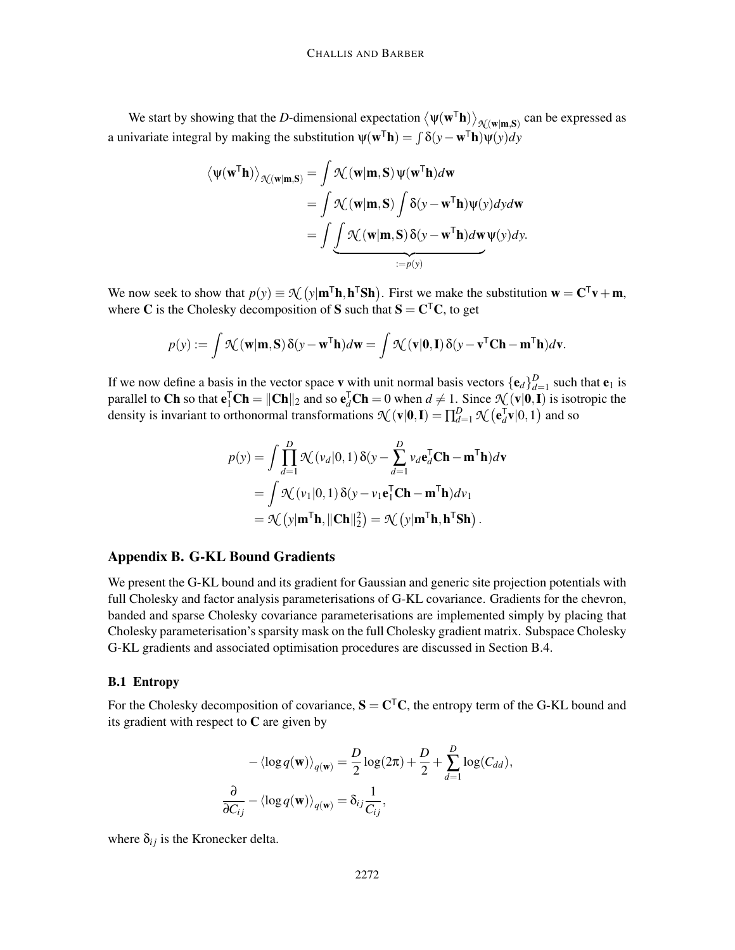We start by showing that the *D*-dimensional expectation  $\langle \psi(\mathbf{w}^T \mathbf{h}) \rangle_{\mathcal{H}(\mathbf{w}|\mathbf{m},\mathbf{S})}$  can be expressed as a univariate integral by making the substitution  $\psi(\mathbf{w}^T \mathbf{h}) = \int \delta(y - \mathbf{w}^T \mathbf{h}) \psi(y) dy$ 

$$
\langle \psi(\mathbf{w}^{\mathsf{T}} \mathbf{h}) \rangle_{\mathcal{N}(\mathbf{w}|\mathbf{m}, \mathbf{S})} = \int \mathcal{N}(\mathbf{w}|\mathbf{m}, \mathbf{S}) \psi(\mathbf{w}^{\mathsf{T}} \mathbf{h}) d\mathbf{w}
$$
  
= 
$$
\int \mathcal{N}(\mathbf{w}|\mathbf{m}, \mathbf{S}) \int \delta(\mathbf{y} - \mathbf{w}^{\mathsf{T}} \mathbf{h}) \psi(\mathbf{y}) d\mathbf{y} d\mathbf{w}
$$
  
= 
$$
\int \underbrace{\int \mathcal{N}(\mathbf{w}|\mathbf{m}, \mathbf{S}) \delta(\mathbf{y} - \mathbf{w}^{\mathsf{T}} \mathbf{h}) d\mathbf{w} \psi(\mathbf{y}) d\mathbf{y}}_{:=p(\mathbf{y})}
$$

We now seek to show that  $p(y) \equiv \mathcal{N}(y|\mathbf{m}^T \mathbf{h}, \mathbf{h}^T \mathbf{S} \mathbf{h})$ . First we make the substitution  $\mathbf{w} = \mathbf{C}^T \mathbf{v} + \mathbf{m}$ , where C is the Cholesky decomposition of S such that  $S = C<sup>T</sup>C$ , to get

$$
p(y) := \int \mathcal{N}(\mathbf{w}|\mathbf{m}, \mathbf{S}) \, \delta(y - \mathbf{w}^{\mathsf{T}} \mathbf{h}) d\mathbf{w} = \int \mathcal{N}(\mathbf{v}|\mathbf{0}, \mathbf{I}) \, \delta(y - \mathbf{v}^{\mathsf{T}} \mathbf{C} \mathbf{h} - \mathbf{m}^{\mathsf{T}} \mathbf{h}) d\mathbf{v}.
$$

If we now define a basis in the vector space **v** with unit normal basis vectors  $\{\mathbf{e}_d\}_{d}^D$  $\frac{D}{d=1}$  such that **e**<sub>1</sub> is parallel to Ch so that  $e_1^T Ch = ||Ch||_2$  and so  $e_d^T Ch = 0$  when  $d \neq 1$ . Since  $\mathcal{N}(v|0, I)$  is isotropic the density is invariant to orthonormal transformations  $\mathcal{N}(\mathbf{v}|\mathbf{0}, \mathbf{I}) = \prod_{d=1}^{D} \mathcal{N}(\mathbf{e}_d^{\mathsf{T}})$  $_d^{\mathsf{T}}\mathbf{v}|0,1)$  and so

$$
p(y) = \int \prod_{d=1}^{D} \mathcal{K}(\nu_d | 0, 1) \, \delta(y - \sum_{d=1}^{D} \nu_d \mathbf{e}_d^{\mathsf{T}} \mathbf{C} \mathbf{h} - \mathbf{m}^{\mathsf{T}} \mathbf{h}) d\mathbf{v}
$$
  
= 
$$
\int \mathcal{K}(\nu_1 | 0, 1) \, \delta(y - \nu_1 \mathbf{e}_1^{\mathsf{T}} \mathbf{C} \mathbf{h} - \mathbf{m}^{\mathsf{T}} \mathbf{h}) d\nu_1
$$
  
= 
$$
\mathcal{K}(y | \mathbf{m}^{\mathsf{T}} \mathbf{h}, ||\mathbf{C} \mathbf{h}||_2^2) = \mathcal{K}(y | \mathbf{m}^{\mathsf{T}} \mathbf{h}, \mathbf{h}^{\mathsf{T}} \mathbf{S} \mathbf{h}).
$$

### Appendix B. G-KL Bound Gradients

We present the G-KL bound and its gradient for Gaussian and generic site projection potentials with full Cholesky and factor analysis parameterisations of G-KL covariance. Gradients for the chevron, banded and sparse Cholesky covariance parameterisations are implemented simply by placing that Cholesky parameterisation's sparsity mask on the full Cholesky gradient matrix. Subspace Cholesky G-KL gradients and associated optimisation procedures are discussed in Section B.4.

### B.1 Entropy

For the Cholesky decomposition of covariance,  $S = C<sup>T</sup>C$ , the entropy term of the G-KL bound and its gradient with respect to  $C$  are given by

$$
-\langle \log q(\mathbf{w}) \rangle_{q(\mathbf{w})} = \frac{D}{2} \log(2\pi) + \frac{D}{2} + \sum_{d=1}^{D} \log(C_{dd}),
$$
  

$$
\frac{\partial}{\partial C_{ij}} - \langle \log q(\mathbf{w}) \rangle_{q(\mathbf{w})} = \delta_{ij} \frac{1}{C_{ij}},
$$

where  $\delta_{ij}$  is the Kronecker delta.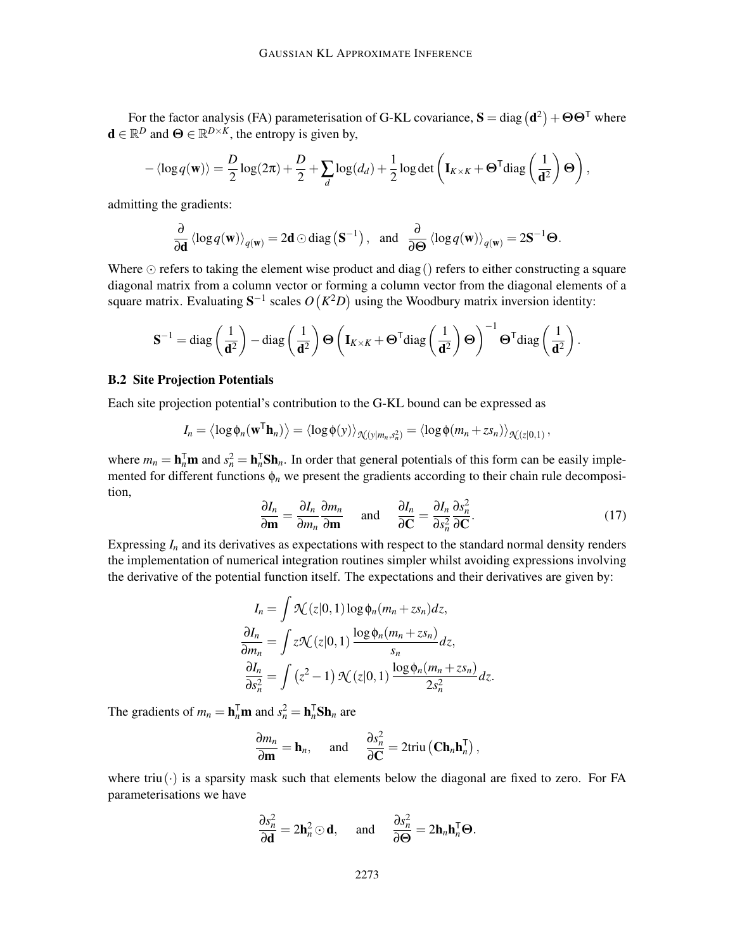For the factor analysis (FA) parameterisation of G-KL covariance,  $S = diag(d^2) + \Theta \Theta^{\top}$  where **d**  $\in \mathbb{R}^D$  and  $\Theta \in \mathbb{R}^{D \times K}$ , the entropy is given by,

$$
-\langle \log q(\mathbf{w}) \rangle = \frac{D}{2} \log(2\pi) + \frac{D}{2} + \sum_{d} \log(d_d) + \frac{1}{2} \log \det \left( \mathbf{I}_{K \times K} + \mathbf{\Theta}^\mathsf{T} \text{diag} \left( \frac{1}{\mathbf{d}^2} \right) \mathbf{\Theta} \right),
$$

admitting the gradients:

$$
\frac{\partial}{\partial \mathbf{d}} \left\langle \log q(\mathbf{w}) \right\rangle_{q(\mathbf{w})} = 2\mathbf{d} \odot \text{diag}(\mathbf{S}^{-1}), \text{ and } \frac{\partial}{\partial \mathbf{\Theta}} \left\langle \log q(\mathbf{w}) \right\rangle_{q(\mathbf{w})} = 2\mathbf{S}^{-1} \mathbf{\Theta}.
$$

Where  $\odot$  refers to taking the element wise product and diag() refers to either constructing a square diagonal matrix from a column vector or forming a column vector from the diagonal elements of a square matrix. Evaluating  $S^{-1}$  scales  $O(K^2D)$  using the Woodbury matrix inversion identity:

$$
\mathbf{S}^{-1} = \text{diag}\left(\frac{1}{\mathbf{d}^2}\right) - \text{diag}\left(\frac{1}{\mathbf{d}^2}\right) \Theta\left(\mathbf{I}_{K \times K} + \mathbf{\Theta}^\mathsf{T} \text{diag}\left(\frac{1}{\mathbf{d}^2}\right) \mathbf{\Theta}\right)^{-1} \mathbf{\Theta}^\mathsf{T} \text{diag}\left(\frac{1}{\mathbf{d}^2}\right).
$$

### B.2 Site Projection Potentials

Each site projection potential's contribution to the G-KL bound can be expressed as

$$
I_n = \langle \log \phi_n(\mathbf{w}^T \mathbf{h}_n) \rangle = \langle \log \phi(y) \rangle_{\mathcal{N}(y|m_n, s_n^2)} = \langle \log \phi(m_n + z s_n) \rangle_{\mathcal{N}(z|0,1)},
$$

where  $m_n = \mathbf{h}_n^{\mathsf{T}} \mathbf{m}$  and  $s_n^2 = \mathbf{h}_n^{\mathsf{T}} \mathbf{S} \mathbf{h}_n$ . In order that general potentials of this form can be easily implemented for different functions  $\phi_n$  we present the gradients according to their chain rule decomposition,

$$
\frac{\partial I_n}{\partial \mathbf{m}} = \frac{\partial I_n}{\partial m_n} \frac{\partial m_n}{\partial \mathbf{m}} \quad \text{and} \quad \frac{\partial I_n}{\partial \mathbf{C}} = \frac{\partial I_n}{\partial s_n^2} \frac{\partial s_n^2}{\partial \mathbf{C}}.
$$
 (17)

Expressing  $I_n$  and its derivatives as expectations with respect to the standard normal density renders the implementation of numerical integration routines simpler whilst avoiding expressions involving the derivative of the potential function itself. The expectations and their derivatives are given by:

$$
I_n = \int \mathcal{N}(z|0,1) \log \phi_n(m_n + zs_n) dz,
$$
  
\n
$$
\frac{\partial I_n}{\partial m_n} = \int z \mathcal{N}(z|0,1) \frac{\log \phi_n(m_n + zs_n)}{s_n} dz,
$$
  
\n
$$
\frac{\partial I_n}{\partial s_n^2} = \int (z^2 - 1) \mathcal{N}(z|0,1) \frac{\log \phi_n(m_n + zs_n)}{2s_n^2} dz.
$$

The gradients of  $m_n = \mathbf{h}_n^{\mathsf{T}} \mathbf{m}$  and  $s_n^2 = \mathbf{h}_n^{\mathsf{T}} \mathbf{S} \mathbf{h}_n$  are

$$
\frac{\partial m_n}{\partial \mathbf{m}} = \mathbf{h}_n, \quad \text{and} \quad \frac{\partial s_n^2}{\partial \mathbf{C}} = 2 \text{triu} \left( \mathbf{C} \mathbf{h}_n \mathbf{h}_n^{\mathsf{T}} \right),
$$

where triu( $\cdot$ ) is a sparsity mask such that elements below the diagonal are fixed to zero. For FA parameterisations we have

$$
\frac{\partial s_n^2}{\partial \mathbf{d}} = 2\mathbf{h}_n^2 \odot \mathbf{d}, \quad \text{and} \quad \frac{\partial s_n^2}{\partial \mathbf{\Theta}} = 2\mathbf{h}_n \mathbf{h}_n^{\mathsf{T}} \mathbf{\Theta}.
$$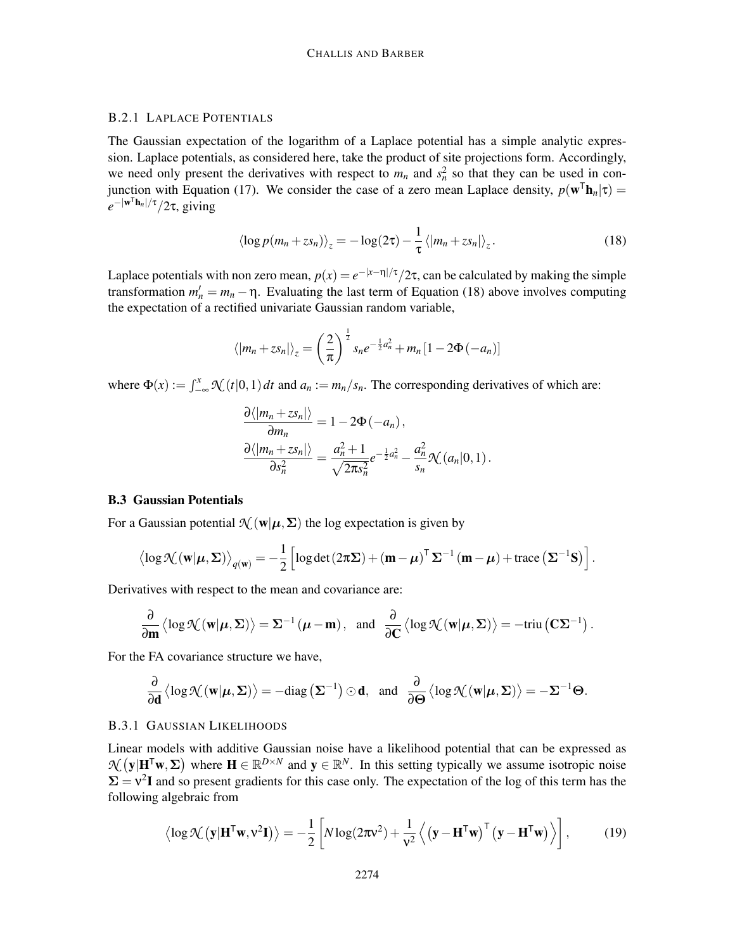## B.2.1 LAPLACE POTENTIALS

The Gaussian expectation of the logarithm of a Laplace potential has a simple analytic expression. Laplace potentials, as considered here, take the product of site projections form. Accordingly, we need only present the derivatives with respect to  $m_n$  and  $s_n^2$  so that they can be used in conjunction with Equation (17). We consider the case of a zero mean Laplace density,  $p(\mathbf{w}^T \mathbf{h}_n | \tau) =$  $e^{-|\mathbf{w}^\mathsf{T}\mathbf{h}_n|/\tau}/2\tau$ , giving

$$
\left\langle \log p(m_n + z s_n) \right\rangle_z = -\log(2\tau) - \frac{1}{\tau} \left\langle |m_n + z s_n| \right\rangle_z.
$$
 (18)

Laplace potentials with non zero mean,  $p(x) = e^{-|x-\eta|/\tau}/2\tau$ , can be calculated by making the simple transformation  $m'_n = m_n - \eta$ . Evaluating the last term of Equation (18) above involves computing the expectation of a rectified univariate Gaussian random variable,

$$
\langle |m_n + z s_n| \rangle_z = \left(\frac{2}{\pi}\right)^{\frac{1}{2}} s_n e^{-\frac{1}{2} a_n^2} + m_n [1 - 2\Phi(-a_n)]
$$

where  $\Phi(x) := \int_{-\infty}^{x} \mathcal{N}(t|0,1) dt$  and  $a_n := m_n/s_n$ . The corresponding derivatives of which are:

$$
\frac{\partial \langle |m_n+z s_n|\rangle}{\partial m_n} = 1 - 2\Phi(-a_n),
$$
  

$$
\frac{\partial \langle |m_n+z s_n|\rangle}{\partial s_n^2} = \frac{a_n^2+1}{\sqrt{2\pi s_n^2}}e^{-\frac{1}{2}a_n^2} - \frac{a_n^2}{s_n}\mathcal{N}(a_n|0,1).
$$

## B.3 Gaussian Potentials

For a Gaussian potential  $\mathcal{N}(\mathbf{w}|\boldsymbol{\mu}, \boldsymbol{\Sigma})$  the log expectation is given by

$$
\left\langle \log \mathcal{K}(\mathbf{w}|\boldsymbol{\mu}, \boldsymbol{\Sigma}) \right\rangle_{q(\mathbf{w})} = -\frac{1}{2} \left[ \log \det (2\pi \boldsymbol{\Sigma}) + (\mathbf{m} - \boldsymbol{\mu})^{\top} \boldsymbol{\Sigma}^{-1} (\mathbf{m} - \boldsymbol{\mu}) + \text{trace} (\boldsymbol{\Sigma}^{-1} \mathbf{S}) \right].
$$

Derivatives with respect to the mean and covariance are:

$$
\frac{\partial}{\partial \mathbf{m}} \left\langle \log \mathcal{H}(\mathbf{w}|\boldsymbol{\mu}, \boldsymbol{\Sigma}) \right\rangle = \boldsymbol{\Sigma}^{-1} (\boldsymbol{\mu} - \mathbf{m}), \text{ and } \frac{\partial}{\partial \mathbf{C}} \left\langle \log \mathcal{H}(\mathbf{w}|\boldsymbol{\mu}, \boldsymbol{\Sigma}) \right\rangle = -\text{triu} \left( \mathbf{C} \boldsymbol{\Sigma}^{-1} \right).
$$

For the FA covariance structure we have,

$$
\frac{\partial}{\partial \mathbf{d}} \left\langle \log \mathcal{N}(\mathbf{w} | \boldsymbol{\mu}, \boldsymbol{\Sigma}) \right\rangle = - \text{diag}\left(\boldsymbol{\Sigma}^{-1}\right) \odot \mathbf{d}, \text{ and } \frac{\partial}{\partial \boldsymbol{\Theta}} \left\langle \log \mathcal{N}(\mathbf{w} | \boldsymbol{\mu}, \boldsymbol{\Sigma}) \right\rangle = - \boldsymbol{\Sigma}^{-1} \boldsymbol{\Theta}.
$$

### B.3.1 GAUSSIAN LIKELIHOODS

Linear models with additive Gaussian noise have a likelihood potential that can be expressed as  $\mathcal{H}(\mathbf{y}|\mathbf{H}^T\mathbf{w}, \Sigma)$  where  $\mathbf{H} \in \mathbb{R}^{D \times N}$  and  $\mathbf{y} \in \mathbb{R}^N$ . In this setting typically we assume isotropic noise  $\Sigma = v^2 I$  and so present gradients for this case only. The expectation of the log of this term has the following algebraic from

$$
\langle \log \mathcal{N} \left( \mathbf{y} | \mathbf{H}^{\mathsf{T}} \mathbf{w}, \mathbf{v}^2 \mathbf{I} \right) \rangle = -\frac{1}{2} \left[ N \log(2\pi \mathbf{v}^2) + \frac{1}{\mathbf{v}^2} \left\langle \left( \mathbf{y} - \mathbf{H}^{\mathsf{T}} \mathbf{w} \right)^{\mathsf{T}} \left( \mathbf{y} - \mathbf{H}^{\mathsf{T}} \mathbf{w} \right) \right\rangle \right],\tag{19}
$$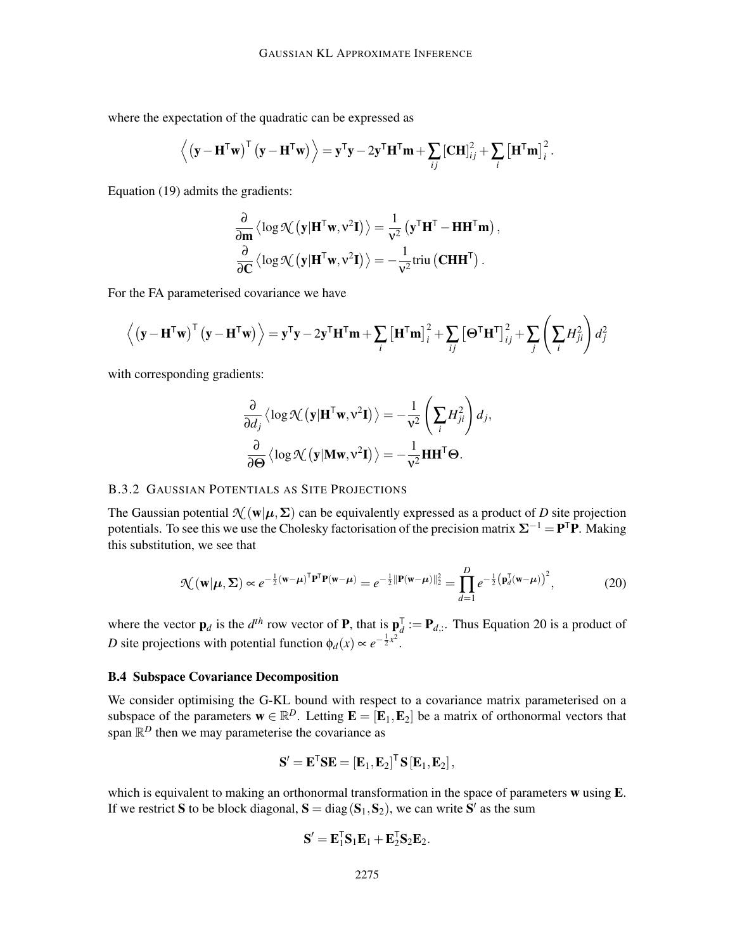where the expectation of the quadratic can be expressed as

$$
\left\langle \left(\mathbf{y}-\mathbf{H}^{\mathsf{T}}\mathbf{w}\right)^{\mathsf{T}}\left(\mathbf{y}-\mathbf{H}^{\mathsf{T}}\mathbf{w}\right)\right\rangle =\mathbf{y}^{\mathsf{T}}\mathbf{y}-2\mathbf{y}^{\mathsf{T}}\mathbf{H}^{\mathsf{T}}\mathbf{m}+\sum_{ij}\left[\mathbf{C}\mathbf{H}\right]_{ij}^{2}+\sum_{i}\left[\mathbf{H}^{\mathsf{T}}\mathbf{m}\right]_{i}^{2}.
$$

Equation (19) admits the gradients:

$$
\frac{\partial}{\partial \mathbf{m}} \left\langle \log \mathcal{N} \left( \mathbf{y} | \mathbf{H}^{\mathsf{T}} \mathbf{w}, v^2 \mathbf{I} \right) \right\rangle = \frac{1}{v^2} \left( \mathbf{y}^{\mathsf{T}} \mathbf{H}^{\mathsf{T}} - \mathbf{H} \mathbf{H}^{\mathsf{T}} \mathbf{m} \right),
$$

$$
\frac{\partial}{\partial \mathbf{C}} \left\langle \log \mathcal{N} \left( \mathbf{y} | \mathbf{H}^{\mathsf{T}} \mathbf{w}, v^2 \mathbf{I} \right) \right\rangle = -\frac{1}{v^2} \text{triu} \left( \mathbf{C} \mathbf{H} \mathbf{H}^{\mathsf{T}} \right).
$$

For the FA parameterised covariance we have

$$
\left\langle \left(\mathbf{y} - \mathbf{H}^{\mathsf{T}} \mathbf{w}\right)^{\mathsf{T}} \left(\mathbf{y} - \mathbf{H}^{\mathsf{T}} \mathbf{w}\right) \right\rangle = \mathbf{y}^{\mathsf{T}} \mathbf{y} - 2 \mathbf{y}^{\mathsf{T}} \mathbf{H}^{\mathsf{T}} \mathbf{m} + \sum_{i} \left[\mathbf{H}^{\mathsf{T}} \mathbf{m}\right]_{i}^{2} + \sum_{ij} \left[\mathbf{\Theta}^{\mathsf{T}} \mathbf{H}^{\mathsf{T}}\right]_{ij}^{2} + \sum_{j} \left(\sum_{i} H_{ji}^{2}\right) d_{j}^{2}
$$

with corresponding gradients:

$$
\frac{\partial}{\partial d_j} \langle \log \mathcal{K} (\mathbf{y} | \mathbf{H}^{\mathsf{T}} \mathbf{w}, \mathbf{v}^2 \mathbf{I}) \rangle = -\frac{1}{\mathbf{v}^2} \left( \sum_i H_{ji}^2 \right) d_j,
$$
  

$$
\frac{\partial}{\partial \mathbf{\Theta}} \langle \log \mathcal{K} (\mathbf{y} | \mathbf{M} \mathbf{w}, \mathbf{v}^2 \mathbf{I}) \rangle = -\frac{1}{\mathbf{v}^2} \mathbf{H} \mathbf{H}^{\mathsf{T}} \mathbf{\Theta}.
$$

# B.3.2 GAUSSIAN POTENTIALS AS SITE PROJECTIONS

The Gaussian potential  $\mathcal{N}(\mathbf{w}|\boldsymbol{\mu}, \boldsymbol{\Sigma})$  can be equivalently expressed as a product of *D* site projection potentials. To see this we use the Cholesky factorisation of the precision matrix  $\Sigma^{-1} = \mathbf{P}^T \mathbf{P}$ . Making this substitution, we see that

$$
\mathcal{N}(\mathbf{w}|\boldsymbol{\mu}, \boldsymbol{\Sigma}) \propto e^{-\frac{1}{2}(\mathbf{w} - \boldsymbol{\mu})^{\mathrm{T}} \mathbf{P}^{\mathrm{T}} \mathbf{P}(\mathbf{w} - \boldsymbol{\mu})} = e^{-\frac{1}{2} \|\mathbf{P}(\mathbf{w} - \boldsymbol{\mu})\|_2^2} = \prod_{d=1}^{D} e^{-\frac{1}{2} (\mathbf{p}_d^{\mathrm{T}}(\mathbf{w} - \boldsymbol{\mu}))^2},
$$
(20)

where the vector  $\mathbf{p}_d$  is the  $d^{th}$  row vector of **P**, that is  $\mathbf{p}_d^{\mathsf{T}}$  $d_i = \mathbf{P}_{d,i}$ . Thus Equation 20 is a product of *D* site projections with potential function  $\phi_d(x) \propto e^{-\frac{1}{2}x^2}$ .

## B.4 Subspace Covariance Decomposition

We consider optimising the G-KL bound with respect to a covariance matrix parameterised on a subspace of the parameters  $\mathbf{w} \in \mathbb{R}^D$ . Letting  $\mathbf{E} = [\mathbf{E}_1, \mathbf{E}_2]$  be a matrix of orthonormal vectors that span  $\mathbb{R}^D$  then we may parameterise the covariance as

$$
\mathbf{S}' = \mathbf{E}^{\mathsf{T}} \mathbf{S} \mathbf{E} = \left[ \mathbf{E}_1, \mathbf{E}_2 \right]^{\mathsf{T}} \mathbf{S} \left[ \mathbf{E}_1, \mathbf{E}_2 \right],
$$

which is equivalent to making an orthonormal transformation in the space of parameters w using E. If we restrict **S** to be block diagonal,  $S = diag(S_1, S_2)$ , we can write S' as the sum

$$
\mathbf{S}' = \mathbf{E}_1^{\mathsf{T}} \mathbf{S}_1 \mathbf{E}_1 + \mathbf{E}_2^{\mathsf{T}} \mathbf{S}_2 \mathbf{E}_2.
$$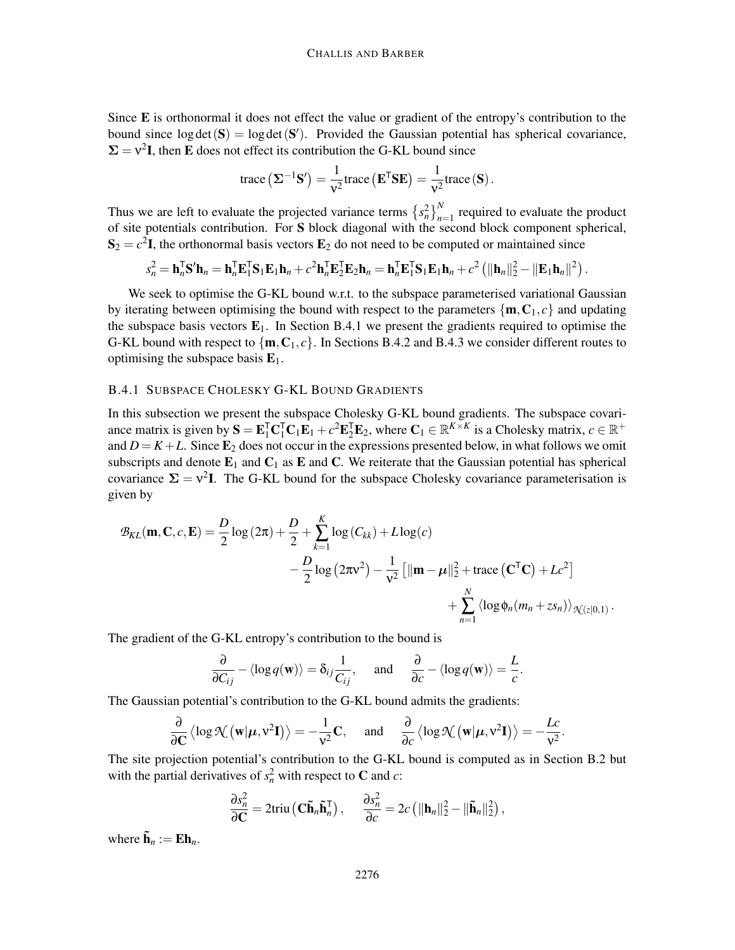Since E is orthonormal it does not effect the value or gradient of the entropy's contribution to the bound since  $log det(S) = log det(S')$ . Provided the Gaussian potential has spherical covariance,  $\Sigma = v^2 I$ , then E does not effect its contribution the G-KL bound since

trace 
$$
(\Sigma^{-1}S') = \frac{1}{v^2}
$$
trace  $(\mathbf{E}^T \mathbf{S} \mathbf{E}) = \frac{1}{v^2}$ trace  $(\mathbf{S})$ .

Thus we are left to evaluate the projected variance terms  $\left\{ s_n^2 \right\}_{n=1}^N$  required to evaluate the product of site potentials contribution. For S block diagonal with the second block component spherical,  $S_2 = c^2 I$ , the orthonormal basis vectors  $E_2$  do not need to be computed or maintained since

$$
s_n^2 = \mathbf{h}_n^{\mathsf{T}} \mathbf{S}' \mathbf{h}_n = \mathbf{h}_n^{\mathsf{T}} \mathbf{E}_1^{\mathsf{T}} \mathbf{S}_1 \mathbf{E}_1 \mathbf{h}_n + c^2 \mathbf{h}_n^{\mathsf{T}} \mathbf{E}_2^{\mathsf{T}} \mathbf{E}_2 \mathbf{h}_n = \mathbf{h}_n^{\mathsf{T}} \mathbf{E}_1^{\mathsf{T}} \mathbf{S}_1 \mathbf{E}_1 \mathbf{h}_n + c^2 \left( \|\mathbf{h}_n\|_2^2 - \|\mathbf{E}_1 \mathbf{h}_n\|^2 \right).
$$

We seek to optimise the G-KL bound w.r.t. to the subspace parameterised variational Gaussian by iterating between optimising the bound with respect to the parameters  $\{m, C_1, c\}$  and updating the subspace basis vectors  $E_1$ . In Section B.4.1 we present the gradients required to optimise the G-KL bound with respect to  $\{m, C_1, c\}$ . In Sections B.4.2 and B.4.3 we consider different routes to optimising the subspace basis  $E_1$ .

### B.4.1 SUBSPACE CHOLESKY G-KL BOUND GRADIENTS

In this subsection we present the subspace Cholesky G-KL bound gradients. The subspace covariance matrix is given by  $S = \mathbf{E}_1^{\mathsf{T}} \mathbf{C}_1^{\mathsf{T}} \mathbf{C}_1 \mathbf{E}_1 + c^2 \mathbf{E}_2^{\mathsf{T}} \mathbf{E}_2$ , where  $\mathbf{C}_1 \in \mathbb{R}^{K \times K}$  is a Cholesky matrix,  $c \in \mathbb{R}^+$ and  $D = K + L$ . Since  $\mathbf{E}_2$  does not occur in the expressions presented below, in what follows we omit subscripts and denote  $E_1$  and  $C_1$  as  $E$  and  $C$ . We reiterate that the Gaussian potential has spherical covariance  $\Sigma = v^2 I$ . The G-KL bound for the subspace Cholesky covariance parameterisation is given by

$$
\mathcal{B}_{KL}(\mathbf{m}, \mathbf{C}, c, \mathbf{E}) = \frac{D}{2} \log (2\pi) + \frac{D}{2} + \sum_{k=1}^{K} \log (C_{kk}) + L \log(c)
$$
  
 
$$
- \frac{D}{2} \log (2\pi v^2) - \frac{1}{v^2} [||\mathbf{m} - \boldsymbol{\mu}||_2^2 + \text{trace} (\mathbf{C}^\mathsf{T} \mathbf{C}) + Lc^2]
$$
  
 
$$
+ \sum_{n=1}^{N} \langle \log \phi_n (m_n + z s_n) \rangle_{\mathcal{K}(z|0,1)}.
$$

The gradient of the G-KL entropy's contribution to the bound is

$$
\frac{\partial}{\partial C_{ij}} - \langle \log q(\mathbf{w}) \rangle = \delta_{ij} \frac{1}{C_{ij}}, \quad \text{and} \quad \frac{\partial}{\partial c} - \langle \log q(\mathbf{w}) \rangle = \frac{L}{c}.
$$

The Gaussian potential's contribution to the G-KL bound admits the gradients:

$$
\frac{\partial}{\partial \mathbf{C}} \left\langle \log \mathcal{N} \left( \mathbf{w} | \boldsymbol{\mu}, \mathbf{v}^2 \mathbf{I} \right) \right\rangle = -\frac{1}{v^2} \mathbf{C}, \quad \text{ and } \quad \frac{\partial}{\partial c} \left\langle \log \mathcal{N} \left( \mathbf{w} | \boldsymbol{\mu}, \mathbf{v}^2 \mathbf{I} \right) \right\rangle = -\frac{Lc}{v^2}.
$$

The site projection potential's contribution to the G-KL bound is computed as in Section B.2 but with the partial derivatives of  $s_n^2$  with respect to **C** and *c*:

$$
\frac{\partial s_n^2}{\partial \mathbf{C}} = 2 \text{triu} \left( \mathbf{C} \tilde{\mathbf{h}}_n \tilde{\mathbf{h}}_n^{\mathsf{T}} \right), \quad \frac{\partial s_n^2}{\partial c} = 2c \left( \|\mathbf{h}_n\|_2^2 - \|\tilde{\mathbf{h}}_n\|_2^2 \right),
$$

where  $\tilde{\mathbf{h}}_n := \mathbf{E} \mathbf{h}_n$ .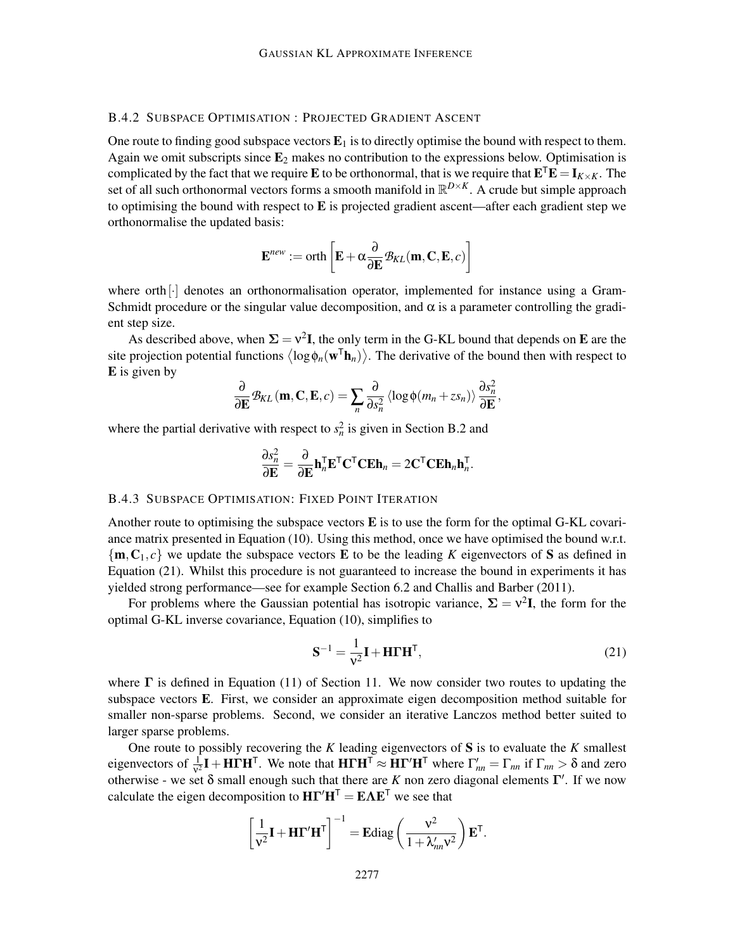# B.4.2 SUBSPACE OPTIMISATION : PROJECTED GRADIENT ASCENT

One route to finding good subspace vectors  $E_1$  is to directly optimise the bound with respect to them. Again we omit subscripts since  $E_2$  makes no contribution to the expressions below. Optimisation is complicated by the fact that we require **E** to be orthonormal, that is we require that  $\mathbf{E}^{\mathsf{T}}\mathbf{E} = \mathbf{I}_{K \times K}$ . The set of all such orthonormal vectors forms a smooth manifold in R *<sup>D</sup>*×*K*. A crude but simple approach to optimising the bound with respect to  $E$  is projected gradient ascent—after each gradient step we orthonormalise the updated basis:

$$
\mathbf{E}^{new} := \operatorname{orth}\left[\mathbf{E} + \alpha \frac{\partial}{\partial \mathbf{E}} \mathcal{B}_{KL}(\mathbf{m}, \mathbf{C}, \mathbf{E}, c)\right]
$$

where  $orth$ [ $\cdot$ ] denotes an orthonormalisation operator, implemented for instance using a Gram-Schmidt procedure or the singular value decomposition, and  $\alpha$  is a parameter controlling the gradient step size.

As described above, when  $\Sigma = v^2 I$ , the only term in the G-KL bound that depends on E are the site projection potential functions  $\langle \log \phi_n(w^{\mathsf{T}} \mathbf{h}_n) \rangle$ . The derivative of the bound then with respect to E is given by

$$
\frac{\partial}{\partial \mathbf{E}} \mathcal{B}_{KL}(\mathbf{m}, \mathbf{C}, \mathbf{E}, c) = \sum_{n} \frac{\partial}{\partial s_n^2} \langle \log \phi(m_n + z s_n) \rangle \frac{\partial s_n^2}{\partial \mathbf{E}},
$$

where the partial derivative with respect to  $s_n^2$  is given in Section B.2 and

$$
\frac{\partial s_n^2}{\partial \mathbf{E}} = \frac{\partial}{\partial \mathbf{E}} \mathbf{h}_n^{\mathsf{T}} \mathbf{E}^{\mathsf{T}} \mathbf{C}^{\mathsf{T}} \mathbf{C} \mathbf{E} \mathbf{h}_n = 2 \mathbf{C}^{\mathsf{T}} \mathbf{C} \mathbf{E} \mathbf{h}_n \mathbf{h}_n^{\mathsf{T}}.
$$

#### B.4.3 SUBSPACE OPTIMISATION: FIXED POINT ITERATION

Another route to optimising the subspace vectors  $E$  is to use the form for the optimal G-KL covariance matrix presented in Equation (10). Using this method, once we have optimised the bound w.r.t.  $\{m, C_1, c\}$  we update the subspace vectors **E** to be the leading K eigenvectors of **S** as defined in Equation (21). Whilst this procedure is not guaranteed to increase the bound in experiments it has yielded strong performance—see for example Section 6.2 and Challis and Barber (2011).

For problems where the Gaussian potential has isotropic variance,  $\Sigma = v^2 I$ , the form for the optimal G-KL inverse covariance, Equation (10), simplifies to

$$
\mathbf{S}^{-1} = \frac{1}{\mathbf{v}^2} \mathbf{I} + \mathbf{H} \boldsymbol{\Gamma} \mathbf{H}^\mathsf{T},\tag{21}
$$

where  $\Gamma$  is defined in Equation (11) of Section 11. We now consider two routes to updating the subspace vectors E. First, we consider an approximate eigen decomposition method suitable for smaller non-sparse problems. Second, we consider an iterative Lanczos method better suited to larger sparse problems.

One route to possibly recovering the *K* leading eigenvectors of S is to evaluate the *K* smallest eigenvectors of  $\frac{1}{v^2}I + H\Gamma H^T$ . We note that  $H\Gamma H^T \approx H\Gamma' H^T$  where  $\Gamma'_{nn} = \Gamma_{nn}$  if  $\Gamma_{nn} > \delta$  and zero otherwise - we set  $\delta$  small enough such that there are *K* non zero diagonal elements Γ'. If we now calculate the eigen decomposition to  $H\Gamma'H^{T} = E\Lambda E^{T}$  we see that

$$
\left[\frac{1}{v^2}\mathbf{I} + \mathbf{H}\mathbf{\Gamma}'\mathbf{H}^{\mathsf{T}}\right]^{-1} = \mathbf{E} \text{diag}\left(\frac{v^2}{1 + \lambda'_{nn} v^2}\right) \mathbf{E}^{\mathsf{T}}.
$$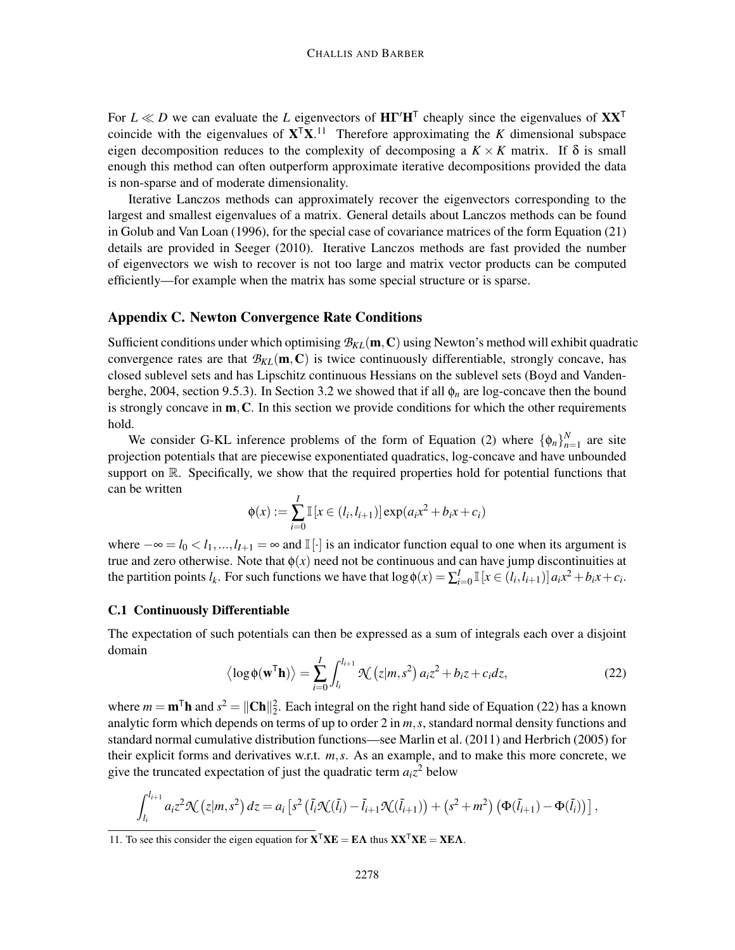For  $L \ll D$  we can evaluate the *L* eigenvectors of  $H\Gamma'H^{\top}$  cheaply since the eigenvalues of  $XX^{\top}$ coincide with the eigenvalues of  $X^T X$ .<sup>11</sup> Therefore approximating the *K* dimensional subspace eigen decomposition reduces to the complexity of decomposing a  $K \times K$  matrix. If  $\delta$  is small enough this method can often outperform approximate iterative decompositions provided the data is non-sparse and of moderate dimensionality.

Iterative Lanczos methods can approximately recover the eigenvectors corresponding to the largest and smallest eigenvalues of a matrix. General details about Lanczos methods can be found in Golub and Van Loan (1996), for the special case of covariance matrices of the form Equation (21) details are provided in Seeger (2010). Iterative Lanczos methods are fast provided the number of eigenvectors we wish to recover is not too large and matrix vector products can be computed efficiently—for example when the matrix has some special structure or is sparse.

# Appendix C. Newton Convergence Rate Conditions

Sufficient conditions under which optimising  $B_{KL}(\mathbf{m}, \mathbf{C})$  using Newton's method will exhibit quadratic convergence rates are that  $B_{KL}(\mathbf{m}, \mathbf{C})$  is twice continuously differentiable, strongly concave, has closed sublevel sets and has Lipschitz continuous Hessians on the sublevel sets (Boyd and Vandenberghe, 2004, section 9.5.3). In Section 3.2 we showed that if all  $\phi_n$  are log-concave then the bound is strongly concave in  $m, C$ . In this section we provide conditions for which the other requirements hold.

We consider G-KL inference problems of the form of Equation (2) where  $\{\phi_n\}_{n=1}^N$  $n=1$  are site projection potentials that are piecewise exponentiated quadratics, log-concave and have unbounded support on  $\mathbb R$ . Specifically, we show that the required properties hold for potential functions that can be written

$$
\phi(x) := \sum_{i=0}^{I} \mathbb{I}[x \in (l_i, l_{i+1})] \exp(a_i x^2 + b_i x + c_i)
$$

where  $-\infty = l_0 < l_1, ..., l_{I+1} = \infty$  and I[·] is an indicator function equal to one when its argument is true and zero otherwise. Note that  $\phi(x)$  need not be continuous and can have jump discontinuities at the partition points  $l_k$ . For such functions we have that  $\log \phi(x) = \sum_{i=0}^{I} \mathbb{I}[x \in (l_i, l_{i+1})] a_i x^2 + b_i x + c_i$ .

#### C.1 Continuously Differentiable

The expectation of such potentials can then be expressed as a sum of integrals each over a disjoint domain

$$
\langle \log \phi(\mathbf{w}^{\mathsf{T}} \mathbf{h}) \rangle = \sum_{i=0}^{I} \int_{l_i}^{l_{i+1}} \mathcal{K}(z|m, s^2) a_i z^2 + b_i z + c_i dz,
$$
 (22)

where  $m = \mathbf{m}^\mathsf{T} \mathbf{h}$  and  $s^2 = ||\mathbf{Ch}||_2^2$ . Each integral on the right hand side of Equation (22) has a known analytic form which depends on terms of up to order 2 in *m*,*s*, standard normal density functions and standard normal cumulative distribution functions—see Marlin et al. (2011) and Herbrich (2005) for their explicit forms and derivatives w.r.t. *m*,*s*. As an example, and to make this more concrete, we give the truncated expectation of just the quadratic term  $a_i z^2$  below

$$
\int_{l_i}^{l_{i+1}} a_i z^2 \mathcal{K}(z|m,s^2) dz = a_i \left[ s^2 \left( \tilde{l}_i \mathcal{K}(\tilde{l}_i) - \tilde{l}_{i+1} \mathcal{K}(\tilde{l}_{i+1}) \right) + \left( s^2 + m^2 \right) \left( \Phi(\tilde{l}_{i+1}) - \Phi(\tilde{l}_i) \right) \right],
$$

<sup>11.</sup> To see this consider the eigen equation for  $X^{\mathsf{T}} X E = E \Lambda$  thus  $X X^{\mathsf{T}} X E = X E \Lambda$ .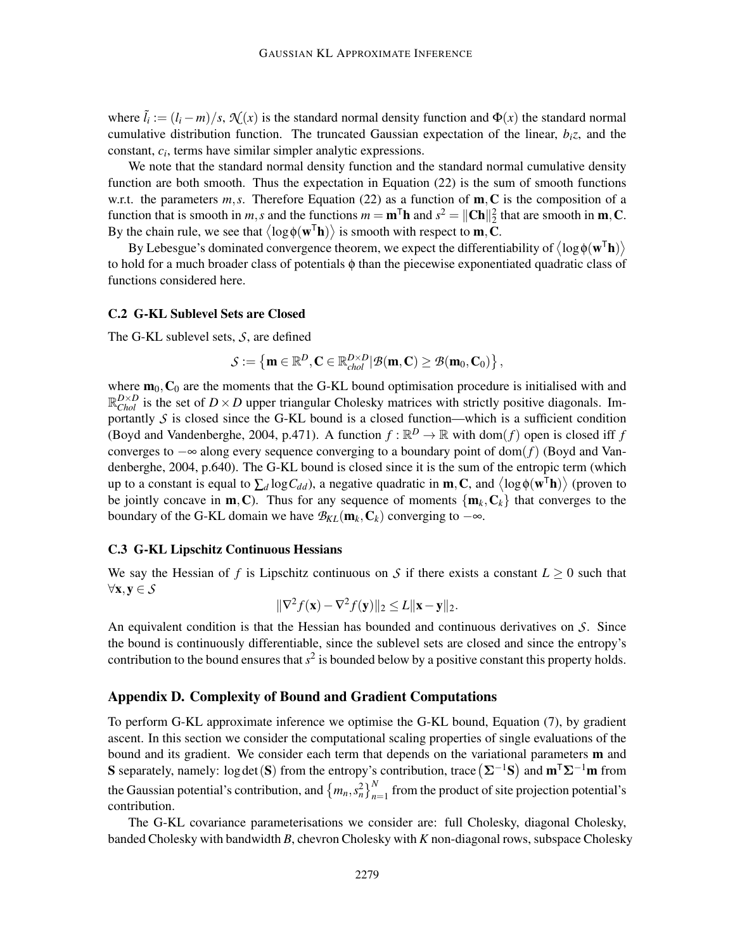where  $\tilde{l}_i := (l_i - m)/s$ ,  $\mathcal{N}(x)$  is the standard normal density function and  $\Phi(x)$  the standard normal cumulative distribution function. The truncated Gaussian expectation of the linear, *biz*, and the constant, *c<sup>i</sup>* , terms have similar simpler analytic expressions.

We note that the standard normal density function and the standard normal cumulative density function are both smooth. Thus the expectation in Equation (22) is the sum of smooth functions w.r.t. the parameters  $m, s$ . Therefore Equation (22) as a function of  $m, C$  is the composition of a function that is smooth in *m*,*s* and the functions  $m = m^{T}h$  and  $s^{2} = ||Ch||_{2}^{2}$  that are smooth in **m**, **C**. By the chain rule, we see that  $\langle \log \phi(w^{\mathsf{T}} \mathbf{h}) \rangle$  is smooth with respect to **m**, **C**.

By Lebesgue's dominated convergence theorem, we expect the differentiability of  $\langle \log \phi(w^{\mathsf{T}} \mathbf{h}) \rangle$ to hold for a much broader class of potentials φ than the piecewise exponentiated quadratic class of functions considered here.

#### C.2 G-KL Sublevel Sets are Closed

The G-KL sublevel sets, *S*, are defined

$$
\mathcal{S}:=\left\{\boldsymbol{m}\in\mathbb{R}^D,\boldsymbol{C}\in\mathbb{R}^{D\times D}_{\textit{chol}}|\mathcal{B}(\boldsymbol{m},\boldsymbol{C})\geq\mathcal{B}(\boldsymbol{m}_0,\boldsymbol{C}_0)\right\},
$$

where  $\mathbf{m}_0$ ,  $\mathbf{C}_0$  are the moments that the G-KL bound optimisation procedure is initialised with and  $\mathbb{R}_{Chol}^{D\times D}$  is the set of  $D\times D$  upper triangular Cholesky matrices with strictly positive diagonals. Importantly  $S$  is closed since the G-KL bound is a closed function—which is a sufficient condition (Boyd and Vandenberghe, 2004, p.471). A function  $f : \mathbb{R}^D \to \mathbb{R}$  with dom(*f*) open is closed iff *f* converges to −∞ along every sequence converging to a boundary point of dom(*f*) (Boyd and Vandenberghe, 2004, p.640). The G-KL bound is closed since it is the sum of the entropic term (which up to a constant is equal to  $\sum_d \log C_{dd}$ ), a negative quadratic in **m**, **C**, and  $\langle \log \phi(w^T \mathbf{h}) \rangle$  (proven to be jointly concave in  $m$ , C). Thus for any sequence of moments  $\{m_k, C_k\}$  that converges to the boundary of the G-KL domain we have  $\mathcal{B}_{KL}(\mathbf{m}_k, \mathbf{C}_k)$  converging to  $-\infty$ .

## C.3 G-KL Lipschitz Continuous Hessians

We say the Hessian of *f* is Lipschitz continuous on *S* if there exists a constant  $L \geq 0$  such that <sup>∀</sup>x,<sup>y</sup> <sup>∈</sup> *S*

$$
\|\nabla^2 f(\mathbf{x}) - \nabla^2 f(\mathbf{y})\|_2 \le L \|\mathbf{x} - \mathbf{y}\|_2.
$$

An equivalent condition is that the Hessian has bounded and continuous derivatives on *S*. Since the bound is continuously differentiable, since the sublevel sets are closed and since the entropy's contribution to the bound ensures that  $s^2$  is bounded below by a positive constant this property holds.

### Appendix D. Complexity of Bound and Gradient Computations

To perform G-KL approximate inference we optimise the G-KL bound, Equation (7), by gradient ascent. In this section we consider the computational scaling properties of single evaluations of the bound and its gradient. We consider each term that depends on the variational parameters  $\mathbf m$  and S separately, namely: log det (S) from the entropy's contribution, trace  $(\Sigma^{-1}S)$  and  $m^{\top}\Sigma^{-1}m$  from the Gaussian potential's contribution, and  ${m_n, s_n^2}_{n=1}^N$  from the product of site projection potential's contribution.

The G-KL covariance parameterisations we consider are: full Cholesky, diagonal Cholesky, banded Cholesky with bandwidth *B*, chevron Cholesky with *K* non-diagonal rows, subspace Cholesky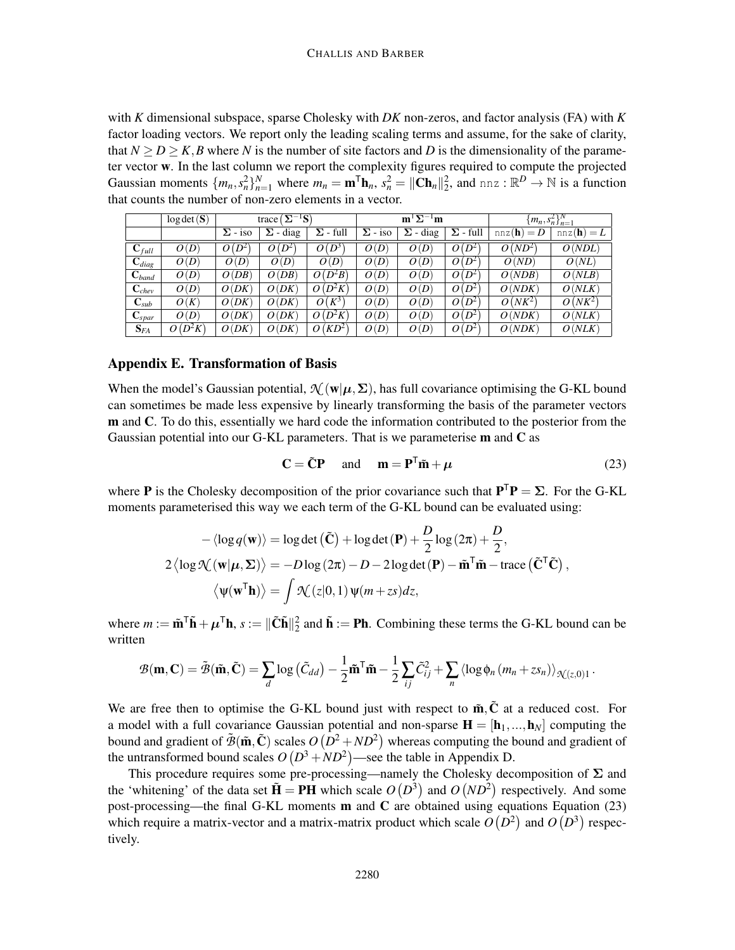with *K* dimensional subspace, sparse Cholesky with *DK* non-zeros, and factor analysis (FA) with *K* factor loading vectors. We report only the leading scaling terms and assume, for the sake of clarity, that  $N \ge D \ge K$ , *B* where *N* is the number of site factors and *D* is the dimensionality of the parameter vector w. In the last column we report the complexity figures required to compute the projected Gaussian moments  $\{m_n, s_n^2\}_{n=1}^N$  where  $m_n = \mathbf{m}^T \mathbf{h}_n$ ,  $s_n^2 = ||\mathbf{Ch}_n||_2^2$ , and  $n \in \mathbb{R}^D \to \mathbb{N}$  is a function that counts the number of non-zero elements in a vector.

|                     | log det(S) | $\left[\mathbf{\Sigma}^{-1}\mathbf{S}\right]$<br>trace ( |                 |                      |                | $\mathbf{m}^{\mathsf{T}}\mathbf{\Sigma}^{-1}\mathbf{m}$ |                 | ${m_n, s_n^2}_{n=1}^N$ |                     |
|---------------------|------------|----------------------------------------------------------|-----------------|----------------------|----------------|---------------------------------------------------------|-----------------|------------------------|---------------------|
|                     |            | $\Sigma$ - iso                                           | $\Sigma$ - diag | $\Sigma$ - full      | $\Sigma$ - iso | $\Sigma$ - diag                                         | $\Sigma$ - full | nnz(h)<br>$= D$        | $nnz(\mathbf{h})=L$ |
| $\mathbf{C}_{full}$ | O(D)       | $O(D^2)$                                                 | $D^2$<br>0      | $D^3$<br>O(          | O(D)           | O(D)                                                    | $O(D^2)$        | $O(ND^2)$              | O(NDL)              |
| $\mathbf{C}_{diag}$ | O(D)       | O(D)                                                     | O(D)            | O(D)                 | O(D)           | O(D)                                                    | $O(D^2)$        | O(ND)                  | O(NL)               |
| $\mathbf{C}_{band}$ | O(D)       | O(DB)                                                    | O(DB)           | $O(D^2B)$            | O(D)           | O(D)                                                    | $O(D^2)$        | O(NDB)                 | O(NLB)              |
| $\mathbf{C}_{chev}$ | O(D)       | O(DK)                                                    | O(DK)           | $(D^2K)$<br>$\Omega$ | O(D)           | O(D)                                                    | $O(D^2)$        | O(NDK)                 | O(NLK)              |
| $\mathbf{C}_{sub}$  | O(K)       | O(DK)                                                    | O(DK)           | $K^3$<br>$\Omega$ (  | O(D)           | O(D)                                                    | $O(D^2)$        | $O(NK^2)$              | $O(NK^2)$           |
| $\mathbf{C}_{spar}$ | O(D)       | O(DK)                                                    | O(DK)           | $O(D^2K)$            | O(D)           | O(D)                                                    | $O(D^2)$        | O(NDK)                 | O(NLK)              |
| $\mathbf{S}_{FA}$   | $O(D^2K)$  | O(DK)                                                    | O(DK)           | $O(KD^2)$            | O(D)           | O(D)                                                    | $O(D^2)$        | O(NDK)                 | O(NLK)              |

## Appendix E. Transformation of Basis

When the model's Gaussian potential,  $\mathcal{N}(\mathbf{w}|\boldsymbol{\mu}, \boldsymbol{\Sigma})$ , has full covariance optimising the G-KL bound can sometimes be made less expensive by linearly transforming the basis of the parameter vectors m and C. To do this, essentially we hard code the information contributed to the posterior from the Gaussian potential into our G-KL parameters. That is we parameterise m and C as

$$
\mathbf{C} = \tilde{\mathbf{C}} \mathbf{P} \quad \text{and} \quad \mathbf{m} = \mathbf{P}^{\mathsf{T}} \tilde{\mathbf{m}} + \mu \tag{23}
$$

where **P** is the Cholesky decomposition of the prior covariance such that  $P^T P = \Sigma$ . For the G-KL moments parameterised this way we each term of the G-KL bound can be evaluated using:

$$
-\langle \log q(\mathbf{w}) \rangle = \log \det (\tilde{\mathbf{C}}) + \log \det (\mathbf{P}) + \frac{D}{2} \log (2\pi) + \frac{D}{2},
$$
  
2\langle \log \mathcal{N}(\mathbf{w} | \boldsymbol{\mu}, \boldsymbol{\Sigma}) \rangle = -D \log (2\pi) - D - 2 \log \det (\mathbf{P}) - \tilde{\mathbf{m}}^{\mathsf{T}} \tilde{\mathbf{m}} - \text{trace} (\tilde{\mathbf{C}}^{\mathsf{T}} \tilde{\mathbf{C}}),  
\langle \psi(\mathbf{w}^{\mathsf{T}} \mathbf{h}) \rangle = \int \mathcal{N}(z|0, 1) \psi(m + zs) dz,

where  $m := \tilde{\mathbf{m}}^T \tilde{\mathbf{h}} + \mu^T \mathbf{h}$ ,  $s := ||\tilde{\mathbf{C}} \tilde{\mathbf{h}}||_2^2$  and  $\tilde{\mathbf{h}} := \mathbf{Ph}$ . Combining these terms the G-KL bound can be written

$$
\mathcal{B}(\mathbf{m}, \mathbf{C}) = \tilde{\mathcal{B}}(\tilde{\mathbf{m}}, \tilde{\mathbf{C}}) = \sum_{d} \log \left( \tilde{C}_{dd} \right) - \frac{1}{2} \tilde{\mathbf{m}}^{\mathsf{T}} \tilde{\mathbf{m}} - \frac{1}{2} \sum_{ij} \tilde{C}_{ij}^{2} + \sum_{n} \langle \log \phi_{n} (m_{n} + z s_{n}) \rangle_{\mathcal{N}(z, 0)1}.
$$

We are free then to optimise the G-KL bound just with respect to  $\tilde{m}$ ,  $\tilde{C}$  at a reduced cost. For a model with a full covariance Gaussian potential and non-sparse  $\mathbf{H} = [\mathbf{h}_1, ..., \mathbf{h}_N]$  computing the bound and gradient of  $\tilde{\mathcal{B}}(\tilde{\mathbf{m}}, \tilde{\mathbf{C}})$  scales  $O(D^2 + ND^2)$  whereas computing the bound and gradient of the untransformed bound scales  $O(D^3 + ND^2)$ —see the table in Appendix D.

This procedure requires some pre-processing—namely the Cholesky decomposition of  $\Sigma$  and the 'whitening' of the data set  $\tilde{H} = PH$  which scale  $O(D^3)$  and  $O(ND^2)$  respectively. And some post-processing—the final G-KL moments  **and**  $**C**$  **are obtained using equations Equation (23)** which require a matrix-vector and a matrix-matrix product which scale  $O(D^2)$  and  $O(D^3)$  respectively.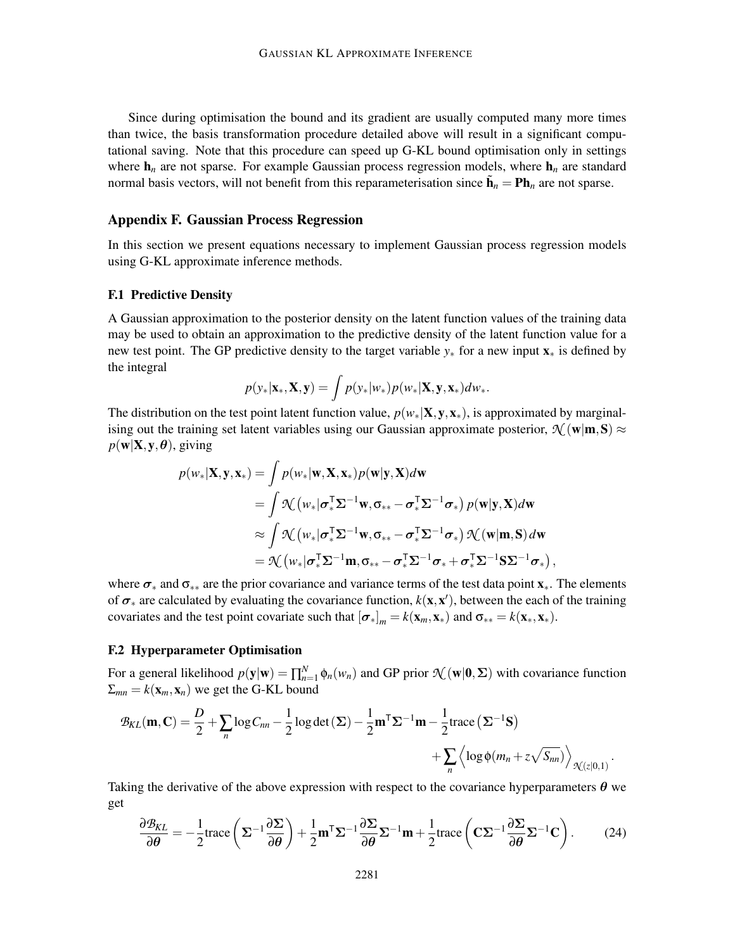Since during optimisation the bound and its gradient are usually computed many more times than twice, the basis transformation procedure detailed above will result in a significant computational saving. Note that this procedure can speed up G-KL bound optimisation only in settings where  $h_n$  are not sparse. For example Gaussian process regression models, where  $h_n$  are standard normal basis vectors, will not benefit from this reparameterisation since  $\tilde{\mathbf{h}}_n = \mathbf{Ph}_n$  are not sparse.

## Appendix F. Gaussian Process Regression

In this section we present equations necessary to implement Gaussian process regression models using G-KL approximate inference methods.

### F.1 Predictive Density

A Gaussian approximation to the posterior density on the latent function values of the training data may be used to obtain an approximation to the predictive density of the latent function value for a new test point. The GP predictive density to the target variable *y*<sup>∗</sup> for a new input x<sup>∗</sup> is defined by the integral

$$
p(\mathbf{y}_*|\mathbf{x}_*,\mathbf{X},\mathbf{y}) = \int p(\mathbf{y}_*|w_*)p(w_*|\mathbf{X},\mathbf{y},\mathbf{x}_*)dw_*.
$$

The distribution on the test point latent function value,  $p(w_*|\mathbf{X}, \mathbf{y}, \mathbf{x}_*)$ , is approximated by marginalising out the training set latent variables using our Gaussian approximate posterior,  $\mathcal{N}(\mathbf{w}|\mathbf{m},\mathbf{S}) \approx$  $p(\mathbf{w}|\mathbf{X}, \mathbf{y}, \boldsymbol{\theta})$ , giving

$$
p(w_*|\mathbf{X}, \mathbf{y}, \mathbf{x}_*) = \int p(w_*|\mathbf{w}, \mathbf{X}, \mathbf{x}_*) p(\mathbf{w}|\mathbf{y}, \mathbf{X}) d\mathbf{w}
$$
  
= 
$$
\int \mathcal{N}\left(w_*|\sigma_*^{\mathsf{T}}\Sigma^{-1}\mathbf{w}, \sigma_{**} - \sigma_*^{\mathsf{T}}\Sigma^{-1}\sigma_*\right) p(\mathbf{w}|\mathbf{y}, \mathbf{X}) d\mathbf{w}
$$
  

$$
\approx \int \mathcal{N}\left(w_*|\sigma_*^{\mathsf{T}}\Sigma^{-1}\mathbf{w}, \sigma_{**} - \sigma_*^{\mathsf{T}}\Sigma^{-1}\sigma_*\right) \mathcal{N}\left(\mathbf{w}|\mathbf{m}, \mathbf{S}\right) d\mathbf{w}
$$
  
= 
$$
\mathcal{N}\left(w_*|\sigma_*^{\mathsf{T}}\Sigma^{-1}\mathbf{m}, \sigma_{**} - \sigma_*^{\mathsf{T}}\Sigma^{-1}\sigma_* + \sigma_*^{\mathsf{T}}\Sigma^{-1}\mathbf{S}\Sigma^{-1}\sigma_*\right),
$$

where  $\sigma_*$  and  $\sigma_{**}$  are the prior covariance and variance terms of the test data point  $\mathbf{x}_*$ . The elements of  $\sigma_*$  are calculated by evaluating the covariance function,  $k(\mathbf{x}, \mathbf{x}')$ , between the each of the training covariates and the test point covariate such that  $[\sigma_*]_m = k(\mathbf{x}_m, \mathbf{x}_*)$  and  $\sigma_{**} = k(\mathbf{x}_*, \mathbf{x}_*)$ .

## F.2 Hyperparameter Optimisation

For a general likelihood  $p(\mathbf{y}|\mathbf{w}) = \prod_{n=1}^{N} \phi_n(w_n)$  and GP prior  $\mathcal{N}(\mathbf{w}|\mathbf{0}, \Sigma)$  with covariance function  $\Sigma_{mn} = k(\mathbf{x}_m, \mathbf{x}_n)$  we get the G-KL bound

$$
\mathcal{B}_{KL}(\mathbf{m}, \mathbf{C}) = \frac{D}{2} + \sum_{n} \log C_{nn} - \frac{1}{2} \log \det(\mathbf{\Sigma}) - \frac{1}{2} \mathbf{m}^{\mathsf{T}} \mathbf{\Sigma}^{-1} \mathbf{m} - \frac{1}{2} \text{trace} (\mathbf{\Sigma}^{-1} \mathbf{S}) + \sum_{n} \left\langle \log \phi(m_n + z \sqrt{S_{nn}}) \right\rangle_{\mathcal{N}(z|0,1)}.
$$

Taking the derivative of the above expression with respect to the covariance hyperparameters  $\theta$  we get

$$
\frac{\partial \mathcal{B}_{KL}}{\partial \boldsymbol{\theta}} = -\frac{1}{2} \text{trace} \left( \boldsymbol{\Sigma}^{-1} \frac{\partial \boldsymbol{\Sigma}}{\partial \boldsymbol{\theta}} \right) + \frac{1}{2} \mathbf{m}^{\mathsf{T}} \boldsymbol{\Sigma}^{-1} \frac{\partial \boldsymbol{\Sigma}}{\partial \boldsymbol{\theta}} \boldsymbol{\Sigma}^{-1} \mathbf{m} + \frac{1}{2} \text{trace} \left( \mathbf{C} \boldsymbol{\Sigma}^{-1} \frac{\partial \boldsymbol{\Sigma}}{\partial \boldsymbol{\theta}} \boldsymbol{\Sigma}^{-1} \mathbf{C} \right). \tag{24}
$$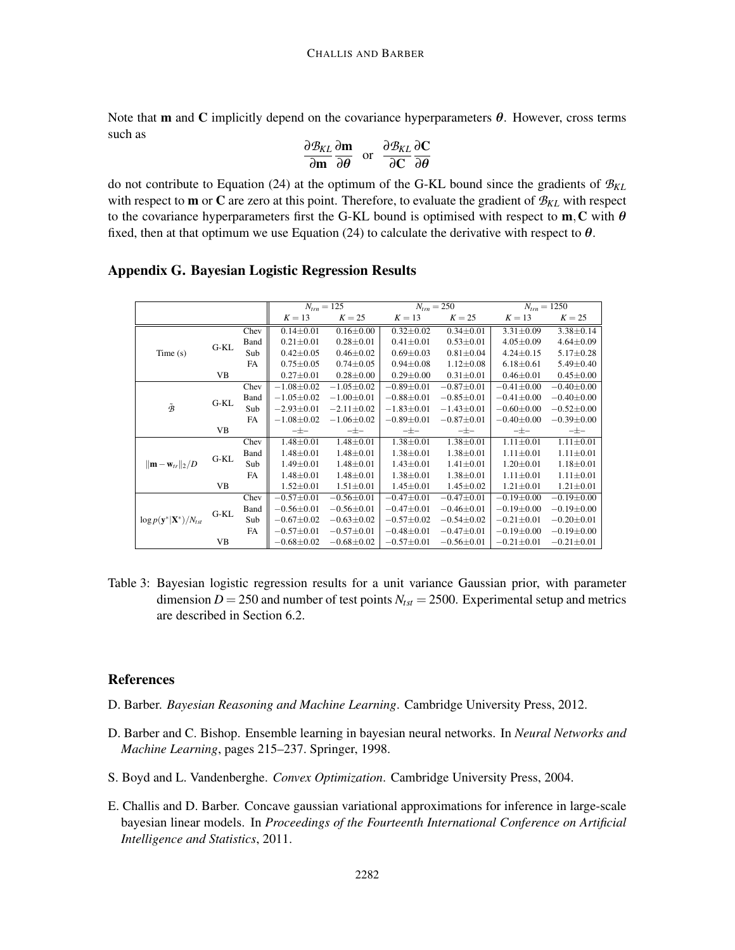Note that **m** and C implicitly depend on the covariance hyperparameters  $\theta$ . However, cross terms such as

$$
\frac{\partial \mathcal{B}_{KL}}{\partial \mathbf{m}} \frac{\partial \mathbf{m}}{\partial \theta} \text{ or } \frac{\partial \mathcal{B}_{KL}}{\partial C} \frac{\partial C}{\partial \theta}
$$

do not contribute to Equation (24) at the optimum of the G-KL bound since the gradients of *BKL* with respect to m or C are zero at this point. Therefore, to evaluate the gradient of *BKL* with respect to the covariance hyperparameters first the G-KL bound is optimised with respect to  $m, C$  with  $\theta$ fixed, then at that optimum we use Equation (24) to calculate the derivative with respect to  $\theta$ .

# Appendix G. Bayesian Logistic Regression Results

|                                             |           |           | $N_{trn} = 125$  |                  | $N_{trn} = 250$  |                  | $N_{trn} = 1250$ |                  |
|---------------------------------------------|-----------|-----------|------------------|------------------|------------------|------------------|------------------|------------------|
|                                             |           |           | $K = 13$         | $K = 25$         | $K=13$           | $K = 25$         | $K = 13$         | $K = 25$         |
|                                             |           | Chev      | $0.14 \pm 0.01$  | $0.16 \pm 0.00$  | $0.32 \pm 0.02$  | $0.34 \pm 0.01$  | $3.31 \pm 0.09$  | $3.38 \pm 0.14$  |
|                                             | $G-KL$    | Band      | $0.21 \pm 0.01$  | $0.28 \pm 0.01$  | $0.41 \pm 0.01$  | $0.53 \pm 0.01$  | $4.05 \pm 0.09$  | $4.64 \pm 0.09$  |
| Time(s)                                     |           | Sub       | $0.42 \pm 0.05$  | $0.46 \pm 0.02$  | $0.69 \pm 0.03$  | $0.81 \pm 0.04$  | $4.24 \pm 0.15$  | $5.17 \pm 0.28$  |
|                                             |           | FA        | $0.75 \pm 0.05$  | $0.74 \pm 0.05$  | $0.94 \pm 0.08$  | $1.12 \pm 0.08$  | $6.18 \pm 0.61$  | $5.49 \pm 0.40$  |
|                                             | VB        |           | $0.27 \pm 0.01$  | $0.28 \pm 0.00$  | $0.29 \pm 0.00$  | $0.31 \pm 0.01$  | $0.46 \pm 0.01$  | $0.45 \pm 0.00$  |
|                                             |           | Chev      | $-1.08 \pm 0.02$ | $-1.05 \pm 0.02$ | $-0.89 \pm 0.01$ | $-0.87 + 0.01$   | $-0.41 \pm 0.00$ | $-0.40 \pm 0.00$ |
|                                             | $G-KL$    | Band      | $-1.05 \pm 0.02$ | $-1.00 \pm 0.01$ | $-0.88 \pm 0.01$ | $-0.85 \pm 0.01$ | $-0.41 \pm 0.00$ | $-0.40 \pm 0.00$ |
| $\tilde{\mathcal{B}}$                       |           | Sub       | $-2.93 \pm 0.01$ | $-2.11 \pm 0.02$ | $-1.83 \pm 0.01$ | $-1.43 \pm 0.01$ | $-0.60 \pm 0.00$ | $-0.52 \pm 0.00$ |
|                                             |           | FA        | $-1.08 \pm 0.02$ | $-1.06 \pm 0.02$ | $-0.89 \pm 0.01$ | $-0.87 + 0.01$   | $-0.40 \pm 0.00$ | $-0.39 + 0.00$   |
|                                             | <b>VB</b> |           | $-\pm -$         | $-\pm -$         | $-\pm -$         | $-\pm -$         | $-\pm -$         | $-\pm -$         |
|                                             | $G-KL$    | Chev      | $1.48 \pm 0.01$  | $1.48 \pm 0.01$  | $1.38 \pm 0.01$  | $1.38 \pm 0.01$  | $1.11 \pm 0.01$  | $1.11 \pm 0.01$  |
|                                             |           | Band      | $1.48 \pm 0.01$  | $1.48 \pm 0.01$  | $1.38 \pm 0.01$  | $1.38 \pm 0.01$  | $1.11 \pm 0.01$  | $1.11 \pm 0.01$  |
| $\ \mathbf{m}-\mathbf{w}_{tr}\ _2/D$        |           | Sub       | $1.49 \pm 0.01$  | $1.48 \pm 0.01$  | $1.43 \pm 0.01$  | $1.41 \pm 0.01$  | $1.20 \pm 0.01$  | $1.18 \pm 0.01$  |
|                                             |           | <b>FA</b> | $1.48 \pm 0.01$  | $1.48 \pm 0.01$  | $1.38 \pm 0.01$  | $1.38 \pm 0.01$  | $1.11 \pm 0.01$  | $1.11 \pm 0.01$  |
|                                             | <b>VB</b> |           | $1.52 \pm 0.01$  | $1.51 \pm 0.01$  | $1.45 \pm 0.01$  | $1.45 \pm 0.02$  | $1.21 \pm 0.01$  | $1.21 \pm 0.01$  |
|                                             |           | Chev      | $-0.57 \pm 0.01$ | $-0.56 \pm 0.01$ | $-0.47 \pm 0.01$ | $-0.47 \pm 0.01$ | $-0.19 + 0.00$   | $-0.19 + 0.00$   |
|                                             | G-KL      | Band      | $-0.56 \pm 0.01$ | $-0.56 \pm 0.01$ | $-0.47\pm0.01$   | $-0.46 \pm 0.01$ | $-0.19\pm0.00$   | $-0.19 \pm 0.00$ |
| $\log p(\mathbf{y}^* \mathbf{X}^*)/N_{tst}$ |           | Sub       | $-0.67 \pm 0.02$ | $-0.63 \pm 0.02$ | $-0.57 \pm 0.02$ | $-0.54 \pm 0.02$ | $-0.21 \pm 0.01$ | $-0.20 \pm 0.01$ |
|                                             |           | FA.       | $-0.57 \pm 0.01$ | $-0.57 \pm 0.01$ | $-0.48 \pm 0.01$ | $-0.47 \pm 0.01$ | $-0.19 \pm 0.00$ | $-0.19 \pm 0.00$ |
|                                             | VB.       |           | $-0.68 \pm 0.02$ | $-0.68 \pm 0.02$ | $-0.57 \pm 0.01$ | $-0.56 \pm 0.01$ | $-0.21 \pm 0.01$ | $-0.21 \pm 0.01$ |

Table 3: Bayesian logistic regression results for a unit variance Gaussian prior, with parameter dimension  $D = 250$  and number of test points  $N_{\text{tst}} = 2500$ . Experimental setup and metrics are described in Section 6.2.

# **References**

- D. Barber. *Bayesian Reasoning and Machine Learning*. Cambridge University Press, 2012.
- D. Barber and C. Bishop. Ensemble learning in bayesian neural networks. In *Neural Networks and Machine Learning*, pages 215–237. Springer, 1998.
- S. Boyd and L. Vandenberghe. *Convex Optimization*. Cambridge University Press, 2004.
- E. Challis and D. Barber. Concave gaussian variational approximations for inference in large-scale bayesian linear models. In *Proceedings of the Fourteenth International Conference on Artificial Intelligence and Statistics*, 2011.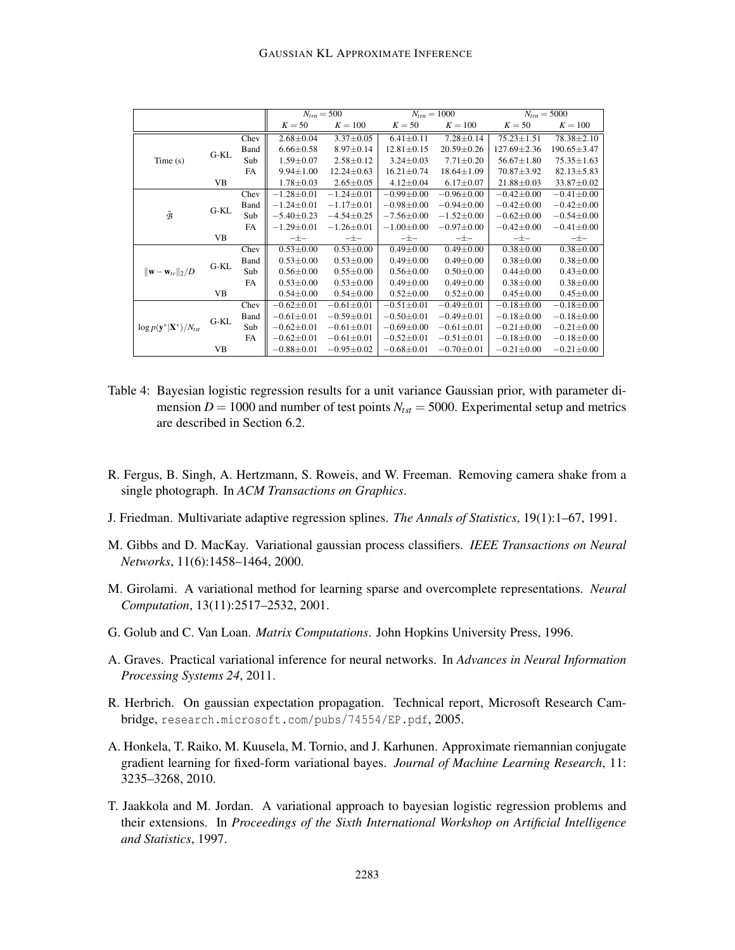|                                             |           |           | $N_{trn} = 500$  |                  | $N_{trn} = 1000$ |                  | $N_{trn} = 5000$  |                   |
|---------------------------------------------|-----------|-----------|------------------|------------------|------------------|------------------|-------------------|-------------------|
|                                             |           |           | $K = 50$         | $K = 100$        | $K = 50$         | $K = 100$        | $K = 50$          | $K = 100$         |
|                                             | $G-KL$    | Chev      | $2.68 \pm 0.04$  | $3.37 \pm 0.05$  | $6.41 \pm 0.11$  | $7.28 \pm 0.14$  | $75.23 \pm 1.51$  | $78.38 \pm 2.10$  |
|                                             |           | Band      | $6.66 \pm 0.58$  | $8.97 \pm 0.14$  | $12.81 \pm 0.15$ | $20.59 \pm 0.26$ | $127.69 \pm 2.36$ | $190.65 \pm 3.47$ |
| Time(s)                                     |           | Sub       | $1.59 \pm 0.07$  | $2.58 \pm 0.12$  | $3.24 \pm 0.03$  | $7.71 \pm 0.20$  | $56.67 \pm 1.80$  | $75.35 \pm 1.63$  |
|                                             |           | <b>FA</b> | $9.94 \pm 1.00$  | $12.24 \pm 0.63$ | $16.21 \pm 0.74$ | $18.64 \pm 1.09$ | $70.87 \pm 3.92$  | $82.13 \pm 5.83$  |
|                                             | <b>VB</b> |           | $1.78 \pm 0.03$  | $2.65 \pm 0.05$  | $4.12 \pm 0.04$  | $6.17 \pm 0.07$  | $21.88 \pm 0.03$  | 33.87±0.02        |
|                                             |           | Chev      | $-1.28 \pm 0.01$ | $-1.24 \pm 0.01$ | $-0.99 \pm 0.00$ | $-0.96 \pm 0.00$ | $-0.42\pm0.00$    | $-0.41 \pm 0.00$  |
|                                             | $G-KL$    | Band      | $-1.24 \pm 0.01$ | $-1.17\pm0.01$   | $-0.98 + 0.00$   | $-0.94\pm0.00$   | $-0.42 \pm 0.00$  | $-0.42 \pm 0.00$  |
| $\tilde{\mathcal{B}}$                       |           | Sub       | $-5.40 \pm 0.23$ | $-4.54\pm0.25$   | $-7.56 \pm 0.00$ | $-1.52 \pm 0.00$ | $-0.62 \pm 0.00$  | $-0.54 \pm 0.00$  |
|                                             |           | <b>FA</b> | $-1.29 \pm 0.01$ | $-1.26 \pm 0.01$ | $-1.00 \pm 0.00$ | $-0.97 \pm 0.00$ | $-0.42 \pm 0.00$  | $-0.41 \pm 0.00$  |
|                                             | VB        |           | $-\pm -$         | $-\pm -$         | $-\pm -$         | $-\pm -$         | $-\pm -$          | $-\pm -$          |
|                                             | $G-KL$    | Chev      | $0.53 \pm 0.00$  | $0.53 \pm 0.00$  | $0.49 \pm 0.00$  | $0.49 \pm 0.00$  | $0.38 \pm 0.00$   | $0.38 \pm 0.00$   |
|                                             |           | Band      | $0.53 \pm 0.00$  | $0.53 \pm 0.00$  | $0.49 \pm 0.00$  | $0.49 \pm 0.00$  | $0.38 \pm 0.00$   | $0.38 + 0.00$     |
| $\ \mathbf{w}-\mathbf{w}_{tr}\ _2/D$        |           | Sub       | $0.56 \pm 0.00$  | $0.55 \pm 0.00$  | $0.56 \pm 0.00$  | $0.50 \pm 0.00$  | $0.44 \pm 0.00$   | $0.43 \pm 0.00$   |
|                                             |           | <b>FA</b> | $0.53 \pm 0.00$  | $0.53 \pm 0.00$  | $0.49 \pm 0.00$  | $0.49 \pm 0.00$  | $0.38 \pm 0.00$   | $0.38 \pm 0.00$   |
|                                             | <b>VB</b> |           | $0.54 \pm 0.00$  | $0.54 \pm 0.00$  | $0.52 \pm 0.00$  | $0.52 \pm 0.00$  | $0.45 \pm 0.00$   | $0.45 \pm 0.00$   |
|                                             | $G-KL$    | Chev      | $-0.62 \pm 0.01$ | $-0.61 \pm 0.01$ | $-0.51 \pm 0.01$ | $-0.49 \pm 0.01$ | $-0.18 \pm 0.00$  | $-0.18 \pm 0.00$  |
|                                             |           | Band      | $-0.61 \pm 0.01$ | $-0.59 \pm 0.01$ | $-0.50 \pm 0.01$ | $-0.49 \pm 0.01$ | $-0.18 \pm 0.00$  | $-0.18 \pm 0.00$  |
| $\log p(\mathbf{y}^* \mathbf{X}^*)/N_{tst}$ |           | Sub       | $-0.62 \pm 0.01$ | $-0.61 \pm 0.01$ | $-0.69 \pm 0.00$ | $-0.61 \pm 0.01$ | $-0.21 \pm 0.00$  | $-0.21 \pm 0.00$  |
|                                             |           | <b>FA</b> | $-0.62 \pm 0.01$ | $-0.61 \pm 0.01$ | $-0.52 \pm 0.01$ | $-0.51 \pm 0.01$ | $-0.18 \pm 0.00$  | $-0.18 \pm 0.00$  |
|                                             | VB        |           | $-0.88 \pm 0.01$ | $-0.95 \pm 0.02$ | $-0.68 \pm 0.01$ | $-0.70 \pm 0.01$ | $-0.21 \pm 0.00$  | $-0.21 \pm 0.00$  |

- Table 4: Bayesian logistic regression results for a unit variance Gaussian prior, with parameter dimension  $D = 1000$  and number of test points  $N_{tst} = 5000$ . Experimental setup and metrics are described in Section 6.2.
- R. Fergus, B. Singh, A. Hertzmann, S. Roweis, and W. Freeman. Removing camera shake from a single photograph. In *ACM Transactions on Graphics*.
- J. Friedman. Multivariate adaptive regression splines. *The Annals of Statistics*, 19(1):1–67, 1991.
- M. Gibbs and D. MacKay. Variational gaussian process classifiers. *IEEE Transactions on Neural Networks*, 11(6):1458–1464, 2000.
- M. Girolami. A variational method for learning sparse and overcomplete representations. *Neural Computation*, 13(11):2517–2532, 2001.
- G. Golub and C. Van Loan. *Matrix Computations*. John Hopkins University Press, 1996.
- A. Graves. Practical variational inference for neural networks. In *Advances in Neural Information Processing Systems 24*, 2011.
- R. Herbrich. On gaussian expectation propagation. Technical report, Microsoft Research Cambridge, research.microsoft.com/pubs/74554/EP.pdf, 2005.
- A. Honkela, T. Raiko, M. Kuusela, M. Tornio, and J. Karhunen. Approximate riemannian conjugate gradient learning for fixed-form variational bayes. *Journal of Machine Learning Research*, 11: 3235–3268, 2010.
- T. Jaakkola and M. Jordan. A variational approach to bayesian logistic regression problems and their extensions. In *Proceedings of the Sixth International Workshop on Artificial Intelligence and Statistics*, 1997.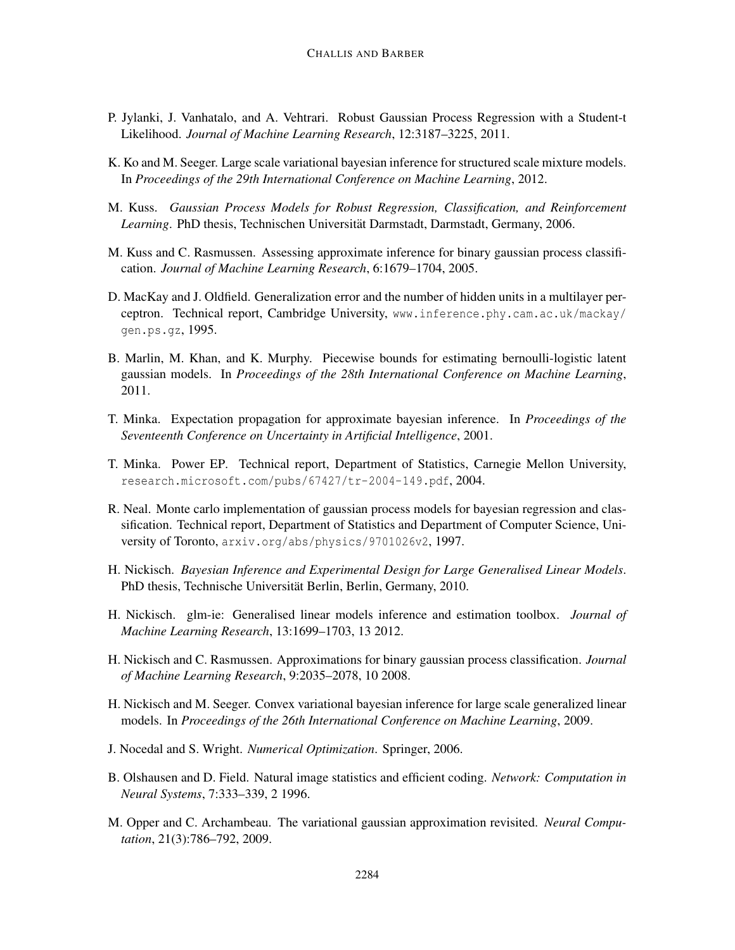- P. Jylanki, J. Vanhatalo, and A. Vehtrari. Robust Gaussian Process Regression with a Student-t Likelihood. *Journal of Machine Learning Research*, 12:3187–3225, 2011.
- K. Ko and M. Seeger. Large scale variational bayesian inference for structured scale mixture models. In *Proceedings of the 29th International Conference on Machine Learning*, 2012.
- M. Kuss. *Gaussian Process Models for Robust Regression, Classification, and Reinforcement Learning*. PhD thesis, Technischen Universitat Darmstadt, Darmstadt, Germany, 2006. ¨
- M. Kuss and C. Rasmussen. Assessing approximate inference for binary gaussian process classification. *Journal of Machine Learning Research*, 6:1679–1704, 2005.
- D. MacKay and J. Oldfield. Generalization error and the number of hidden units in a multilayer perceptron. Technical report, Cambridge University, www.inference.phy.cam.ac.uk/mackay/ gen.ps.gz, 1995.
- B. Marlin, M. Khan, and K. Murphy. Piecewise bounds for estimating bernoulli-logistic latent gaussian models. In *Proceedings of the 28th International Conference on Machine Learning*, 2011.
- T. Minka. Expectation propagation for approximate bayesian inference. In *Proceedings of the Seventeenth Conference on Uncertainty in Artificial Intelligence*, 2001.
- T. Minka. Power EP. Technical report, Department of Statistics, Carnegie Mellon University, research.microsoft.com/pubs/67427/tr-2004-149.pdf, 2004.
- R. Neal. Monte carlo implementation of gaussian process models for bayesian regression and classification. Technical report, Department of Statistics and Department of Computer Science, University of Toronto, arxiv.org/abs/physics/9701026v2, 1997.
- H. Nickisch. *Bayesian Inference and Experimental Design for Large Generalised Linear Models*. PhD thesis, Technische Universität Berlin, Berlin, Germany, 2010.
- H. Nickisch. glm-ie: Generalised linear models inference and estimation toolbox. *Journal of Machine Learning Research*, 13:1699–1703, 13 2012.
- H. Nickisch and C. Rasmussen. Approximations for binary gaussian process classification. *Journal of Machine Learning Research*, 9:2035–2078, 10 2008.
- H. Nickisch and M. Seeger. Convex variational bayesian inference for large scale generalized linear models. In *Proceedings of the 26th International Conference on Machine Learning*, 2009.
- J. Nocedal and S. Wright. *Numerical Optimization*. Springer, 2006.
- B. Olshausen and D. Field. Natural image statistics and efficient coding. *Network: Computation in Neural Systems*, 7:333–339, 2 1996.
- M. Opper and C. Archambeau. The variational gaussian approximation revisited. *Neural Computation*, 21(3):786–792, 2009.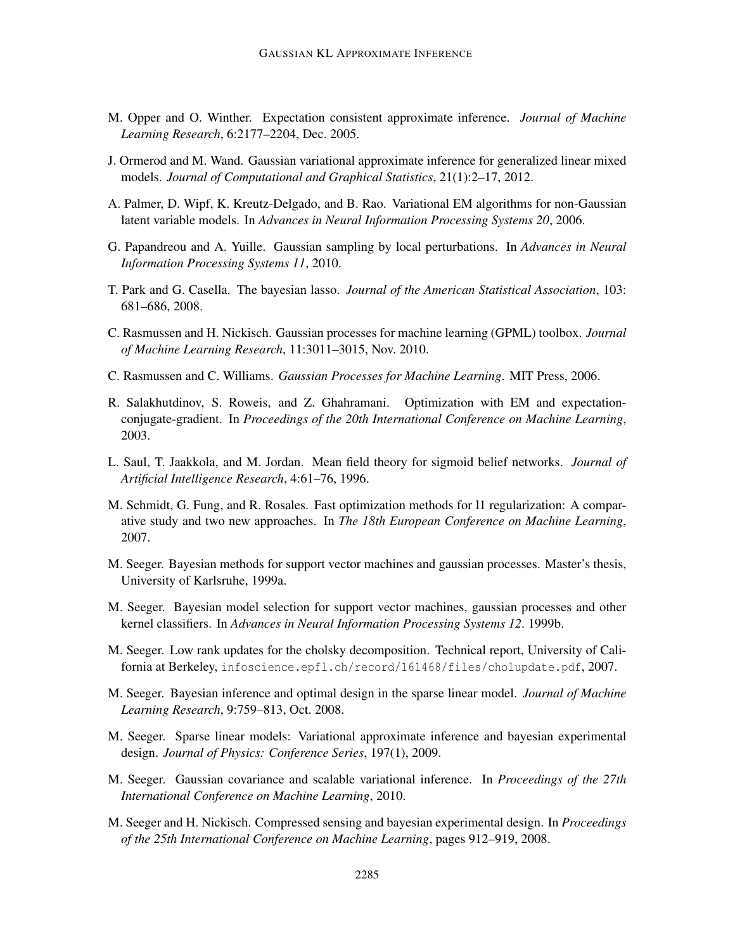- M. Opper and O. Winther. Expectation consistent approximate inference. *Journal of Machine Learning Research*, 6:2177–2204, Dec. 2005.
- J. Ormerod and M. Wand. Gaussian variational approximate inference for generalized linear mixed models. *Journal of Computational and Graphical Statistics*, 21(1):2–17, 2012.
- A. Palmer, D. Wipf, K. Kreutz-Delgado, and B. Rao. Variational EM algorithms for non-Gaussian latent variable models. In *Advances in Neural Information Processing Systems 20*, 2006.
- G. Papandreou and A. Yuille. Gaussian sampling by local perturbations. In *Advances in Neural Information Processing Systems 11*, 2010.
- T. Park and G. Casella. The bayesian lasso. *Journal of the American Statistical Association*, 103: 681–686, 2008.
- C. Rasmussen and H. Nickisch. Gaussian processes for machine learning (GPML) toolbox. *Journal of Machine Learning Research*, 11:3011–3015, Nov. 2010.
- C. Rasmussen and C. Williams. *Gaussian Processes for Machine Learning*. MIT Press, 2006.
- R. Salakhutdinov, S. Roweis, and Z. Ghahramani. Optimization with EM and expectationconjugate-gradient. In *Proceedings of the 20th International Conference on Machine Learning*, 2003.
- L. Saul, T. Jaakkola, and M. Jordan. Mean field theory for sigmoid belief networks. *Journal of Artificial Intelligence Research*, 4:61–76, 1996.
- M. Schmidt, G. Fung, and R. Rosales. Fast optimization methods for l1 regularization: A comparative study and two new approaches. In *The 18th European Conference on Machine Learning*, 2007.
- M. Seeger. Bayesian methods for support vector machines and gaussian processes. Master's thesis, University of Karlsruhe, 1999a.
- M. Seeger. Bayesian model selection for support vector machines, gaussian processes and other kernel classifiers. In *Advances in Neural Information Processing Systems 12*. 1999b.
- M. Seeger. Low rank updates for the cholsky decomposition. Technical report, University of California at Berkeley, infoscience.epfl.ch/record/161468/files/cholupdate.pdf, 2007.
- M. Seeger. Bayesian inference and optimal design in the sparse linear model. *Journal of Machine Learning Research*, 9:759–813, Oct. 2008.
- M. Seeger. Sparse linear models: Variational approximate inference and bayesian experimental design. *Journal of Physics: Conference Series*, 197(1), 2009.
- M. Seeger. Gaussian covariance and scalable variational inference. In *Proceedings of the 27th International Conference on Machine Learning*, 2010.
- M. Seeger and H. Nickisch. Compressed sensing and bayesian experimental design. In *Proceedings of the 25th International Conference on Machine Learning*, pages 912–919, 2008.